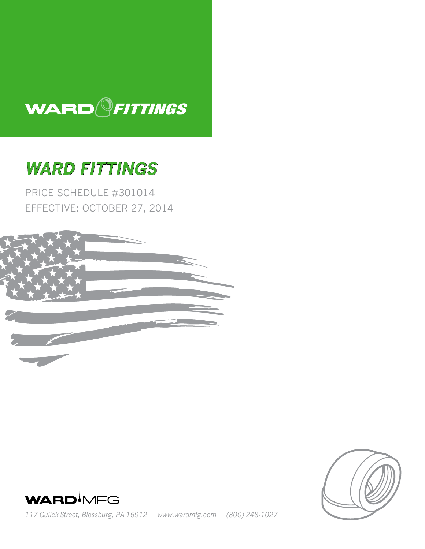

# **Ward Fittings**

Price Schedule #301014 Effective: October 27, 2014





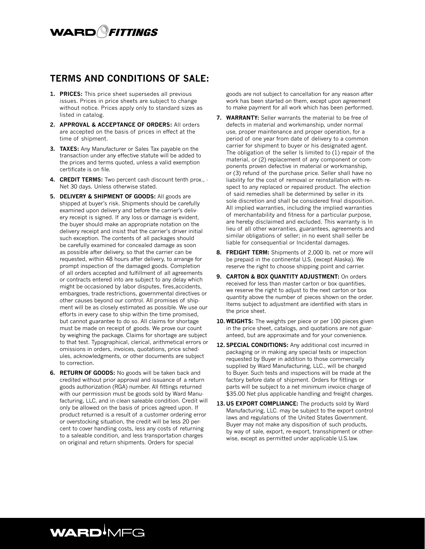## WARD<sup>Q</sup>FITTINGS

## **TERMS AND CONDITIONS OF SALE:**

- **1. PRICES:** This price sheet supersedes all previous issues. Prices in price sheets are subject to change without notice. Prices apply only to standard sizes as listed in catalog.
- **2. APPROVAL & ACCEPTANCE OF ORDERS:** All orders are accepted on the basis of prices in effect at the time of shipment.
- **3. TAXES:** Any Manufacturer or Sales Tax payable on the transaction under any effective statute will be added to the prices and terms quoted, unless a valid exemption certificate is on file.
- **4. CREDIT TERMS:** Two percent cash discount tenth prox., Net 30 days. Unless otherwise stated.
- **5. DELIVERY & SHIPMENT OF GOODS:** All goods are shipped at buyer's risk. Shipments should be carefully examined upon delivery and before the carrier's delivery receipt is signed. If any loss or damage is evident, the buyer should make an appropriate notation on the delivery receipt and insist that the carrier's driver initial such exception. The contents of all packages should be carefully examined for concealed damage as soon as possible after delivery, so that the carrier can be requested, within 48 hours after delivery, to arrange for prompt inspection of the damaged goods. Completion of all orders accepted and fulfillment of all agreements or contracts entered into are subject to any delay which might be occasioned by labor disputes, fires,accidents, embargoes, trade restrictions, governmental directives or other causes beyond our control. All promises of shipment will be as closely estimated as possible. We use our efforts in every case to ship within the time promised, but cannot guarantee to do so. All claims for shortage must be made on receipt of goods. We prove our count by weighing the package. Claims for shortage are subject to that test. Typographical, clerical, arithmetical errors or omissions in orders, invoices, quotations, price schedules, acknowledgments, or other documents are subject to correction.
- **6. RETURN OF GOODS:** No goods will be taken back and credited without prior approval and issuance of a return goods authorization (RGA) number. All fittings returned with our permission must be goods sold by Ward Manufacturing, LLC, and in clean saleable condition. Credit will only be allowed on the basis of prices agreed upon. If product returned is a result of a customer ordering error or overstocking situation, the credit will be less 20 percent to cover handling costs, less any costs of returning to a saleable condition, and less transportation charges on original and return shipments. Orders for special

goods are not subject to cancellation for any reason after work has been started on them, except upon agreement to make payment for all work which has been performed.

- **7. WARRANTY:** Seller warrants the material to be free of defects in material and workmanship, under normal use, proper maintenance and proper operation, for a period of one year from date of delivery to a common carrier for shipment to buyer or his designated agent. The obligation of the seller Is limited to (1) repair of the material, or (2) replacement of any component or components proven defective in material or workmanship, or (3) refund of the purchase price. Seller shall have no liability for the cost of removal or reinstallation with respect to any replaced or repaired product. The election of said remedies shall be determined by seller in its sole discretion and shall be considered final disposition. All implied warranties, including the implied warranties of merchantability and fitness for a particular purpose, are hereby disclaimed and excluded. This warranty is In lieu of all other warranties, guarantees, agreements and similar obligations of seller; in no event shall seller be liable for consequential or Incidental damages.
- **8. FREIGHT TERM:** Shipments of 2,000 lb. net or more will be prepaid in the continental U.S. (except Alaska). We reserve the right to choose shipping point and carrier.
- **9. CARTON & BOX QUANTITY ADJUSTMENT:** On orders received for less than master carton or box quantities, we reserve the right to adjust to the next carton or box quantity above the number of pieces shown on the order. Items subject to adjustment are identified with stars in the price sheet.
- **10. WEIGHTS:** The weights per piece or per 100 pieces given in the price sheet, catalogs, and quotations are not guaranteed, but are approximate and for your convenience.
- 12. SPECIAL CONDITIONS: Any additional cost incurred in packaging or in making any special tests or inspection requested by Buyer in addition to those commercially supplied by Ward Manufacturing, LLC., will be charged to Buyer. Such tests and inspections will be made at the factory before date of shipment. Orders for fittings or parts will be subject to a net minimum invoice charge of \$35.00 Net plus applicable handling and freight charges.
- 13. US EXPORT COMPLIANCE: The products sold by Ward Manufacturing, LLC. may be subject to the export control laws and regulations of the United States Government. Buyer may not make any disposition of such products, by way of sale, export, re-export, transshipment or otherwise, except as permitted under applicable U.S.law.

## **WARDIMFG**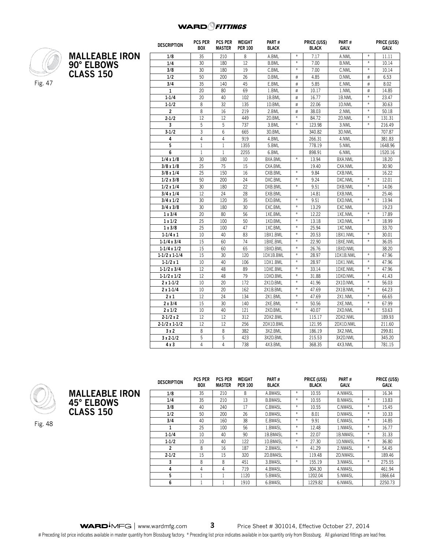

|                       | <b>DESCRIPTION</b> | <b>PCS PER</b><br><b>BOX</b> | <b>PCS PER</b><br><b>MASTER</b> | WEIGHT<br><b>PER 100</b> | PART#<br><b>BLACK</b> |        | <b>PRICE (USS)</b><br><b>BLACK</b> | PART #<br>GALV. |        | <b>PRICE (USS)</b><br>GALV. |
|-----------------------|--------------------|------------------------------|---------------------------------|--------------------------|-----------------------|--------|------------------------------------|-----------------|--------|-----------------------------|
| <b>MALLEABLE IRON</b> | 1/8                | 35                           | 210                             | 8                        | A.BML                 | $\ast$ | 7.17                               | A.NML           | $\ast$ | 11.11                       |
| 90° ELBOWS            | 1/4                | 30                           | 180                             | 12                       | <b>B.BML</b>          | $\ast$ | 7.00                               | <b>B.NML</b>    | $\ast$ | 10.14                       |
|                       | 3/8                | 30                           | 180                             | 19                       | C.BML                 | $\ast$ | 7.00                               | C.NML           | $\ast$ | 10.14                       |
| <b>CLASS 150</b>      | 1/2                | 50                           | 200                             | 26                       | D.BML                 | $\#$   | 4.85                               | D.NML           | $\#$   | 6.53                        |
|                       | 3/4                | 35                           | 140                             | 45                       | E.BML                 | $\#$   | 5.85                               | E.NML           | $\#$   | 8.02                        |
|                       | $\mathbf{1}$       | 20                           | 80                              | 69                       | 1.BML                 | $\#$   | 10.17                              | 1.NML           | $\#$   | 14.85                       |
|                       | $1 - 1/4$          | 20                           | 40                              | 102                      | 1B.BML                | $\#$   | 16.77                              | 1B.NML          | $\ast$ | 23.47                       |
|                       | $1 - 1/2$          | 8                            | 32                              | 135                      | 1D.BML                | #      | 22.06                              | 1D.NML          | $\ast$ | 30.63                       |
|                       | $\overline{2}$     | 8                            | 16                              | 219                      | 2.BML                 | $\#$   | 38.03                              | 2.NML           | $\ast$ | 50.18                       |
|                       | $2 - 1/2$          | 12                           | 12                              | 449                      | 2D.BML                | $\ast$ | 84.72                              | 2D.NML          | $\ast$ | 131.31                      |
|                       | 3                  | 5                            | 5                               | 737                      | 3.BML                 | $\ast$ | 123.98                             | 3.NML           | $\ast$ | 216.49                      |
|                       | $3 - 1/2$          | 3                            | $6\phantom{1}6$                 | 665                      | 3D.BML                |        | 340.82                             | 3D.NML          |        | 707.87                      |
|                       | 4                  | 4                            | $\overline{4}$                  | 919                      | 4.BML                 |        | 266.31                             | 4.NML           |        | 381.83                      |
|                       | 5                  | $\mathbf{1}$                 | $\mathbf{1}$                    | 1355                     | 5.BML                 |        | 778.19                             | 5.NML           |        | 1648.96                     |
|                       | 6                  | $\mathbf{1}$                 | $\mathbf{1}$                    | 2255                     | 6.BML                 |        | 898.91                             | 6.NML           |        | 1520.16                     |
|                       | 1/4x1/8            | 30                           | 180                             | 10                       | BXA.BML               | $\ast$ | 13.94                              | BXA.NML         |        | 18.20                       |
|                       | 3/8 x 1/8          | 25                           | 75                              | 15                       | CXA.BML               |        | 19.40                              | CXA.NML         |        | 30.90                       |
|                       | 3/8 x 1/4          | 25                           | 150                             | 16                       | CXB.BML               | $\ast$ | 9.84                               | CXB.NML         |        | 16.22                       |
|                       | 1/2x3/8            | 50                           | 200                             | 24                       | DXC.BML               | $\ast$ | 9.24                               | DXC.NML         | $\ast$ | 12.01                       |
|                       | 1/2 x 1/4          | 30                           | 180                             | 22                       | DXB.BML               | $\ast$ | 9.51                               | DXB.NML         | $\ast$ | 14.06                       |
|                       | 3/4x1/4            | 12                           | 24                              | 28                       | EXB.BML               |        | 14.81                              | EXB.NML         |        | 25.46                       |
|                       | 3/4x1/2            | 30                           | 120                             | 35                       | EXD.BML               | $\ast$ | 9.51                               | EXD.NML         | $\ast$ | 13.94                       |
|                       | 3/4x3/8            | 30                           | 180                             | 30                       | EXC.BML               | $\ast$ | 13.29                              | EXC.NML         |        | 19.23                       |
|                       | 1x3/4              | 20                           | 80                              | 56                       | 1XE.BML               | $\ast$ | 12.22                              | 1XE.NML         | $\ast$ | 17.89                       |
|                       | 1x1/2              | 25                           | 100                             | 50                       | 1XD.BML               | $\ast$ | 13.18                              | 1XD.NML         | $\ast$ | 18.99                       |
|                       | 1x3/8              | 25                           | 100                             | 47                       | 1XC.BML               | $\ast$ | 25.94                              | 1XC.NML         |        | 33.70                       |
|                       | $1 - 1/4x1$        | 10                           | 40                              | 83                       | 1BX1.BML              | $\ast$ | 20.53                              | 1BX1.NML        | $\ast$ | 30.01                       |
|                       | $1-1/4x3/4$        | 15                           | 60                              | 74                       | 1BXE.BML              | $\ast$ | 22.90                              | 1BXE.NML        | $\ast$ | 36.05                       |
|                       | $1-1/4 \times 1/2$ | 15                           | 60                              | 65                       | 1BXD.BML              | $\ast$ | 26.76                              | 1BXD.NML        |        | 38.20                       |
|                       | $1-1/2x1-1/4$      | 15                           | 30                              | 120                      | 1DX1B.BML             | $\ast$ | 28.97                              | 1DX1B.NML       | $\ast$ | 47.96                       |
|                       | $1 - 1/2x1$        | 10                           | 40                              | 106                      | 1DX1.BML              | $\ast$ | 28.97                              | 1DX1.NML        | $\ast$ | 47.96                       |
|                       | $1-1/2 \times 3/4$ | 12                           | 48                              | 89                       | 1DXE.BML              | $\ast$ | 33.14                              | 1DXE.NML        | $\ast$ | 47.96                       |
|                       | $1-1/2 \times 1/2$ | 12                           | 48                              | 79                       | 1DXD.BML              | $\ast$ | 31.88                              | 1DXD.NML        | $\ast$ | 41.43                       |
|                       | $2x1-1/2$          | 10                           | 20                              | 172                      | 2X1D.BML              | $\ast$ | 41.96                              | 2X1D.NML        | $\ast$ | 56.03                       |
|                       | $2x1-1/4$          | 10                           | 20                              | 162                      | 2X1B.BML              | $\ast$ | 47.69                              | 2X1B.NML        | $\ast$ | 64.23                       |
|                       | 2x1                | 12                           | 24                              | 134                      | 2X1.BML               | $\ast$ | 47.69                              | 2X1.NML         | $\ast$ | 66.65                       |
|                       | 2x3/4              | 15                           | 30                              | 140                      | 2XE.BML               | $\ast$ | 50.56                              | 2XE.NML         | $\ast$ | 67.99                       |
|                       | $2 \times 1/2$     | 10                           | 40                              | 121                      | 2XD.BML               | $\ast$ | 40.07                              | 2XD.NML         | $\ast$ | 53.63                       |
|                       | $2 - 1/2x2$        | 12                           | 12                              | 312                      | 2DX2.BML              |        | 115.17                             | 2DX2.NML        |        | 189.93                      |
|                       | 2-1/2 x 1-1/2      | 12                           | 12                              | 256                      | 2DX1D.BML             |        | 121.95                             | 2DX1D.NML       |        | 211.60                      |
|                       | 3x2                | 8                            | 8                               | 382                      | 3X2.BML               |        | 186.19                             | 3X2.NML         |        | 299.81                      |
|                       | $3x2-1/2$          | 5                            | 5                               | 423                      | 3X2D.BML              |        | 215.53                             | 3X2D.NML        |        | 345.20                      |
|                       | 4 x 3              | 4                            | 4                               | 738                      | 4X3.BML               |        | 368.35                             | 4X3.NML         |        | 781.15                      |



| <b>DESCRIPTION</b> | <b>PCS PER</b><br><b>BOX</b> | <b>PCS PER</b><br>MASTER | WEIGHT<br><b>PER 100</b> | PART#<br><b>BLACK</b> |        | PRICE (US\$)<br><b>BLACK</b> | PART#<br>GALV. |        | PRICE (US\$)<br>GALV. |
|--------------------|------------------------------|--------------------------|--------------------------|-----------------------|--------|------------------------------|----------------|--------|-----------------------|
| 1/8                | 35                           | 210                      | 8                        | A.BM45L               | $*$    | 10.55                        | A.NM45L        |        | 16.34                 |
| 1/4                | 35                           | 210                      | 13                       | B.BM45L               | $*$    | 10.55                        | B.NM45L        | $*$    | 13.83                 |
| 3/8                | 40                           | 240                      | 17                       | C.BM45L               | $*$    | 10.55                        | C.NM45L        | $*$    | 15.45                 |
| 1/2                | 50                           | 200                      | 26                       | D.BM45L               | $*$    | 8.01                         | D.NM45L        | $*$    | 10.33                 |
| 3/4                | 40                           | 160                      | 38                       | E.BM45L               | *      | 9.91                         | E.NM45L        | $*$    | 14.85                 |
|                    | 25                           | 100                      | 56                       | 1.BM45L               | $\ast$ | 12.48                        | 1.NM45L        | $*$    | 16.77                 |
| $1 - 1/4$          | 10                           | 40                       | 90                       | 1B.BM45L              | $\ast$ | 22.07                        | 1B.NM45L       | $*$    | 31.33                 |
| $1 - 1/2$          | 10                           | 40                       | 122                      | 1D.BM45L              | $\ast$ | 27.30                        | 1D.NM45L       | $*$    | 36.80                 |
| 2                  | 8                            | 16                       | 187                      | 2.BM45L               | $\ast$ | 41.29                        | 2.NM45L        | $\ast$ | 54.45                 |
| $2 - 1/2$          | 15                           | 15                       | 320                      | 2D.BM45L              |        | 119.48                       | 2D.NM45L       |        | 189.46                |
| 3                  | 8                            | 8                        | 451                      | 3.BM45L               | $\ast$ | 155.19                       | 3.NM45L        | $*$    | 275.55                |
| 4                  | 4                            | 4                        | 719                      | 4.BM45L               |        | 304.30                       | 4.NM45L        |        | 461.94                |
| 5                  | 1                            |                          | 1120                     | 5.BM45L               |        | 1202.04                      | 5.NM45L        |        | 1866.64               |
| 6                  |                              |                          | 1910                     | 6.BM45L               |        | 1229.82                      | 6.NM45L        |        | 2250.73               |

Fig. 48

**MALLEABLE IRON**

**45° ELBOWS CLASS 150**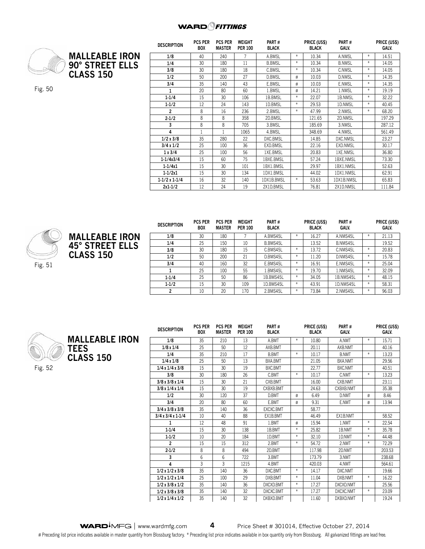#### **WARD**<sup>Q</sup>FITTINGS



Fig. 50

**CLASS 150**

**MALLEABLE IRON 90° STREET ELLS Description Pcs per Box Pcs per Master Weight Per 100 Part # Black Price (US\$) Black Part # Galv. Price (US\$) Galv. 1/8** 40 240 7 A.BMSL \* 10.34 A.NMSL \* 14.51 **1/4** 30 180 11 B.BMSL \* 10.34 B.NMSL \* 14.05 **3/8** | 30 | 180 | 18 | C.BMSL |\* | 10.34 | C.NMSL |\* | 14.05 **1/2** 50 200 27 D.BMSL # 10.03 D.NMSL \* 14.35 **3/4** 35 140 43 E.BMSL # 10.03 E.NMSL \* 14.35 **1** 20 80 60 1.BMSL # 14.21 1.NMSL \* 19.19 **1-1/4** | 15 | 30 | 106 | 1B.BMSL | \* | 22.07 | 1B.NMSL | \* | 32.22 **1-1/2** | 12 | 24 | 143 | ID.BMSL | \* | 29.53 | ID.NMSL | \* | 40.45 **2** 18 16 236 2.BMSL \* 147.99 2.NMSL \* 68.20 **2-1/2** | 8 | 8 | 358 | 2D.BMSL | | 121.65 | 2D.NMSL | | 197.29 **3** 8 8 705 3.BMSL 185.69 3.NMSL 287.12 **4** | I | I | IU65 | 4.BMSL | | 348.69 | 4.NMSL | | 561.49 **1/2 x 3/8** 35 280 22 DXC.BMSL 14.85 DXC.NMSL 23.27 **3/4 x 1/2** | 25 | 100 | 36 | EXD.BMSL | | 22.16 | EXD.NMSL | | 30.1/ **1 x 3/4** | 25 | 100 | 56 | 1XE.BMSL | | 20.83 | 1XE.NMSL | | 36.80 **1-1/4x3/4** | I5 | 60 | /5 | IBXE.BMSL | | 5/.24 | IBXE.NMSL | | /3.30 **1-1/4x1** | I5 | 30 | IOI | IBXI.BMSL | | 29.97 | IBXI.NMSL | | 52.63 **1-1/2x1** | I5 | 30 | I34 | IDXI.BMSL | | 44.02 | IDXI.NMSL | | 62.91 **1-1/2 x 1-1/4** 16 32 140 1DX1B.BMSL \* 53.63 1DX1B.NMSL 65.83 **2x1-1/2** | I2 | 24 | I9 | 2XID.BMSL | | /6.81 | 2XID.NMSL | | III.84



|                        | <b>DESCRIPTION</b> | <b>PCS PER</b><br><b>BOX</b> | <b>PCS PER</b><br>MASTER | WEIGHT<br><b>PER 100</b> | PART#<br><b>BLACK</b> |               | PRICE (US\$)<br><b>BLACK</b> | PART#<br>GALV. |        | PRICE (US\$)<br>GALV. |
|------------------------|--------------------|------------------------------|--------------------------|--------------------------|-----------------------|---------------|------------------------------|----------------|--------|-----------------------|
| <b>MALLEABLE IRON</b>  | 1/8                | 30                           | 180                      |                          | A.BMS45L              | $*$           | 16.27                        | A.NMS45L       | $\ast$ | 21.13                 |
| <b>45° STREET ELLS</b> | 1/4                | 25                           | 150                      | 10                       | B.BMS45L              |               | 13.52                        | B.NMS45L       |        | 19.52                 |
|                        | 3/8                | 30                           | 180                      | 15                       | C.BMS45L              | $*$           | 13.72                        | C.NMS45L       | $\ast$ | 20.83                 |
| <b>CLASS 150</b>       | 1/2                | 50                           | 200                      | 21                       | D.BMS45L              | $\frac{M}{N}$ | 11.20                        | D.NMS45L       | $\ast$ | 15.78                 |
|                        | 3/4                | 40                           | 160                      | 32                       | E.BMS45L              | $*$           | 16.91                        | E.NMS45L       | $\ast$ | 25.04                 |
|                        |                    | 25                           | 100                      | 55                       | BMS45L                | $*$           | 19.70                        | L.NMS45L       | $*$    | 32.09                 |
|                        | $1 - 1/4$          | 25                           | 50                       | 86                       | 1B.BMS45L             | $*$           | 34.05                        | 1B.NMS45L      | $\ast$ | 48.15                 |
|                        | $1 - 1/2$          | 15                           | 30                       | 109                      | 1D.BMS45L             | $\ast$        | 43.91                        | 1D.NMS45L      | $\ast$ | 58.31                 |
|                        |                    | 10                           | 20                       | 170                      | 2.BMS45L              | $*$           | 73.84                        | 2.NMS45L       | $\ast$ | 96.03                 |



| <b>DESCRIPTION</b>          | <b>PCS PER</b><br><b>BOX</b> | <b>PCS PER</b><br><b>MASTER</b> | <b>WEIGHT</b><br><b>PER 100</b> | PART#<br><b>BLACK</b> |        | PRICE (US\$)<br><b>BLACK</b> | PART#<br>GALV. |        | PRICE (US\$)<br>GALV. |
|-----------------------------|------------------------------|---------------------------------|---------------------------------|-----------------------|--------|------------------------------|----------------|--------|-----------------------|
| 1/8                         | 35                           | 210                             | 13                              | A.BMT                 | $*$    | 10.80                        | A.NMT          | $*$    | 15.71                 |
| 1/8x1/4                     | 25                           | 50                              | 12                              | AXB.BMT               |        | 20.11                        | AXB.NMT        |        | 40.16                 |
| 1/4                         | 35                           | 210                             | 17                              | <b>B.BMT</b>          | $\ast$ | 10.17                        | <b>B.NMT</b>   | $*$    | 13.23                 |
| 1/4x1/8                     | 25                           | 50                              | 13                              | BXA.BMT               |        | 21.05                        | BXA.NMT        |        | 29.56                 |
| 1/4x1/4x3/8                 | 15                           | 30                              | 19                              | BXC.BMT               |        | 22.77                        | BXC.NMT        |        | 40.51                 |
| 3/8                         | 30                           | 180                             | 26                              | C.BMT                 | $*$    | 10.17                        | C.NMT          | $*$    | 13.23                 |
| 3/8x3/8x1/4                 | 15                           | 30                              | 21                              | CXB.BMT               |        | 16.00                        | CXB.NMT        |        | 23.11                 |
| 3/8x1/4x1/4                 | 15                           | 30                              | 19                              | CXBXB.BMT             |        | 24.63                        | CXBXB.NMT      |        | 35.38                 |
| 1/2                         | 30                           | 120                             | 37                              | D.BMT                 | #      | 6.49                         | D.NMT          | #      | 8.46                  |
| 3/4                         | 20                           | 80                              | 60                              | E.BMT                 | #      | 9.31                         | E.NMT          | #      | 13.94                 |
| 3/4x3/8x3/8                 | 35                           | 140                             | 36                              | EXCXC.BMT             |        | 58.77                        |                |        |                       |
| $3/4x3/4x1-1/4$             | 10                           | 40                              | 88                              | EX1B.BMT              |        | 46.49                        | EX1B.NMT       |        | 58.52                 |
|                             | 12                           | 48                              | 91                              | 1.BMT                 | #      | 15.94                        | 1.NMT          | $*$    | 22.54                 |
| $1-1/4$                     | 15                           | 30                              | 138                             | 1B.BMT                | $\ast$ | 25.82                        | 1B.NMT         | $*$    | 35.78                 |
| $1-1/2$                     | 10                           | 20                              | 184                             | 1D.BMT                | $\ast$ | 32.10                        | 1D.NMT         | $*$    | 44.48                 |
| $\overline{2}$              | 15                           | 15                              | 312                             | 2.BMT                 | $\ast$ | 54.72                        | 2.NMT          | $*$    | 72.29                 |
| $2 - 1/2$                   | 8                            | 8                               | 494                             | 2D.BMT                |        | 117.98                       | 2D.NMT         |        | 203.53                |
| 3                           | 6                            | 6                               | 722                             | 3.BMT                 |        | 173.79                       | 3.NMT          |        | 238.68                |
| 4                           | 3                            | 3                               | 1215                            | 4.BMT                 |        | 420.03                       | 4.NMT          |        | 564.61                |
| $1/2 \times 1/2 \times 3/8$ | 35                           | 140                             | 36                              | DXC.BMT               | $\ast$ | 14.17                        | DXC.NMT        |        | 19.66                 |
| 1/2x1/2x1/4                 | 25                           | 100                             | 29                              | DXB.BMT               | $\ast$ | 11.04                        | DXB.NMT        | $\ast$ | 16.22                 |
| 1/2x3/8x1/2                 | 35                           | 140                             | 36                              | DXCXD.BMT             | $\ast$ | 17.27                        | DXCXD.NMT      |        | 25.56                 |
| 1/2x3/8x3/8                 | 35                           | 140                             | 32                              | DXCXC.BMT             | $\ast$ | 17.27                        | DXCXC.NMT      | $\ast$ | 23.09                 |
| 1/2x1/4x1/2                 | 35                           | 140                             | 32                              | DXBXD.BMT             |        | 11.60                        | DXBXD.NMT      |        | 19.24                 |

**WARD**<sup>M</sup>FG | www.wardmfg.com **4** Price Sheet # 301014, Effective October 27, 2014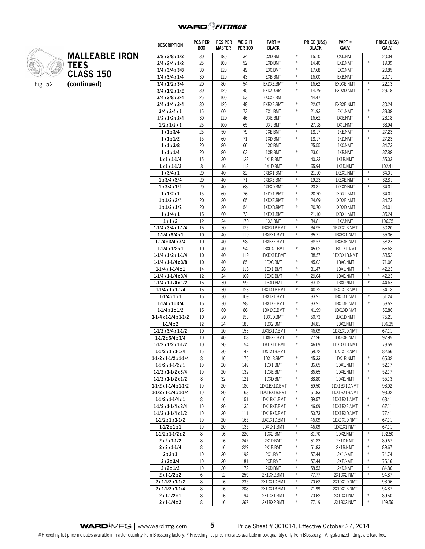

## **MALLEABLE IRON TEES CLASS 150** Fig. 52 **(continued)**

| <b>DESCRIPTION</b>                                 | <b>PCS PER</b><br><b>BOX</b> | <b>PCS PER</b><br><b>MASTER</b> | WEIGHT<br><b>PER 100</b> | PART#<br><b>BLACK</b>     |                   | PRICE (US\$)<br><b>BLACK</b> | PART#<br>GALV.            |                   | PRICE (US\$)<br>GALV. |
|----------------------------------------------------|------------------------------|---------------------------------|--------------------------|---------------------------|-------------------|------------------------------|---------------------------|-------------------|-----------------------|
| 3/8x3/8x1/2                                        | 30                           | 180                             | 34                       | CXD.BMT                   | $\ast$            | 15.10                        | CXD.NMT                   |                   | 20.04                 |
| 3/4x3/4x1/2                                        | 25                           | 100                             | 52                       | EXD.BMT                   | $\ast$            | 14.40                        | EXD.NMT                   | $\ast$            | 19.39                 |
| 3/4x3/4x3/8                                        | 30                           | 120                             | 49                       | EXC.BMT                   | $\ast$            | 17.68                        | EXC.NMT                   |                   | 20.85                 |
| 3/4x3/4x1/4                                        | 30                           | 120                             | 43                       | EXB.BMT                   | $\#$              | 16.00                        | EXB.NMT                   |                   | 20.71                 |
| 3/4x1/2x3/4                                        | 20                           | 80                              | 54                       | EXDXE.BMT                 | $\#$              | 16.62                        | EXDXE.NMT                 | $\frac{M}{N}$     | 22.13                 |
| 3/4x1/2x1/2                                        | 30                           | 120                             | 45                       | EXDXD.BMT                 | $\ast$            | 14.79                        | EXDXD.NMT                 | $\ast$            | 23.18                 |
| 3/4x3/8x3/4                                        | 25                           | 100                             | 53                       | EXCXE.BMT                 |                   | 44.47                        |                           |                   |                       |
| $3/4 \times 1/4 \times 3/4$                        | 30                           | 120                             | 48                       | EXBXE.BMT                 | $\ast$            | 22.07                        | EXBXE.NMT                 |                   | 30.24                 |
| 3/4x3/4x1                                          | 15                           | 60                              | 73                       | EX1.BMT                   | $\frac{M}{N}$     | 21.93                        | EX1.NMT                   | $\ast$            | 33.38                 |
| $1/2 \times 1/2 \times 3/4$                        | 30                           | 120                             | 46                       | DXE.BMT                   |                   | 16.62                        | DXE.NMT                   | $\ast$            | 23.18                 |
| 1/2x1/2x1                                          | 25                           | 100                             | 65                       | DX1.BMT                   | $\ast$            | 27.18                        | DX1.NMT                   |                   | 38.94                 |
| 1x1x3/4                                            | 25                           | 50                              | 79                       | 1XE.BMT                   | $\#$              | 18.17                        | 1XE.NMT                   | $\frac{M}{N}$     | 27.23                 |
| 1x1x1/2                                            | 15                           | 60                              | 71                       | 1XD.BMT                   | $\frac{M}{N}$     | 18.17                        | 1XD.NMT                   | $\ast$            | 27.23                 |
| 1x1x3/8                                            | 20                           | 80                              | 66                       | 1XC.BMT                   |                   | 25.55                        | 1XC.NMT                   |                   | 34.73                 |
| 1x1x1/4                                            | 20                           | 80                              | 63                       | 1XB.BMT                   | $\#$              | 23.01                        | 1XB.NMT                   |                   | 37.88                 |
| $1x1x1-1/4$                                        | 15                           | 30                              | 123                      | 1X1B.BMT                  |                   | 40.23                        | 1X1B.NMT                  |                   | 55.03                 |
| $1x1x1-1/2$                                        | 8                            | 16                              | 113                      | 1X1D.BMT                  | $\#$              | 65.94                        | 1X1D.NMT                  |                   | 102.41                |
| 1x3/4x1                                            | 20                           | 40                              | 82                       | 1XEX1.BMT                 | $\ast$            | 21.10                        | 1XEX1.NMT                 | $\ast$            | 34.01                 |
| 1x3/4x3/4                                          | 20                           | 40                              | 71                       | 1XEXE.BMT                 | $\#$              | 19.23                        | 1XEXE.NMT                 | $\frac{M}{N}$     | 32.81                 |
| 1x3/4x1/2                                          | 20                           | 40                              | 68                       | 1XEXD.BMT                 | $\#$              | 20.81                        | 1XEXD.NMT                 | $\divideontimes$  | 34.01                 |
| 1x1/2x1                                            | 15                           | 60                              | 76                       | 1XDX1.BMT                 | $\ddot{\pi}$      | 20.70                        | 1XDX1.NMT                 |                   | 34.01                 |
| 1x1/2x3/4                                          | 20                           | 80                              | 65                       | 1XDXE.BMT                 | ₩                 | 24.69                        | 1XDXE.NMT                 |                   | 34.73                 |
| 1x1/2x1/2                                          | 20                           | 80                              | 54                       | 1XDXD.BMT                 | $\frac{w}{\hbar}$ | 20.70                        | 1XDXD.NMT                 |                   | 34.01                 |
| 1x1/4x1                                            | 15                           | 60                              | 73                       | 1XBX1.BMT                 |                   | 21.10                        | 1XBX1.NMT                 |                   | 35.24                 |
| 1x1x2                                              | 12                           | 24                              | 170                      | 1X2.BMT                   | $\divideontimes$  | 84.81                        | 1X2.NMT                   |                   | 106.35                |
| $1-1/4x3/4x1-1/4$                                  | 15                           | 30                              | 125                      | 1BXEX1B.BMT               | $\ddot{\pi}$      | 34.95                        | 1BXEX1B.NMT               |                   | 50.20                 |
| $1-1/4x3/4x1$                                      | 10                           | 40                              | 119                      | 1BXEX1.BMT                | $\ddot{\pi}$      | 35.71                        | 1BXEX1.NMT                |                   | 55.36                 |
| $1-1/4x3/4x3/4$                                    | 10                           | 40                              | 98                       | 1BXEXE.BMT                |                   | 38.57                        | 1BXEXE.NMT                |                   | 58.23                 |
| $1-1/4x1/2x1$                                      | 10                           | 40                              | 94                       | 1BXDX1.BMT                | ₩                 | 45.02                        | 1BXDX1.NMT                |                   | 66.68                 |
| $1-1/4 \times 1/2 \times 1-1/4$                    | 10                           | 40                              | 119                      | 1BXDX1B.BMT               |                   | 38.57                        | 1BXDX1B.NMT               |                   | 53.52                 |
| $1-1/4x1-1/4x3/8$                                  | 10                           | 40                              | 85                       | 1BXC.BMT                  | $\ddot{\pi}$      | 45.02                        | 1BXC.NMT                  |                   | 71.06                 |
| $1-1/4x1-1/4x1$                                    | 14                           | 28                              | 116                      | 1BX1.BMT                  | ₩                 | 31.47                        | 1BX1.NMT                  | $\divideontimes$  | 42.23                 |
| $1-1/4x1-1/4x3/4$                                  | 12                           | 24                              | 109                      | 1BXE.BMT                  | $\divideontimes$  | 29.04                        | 1BXE.NMT                  | $\ast$            | 42.23                 |
| $1-1/4x1-1/4x1/2$                                  | 15                           | 30                              | 99                       | 1BXD.BMT                  | $\ddot{\pi}$      | 33.12                        | 1BXD.NMT                  | ¥                 | 44.63                 |
| $1-1/4x1x1-1/4$                                    | 15                           | 30                              | 123                      | 1BX1X1B.BMT               | ₩                 | 40.72                        | 1BX1X1B.NMT               |                   | 54.18                 |
| $1 - 1/4x1x1$                                      | 15                           | 30                              | 109                      | 1BX1X1.BMT                | $\divideontimes$  | 33.91                        | 1BX1X1.NMT                | $\ddot{\pi}$<br>¥ | 51.24                 |
| $1-1/4x1x3/4$                                      | 15                           | 30                              | 98                       | 1BX1XE.BMT                | $\ddot{\pi}$      | 33.91                        | 1BX1XE.NMT                |                   | 53.52                 |
| $1-1/4x1x1/2$                                      | 15                           | 60<br>20                        | 86                       | 1BX1XD.BMT                | $\#$              | 41.99                        | 1BX1XD.NMT                |                   | 56.86                 |
| $1-1/4x1-1/4x1-1/2$                                | 10                           |                                 | 153                      | 1BX1D.BMT                 |                   | 50.73                        | 1BX1D.NMT                 |                   | 75.21                 |
| $1 - 1/4x2$                                        | 12<br>10                     | 24<br>20                        | 183                      | 1BX2.BMT                  | $\ast$            | 84.81                        | 1BX2.NMT                  |                   | 106.35                |
| $1-1/2 \times 3/4 \times 1-1/2$<br>$1-1/2x3/4x3/4$ | 10                           | 40                              | 153<br>108               | 1DXEX1D.BMT<br>1DXEXE.BMT | $\ast$            | 46.09<br>77.26               | 1DXEX1D.NMT<br>1DXEXE.NMT |                   | 67.11<br>97.95        |
| $1-1/2 \times 1/2 \times 1-1/2$                    | 10                           | 20                              | 154                      | 1DXDX1D.BMT               | $\ast$            | 46.09                        | 1DXDX1D.NMT               |                   | 73.59                 |
| 1-1/2 x 1 x 1-1/4                                  | 15                           | 30                              | 142                      | 1DX1X1B.BMT               |                   | 59.72                        | 1DX1X1B.NMT               |                   | 82.56                 |
| $1-1/2$ x $1-1/2$ x $1-1/4$                        | 8                            | 16                              | 175                      | 1DX1B.BMT                 | $\ast$            | 45.33                        | 1DX1B.NMT                 | $\frac{M}{M}$     | 65.32                 |
| $1-1/2 \times 1-1/2 \times 1$                      | 10                           | 20                              | 149                      | 1DX1.BMT                  | $\ast$            | 36.65                        | 1DX1.NMT                  | $\ast$            | 52.17                 |
| $1-1/2x1-1/2x3/4$                                  | 10                           | 20                              | 132                      | 1DXE.BMT                  | $\ast$            | 36.65                        | 1DXE.NMT                  | $\frac{M}{M}$     | 52.17                 |
| $1-1/2x1-1/2x1/2$                                  | 8                            | 32                              | 121                      | 1DXD.BMT                  | $\ast$            | 38.80                        | 1DXD.NMT                  | $\divideontimes$  | 55.13                 |
| $1-1/2$ x $1-1/4$ x $1-1/2$                        | 10                           | 20                              | 180                      | 1DX1BX1D.BMT              | $\ast$            | 69.50                        | 1DX1BX1D.NMT              |                   | 93.02                 |
| $1-1/2x1-1/4x1-1/4$                                | 10                           | 20                              | 163                      | 1DX1BX1B.BMT              | $\ast$            | 61.83                        | 1DX1BX1B.NMT              |                   | 93.02                 |
| $1-1/2 \times 1-1/4 \times 1$                      | 8                            | 16                              | 151                      | 1DX1BX1.BMT               | $\ast$            | 39.57                        | 1DX1BX1.NMT               | $\divideontimes$  | 63.41                 |
| $1-1/2 \times 1-1/4 \times 3/4$                    | 10                           | 20                              | 135                      | 1DX1BXE.BMT               | $\ast$            | 46.09                        | 1DX1BXE.NMT               | $\ast$            | 67.11                 |
| $1-1/2x1-1/4x1/2$                                  | 10                           | 20                              | 111                      | 1DX1BXD.BMT               |                   | 50.73                        | 1DX1BXD.NMT               |                   | 77.41                 |
| $1-1/2 \times 1 \times 1-1/2$                      | 10                           | 20                              | 165                      | 1DX1X1D.BMT               | $\ast$            | 46.09                        | 1DX1X1D.NMT               | $\ast$            | 67.11                 |
| $1 - 1/2x1x1$                                      | 10                           | 20                              | 135                      | 1DX1X1.BMT                | $\ast$            | 46.09                        | 1DX1X1.NMT                |                   | 67.11                 |
| $1-1/2x1-1/2x2$                                    | 8                            | 16                              | 220                      | 1DX2.BMT                  | $\ast$            | 81.70                        | 1DX2.NMT                  | $\ast$            | 102.60                |
| $2x2x1-1/2$                                        | 8                            | 16                              | 247                      | 2X1D.BMT                  | $\ast$            | 61.83                        | 2X1D.NMT                  | $\ast$            | 89.67                 |
| $2x2x1-1/4$                                        | 8                            | 16                              | 229                      | 2X1B.BMT                  | $\ast$            | 61.83                        | 2X1B.NMT                  | $\ast$            | 89.67                 |
| 2x2x1                                              | 10                           | 20                              | 198                      | 2X1.BMT                   | $\ast$            | 57.44                        | 2X1.NMT                   | $\frac{M}{\hbar}$ | 74.74                 |
| 2x2x3/4                                            | 10                           | 20                              | 181                      | 2XE.BMT                   | $\ast$            | 57.44                        | 2XE.NMT                   | $\ast$            | 76.16                 |
| 2x2x1/2                                            | 10                           | 20                              | 172                      | 2XD.BMT                   | $\ast$            | 58.53                        | 2XD.NMT                   | $\divideontimes$  | 84.86                 |
| $2x1-1/2x2$                                        | 6                            | 12                              | 259                      | 2X1DX2.BMT                | $\ast$            | 77.77                        | 2X1DX2.NMT                | $\ast$            | 94.87                 |
| $2x1-1/2x1-1/2$                                    | 8                            | 16                              | 235                      | 2X1DX1D.BMT               | $\frac{M}{M}$     | 70.62                        | 2X1DX1D.NMT               |                   | 93.06                 |
| $2x1-1/2x1-1/4$                                    | 8                            | 16                              | 208                      | 2X1DX1B.BMT               | $\ast$            | 71.99                        | 2X1DX1B.NMT               |                   | 94.87                 |
| $2x1-1/2x1$                                        | 8                            | 16                              | 194                      | 2X1DX1.BMT                | $\ast$            | 70.62                        | 2X1DX1.NMT                | $\ast$            | 89.60                 |
| $2x1-1/4x2$                                        | 8                            | 16                              | 267                      | 2X1BX2.BMT                | $\ast$            | 77.19                        | 2X1BX2.NMT                | $\ast$            | 109.56                |

WARD<sup>I</sup>MFG | www.wardmfg.com **5** Price Sheet # 301014, Effective October 27, 2014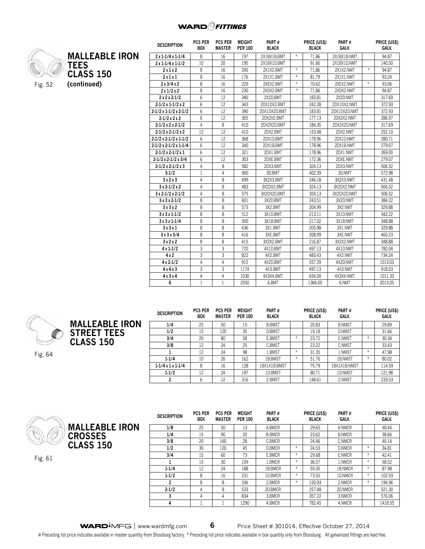

| <b>MALLEABLE IRON</b> | $2x1-1/$ |
|-----------------------|----------|
| <b>TEES</b>           | $2x1-1/$ |
| <b>CLASS 150</b>      | 2x       |
|                       | 2x       |
| (continued)           | 2x3      |
|                       | 2x1      |
|                       |          |

| <b>DESCRIPTION</b>                      | <b>PCS PER</b><br><b>BOX</b> | <b>PCS PER</b><br><b>MASTER</b> | WEIGHT<br><b>PER 100</b> | PART#<br><b>BLACK</b> |        | PRICE (US\$)<br><b>BLACK</b> | PART#<br>GALV. |        | PRICE (US\$)<br>GALV. |
|-----------------------------------------|------------------------------|---------------------------------|--------------------------|-----------------------|--------|------------------------------|----------------|--------|-----------------------|
| $2x1-1/4x1-1/4$                         | 8                            | 16                              | 197                      | 2X1BX1B.BMT           | $\ast$ | 71.86                        | 2X1BX1B.NMT    |        | 94.87                 |
| $2x1-1/4x1-1/2$                         | 10                           | 20                              | 195                      | 2X1BX1D.BMT           |        | 91.66                        | 2X1BX1D.NMT    |        | 140.50                |
| 2x1x2                                   | 8                            | 16                              | 245                      | 2X1X2.BMT             | $\ast$ | 71.86                        | 2X1X2.NMT      | $\ast$ | 94.87                 |
| 2x1x1                                   | 8                            | 16                              | 176                      | 2X1X1.BMT             | $\ast$ | 81.79                        | 2X1X1.NMT      |        | 93.24                 |
| 2x3/4x2                                 | 8                            | 16                              | 229                      | 2XEX2.BMT             | $*$    | 70.62                        | 2XEX2.NMT      | $\ast$ | 93.06                 |
| 2x1/2x2                                 | 8                            | 16                              | 230                      | 2XDX2.BMT             | $\ast$ | 71.86                        | 2XDX2.NMT      |        | 94.87                 |
| $2x2x2-1/2$                             | 6                            | 12                              | 340                      | 2X2D.BMT              |        | 183.81                       | 2X2D.NMT       |        | 317.69                |
| $2 - 1/2x1 - 1/2x2$                     | 6                            | 12                              | 343                      | 2DX1DX2.BMT           |        | 242.28                       | 2DX1DX2.NMT    |        | 372.93                |
| $2 - 1/2x1 - 1/2x2 - 1/2$               | 6                            | 12                              | 390                      | 2DX1DX2D.BMT          |        | 183.81                       | 2DX1DX2D.NMT   |        | 372.93                |
| $2-1/2x2x2$                             | 6                            | 12                              | 305                      | 2DX2X2.BMT            |        | 177.13                       | 2DX2X2.NMT     |        | 286.97                |
| $2-1/2 \times 2 \times 2-1/2$           | 4                            | 8                               | 410                      | 2DX2X2D.BMT           |        | 184.35                       | 2DX2X2D.NMT    |        | 317.69                |
| $2-1/2 \times 2-1/2 \times 2$           | 12                           | 12                              | 410                      | 2DX2.BMT              |        | 153.48                       | 2DX2.NMT       |        | 252.10                |
| $2 - 1/2 \times 2 - 1/2 \times 1 - 1/2$ | 6                            | 12                              | 368                      | 2DX1D.BMT             |        | 178.96                       | 2DX1D.NMT      |        | 280.71                |
| $2-1/2 \times 2-1/2 \times 1-1/4$       | 6                            | 12                              | 340                      | 2DX1B.BMT             |        | 178.96                       | 2DX1B.NMT      |        | 279.07                |
| $2 - 1/2x 2 - 1/2x 1$                   | 6                            | 12                              | 321                      | 2DX1.BMT              |        | 178.96                       | 2DX1.NMT       |        | 269.00                |
| $2-1/2x2-1/2x3/4$                       | 6                            | 12                              | 303                      | 2DXE.BMT              |        | 172.36                       | 2DXE.NMT       |        | 279.07                |
| $2-1/2 \times 2-1/2 \times 3$           | 4                            | 8                               | 582                      | 2DX3.BMT              |        | 324.13                       | 2DX3.NMT       |        | 506.52                |
| $3-1/2$                                 | 1                            | 4                               | 900                      | 3D.BMT                |        | 402.39                       | 3D.NMT         |        | 572.98                |
| 3x2x3                                   | 4                            | 8                               | 699                      | 3X2X3.BMT             |        | 246.18                       | 3X2X3.NMT      |        | 431.48                |
| $3x2-1/2x2$                             | 4                            | 8                               | 483                      | 3X2DX2.BMT            |        | 324.13                       | 3X2DX2.NMT     |        | 506.52                |
| $3x 2-1/2x 2-1/2$                       | 4                            | 8                               | 575                      | 3X2DX2D.BMT           |        | 324.13                       | 3X2DX2D.NMT    |        | 506.52                |
| $3x3x2-1/2$                             | 8                            | 8                               | 601                      | 3X2D.BMT              |        | 243.51                       | 3X2D.NMT       |        | 384.22                |
| 3x3x2                                   | 8                            | 8                               | 573                      | 3X2.BMT               |        | 204.99                       | 3X2.NMT        |        | 329.88                |
| $3x3x1-1/2$                             | 8                            | 8                               | 512                      | 3X1D.BMT              |        | 213.11                       | 3X1D.NMT       |        | 342.22                |
| $3x3x1-1/4$                             | 8                            | 8                               | 500                      | 3X1B.BMT              |        | 217.02                       | 3X1B.NMT       |        | 348.88                |
| 3x3x1                                   | 8                            | 8                               | 436                      | 3X1.BMT               |        | 205.98                       | 3X1.NMT        |        | 329.88                |
| 3x3x3/4                                 | 8                            | 8                               | 416                      | 3XE.BMT               |        | 208.99                       | 3XE.NMT        |        | 460.23                |
| 3x2x2                                   | 8                            | 8                               | 415                      | 3X2X2.BMT             |        | 216.87                       | 3X2X2.NMT      |        | 348.88                |
| $4x1-1/2$                               | 3                            | 3                               | 720                      | 4X1D.BMT              |        | 497.13                       | 4X1D.NMT       |        | 782.04                |
| 4x2                                     | 3                            | 3                               | 822                      | 4X2.BMT               |        | 483.43                       | 4X2.NMT        |        | 734.24                |
| $4x2-1/2$                               | 4                            | 4                               | 915                      | 4X2D.BMT              |        | 557.39                       | 4X2D.NMT       |        | 1013.03               |
| 4x4x3                                   | 3                            | 3                               | 1174                     | 4X3.BMT               |        | 497.13                       | 4X3.NMT        |        | 918.03                |
| 4x3x4                                   | 4                            | 4                               | 1030                     | 4X3X4.BMT             |        | 654.00                       | 4X3X4.NMT      |        | 1011.33               |
| 6                                       | $\mathbf{1}$                 | 1                               | 2550                     | 6.BMT                 |        | 1366.00                      | 6.NMT          |        | 2013.05               |



Fig. 64



**Description Pcs per Box Pcs per Master Weight Per 100 Part # Black Price (US\$) Black Part # Galv. Price (US\$) Galv. 1/4** | 25 | 50 | 15 | B.BMST | | 20.83 | B.NMST | | 29.89 **1/2** 15 120 35 D.BMST 19.18 D.NMST 31.66 **3/4** | 20 | 80 | 58 | E.BMST |\* | 23./2 | E.NMST |\* | 30.34 **3/8** | 12 | 24 | 25 | C.BMST | | 23.22 | C.NMST | | 33.43 **1** 12 24 98 1.BMST \* 31.35 1.NMST \* 47.98 **1-1/4** | IO | 2O | I62 | IB.BMST |\* | 51./6 | IB.NMST |\* | 80.02 **1-1/4 x 1 x 1-1/4** 8 16 128 1BX1X1B.BMST 7 75.79 1BX1X1B.NMST 114.59 **1-1/2** | 12 | 24 | 19/ | ID.BMST | | 80.71 | ID.NMST | | 121.98 **2** 1 6 1 12 1 316 1 2.BMST 1 148.61 1 2.NMST 1 233.53





Fig. 61

| <b>DESCRIPTION</b> | <b>PCS PER</b><br><b>BOX</b> | <b>PCS PER</b><br><b>MASTER</b> | WEIGHT<br><b>PER 100</b> | PART#<br><b>BLACK</b> |        | PRICE (US\$)<br><b>BLACK</b> | PART#<br>GALV. |        | PRICE (US\$)<br>GALV. |
|--------------------|------------------------------|---------------------------------|--------------------------|-----------------------|--------|------------------------------|----------------|--------|-----------------------|
| 1/8                | 25                           | 50                              | 13                       | A.BMCR                |        | 29.65                        | A.NMCR         |        | 48.44                 |
| 1/4                | 15                           | 90                              | 20                       | <b>B.BMCR</b>         |        | 23.62                        | <b>B.NMCR</b>  |        | 38.66                 |
| 3/8                | 20                           | 160                             | 28                       | C.BMCR                |        | 24.46                        | C.NMCR         |        | 40.14                 |
| 1/2                | 30                           | 120                             | 45                       | D.BMCR                | $\ast$ | 24.53                        | D.NMCR         | $*$    | 34.81                 |
| 3/4                | 15                           | 60                              | 73                       | E.BMCR                | $\ast$ | 29.68                        | E.NMCR         | $\ast$ | 42.41                 |
|                    | 15                           | 30                              | 109                      | 1.BMCR                | $\ast$ | 36.57                        | 1.NMCR         | $*$    | 58.52                 |
| $1 - 1/4$          | 12                           | 24                              | 188                      | 1B.BMCR               | $\ast$ | 59.35                        | 1B.NMCR        | $\ast$ | 87.98                 |
| $1 - 1/2$          | 8                            | 16                              | 231                      | 1D.BMCR               | $\ast$ | 73.55                        | 1D.NMCR        | $*$    | 102.93                |
| 2                  | 8                            | 8                               | 336                      | 2.BMCR                | $\ast$ | 120.93                       | 2.NMCR         | $*$    | 194.96                |
| $2 - 1/2$          | 4                            | 8                               | 533                      | 2D.BMCR               |        | 257.48                       | 2D.NMCR        |        | 521.30                |
| 3                  | 4                            | 4                               | 834                      | 3.BMCR                |        | 357.22                       | 3.NMCR         |        | 576.06                |
| 4                  |                              |                                 | 1290                     | 4.BMCR                |        | 782.45                       | 4.NMCR         |        | 1418.55               |

WARD<sup>I</sup>MFG | www.wardmfg.com **6** Price Sheet # 301014, Effective October 27, 2014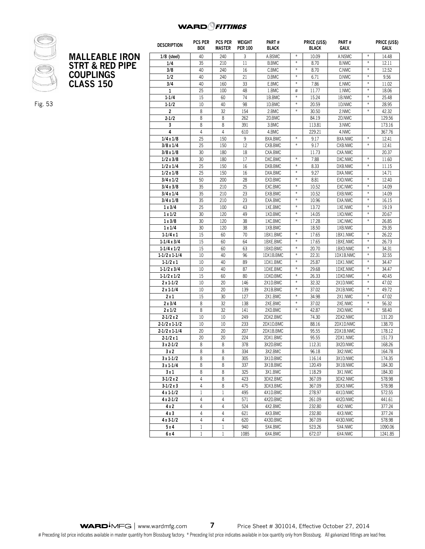## WARD<sup>O</sup>FITTINGS



Fig. 53

|                            | <b>DESCRIPTION</b>   | <b>PCS PER</b><br><b>BOX</b> | <b>PCS PER</b><br><b>MASTER</b> | WEIGHT<br><b>PER 100</b> | PART#<br><b>BLACK</b> |               | PRICE (US\$)<br><b>BLACK</b> | PART#<br>GALV. |                  | PRICE (US\$)<br>GALV. |
|----------------------------|----------------------|------------------------------|---------------------------------|--------------------------|-----------------------|---------------|------------------------------|----------------|------------------|-----------------------|
| <b>MALLEABLE IRON</b>      | $1/8$ (steel)        | 40                           | 240                             | 3                        | A.BSMC                | $\ast$        | 10.09                        | A.NSMC         | $\ast$           | 14.48                 |
| <b>STRT &amp; RED PIPE</b> | 1/4                  | 35                           | 210                             | 11                       | <b>B.BMC</b>          | $\ast$        | 8.70                         | <b>B.NMC</b>   | $\ast$           | 12.11                 |
|                            | 3/8                  | 40                           | 240                             | 16                       | C.BMC                 | $\ast$        | 8.70                         | C.NMC          | $\ast$           | 12.52                 |
| <b>COUPLINGS</b>           | 1/2                  | 40                           | 240                             | 21                       | D.BMC                 | $\ast$        | 6.71                         | D.NMC          | $\ast$           | 9.56                  |
| <b>CLASS 150</b>           | 3/4                  | 40                           | 160                             | 33                       | E.BMC                 | $\frac{M}{R}$ | 7.86                         | E.NMC          | $\ast$           | 11.02                 |
|                            | 1                    | 25                           | 100                             | 48                       | 1.BMC                 | #             | 11.77                        | 1.NMC          | $\ast$           | 18.06                 |
|                            | $1 - 1/4$            | 15                           | 60                              | 74                       | 1B.BMC                | $\frac{N}{N}$ | 15.24                        | 1B.NMC         | $\ast$           | 25.48                 |
|                            | $1 - 1/2$            | 10                           | 40                              | 98                       | 1D.BMC                | $\ast$        | 20.59                        | 1D.NMC         | $\ast$           | 28.95                 |
|                            | $\overline{c}$       | 8                            | 32                              | 154                      | 2.BMC                 | $\ast$        | 30.50                        | 2.NMC          | $\ast$           | 42.32                 |
|                            | $2 - 1/2$            | 8                            | 8                               | 262                      | 2D.BMC                |               | 84.19                        | 2D.NMC         |                  | 129.56                |
|                            | 3                    | 8                            | 8                               | 391                      | 3.BMC                 |               | 113.81                       | 3.NMC          |                  | 173.16                |
|                            | 4                    | 4                            | $\overline{4}$                  | 610                      | 4.BMC                 |               | 229.21                       | 4.NMC          |                  | 367.76                |
|                            | 1/4x1/8              | 25                           | 150                             | 9                        | BXA.BMC               | $\ast$        | 9.17                         | BXA.NMC        | $\ast$           | 12.41                 |
|                            | 3/8 x 1/4            | 25                           | 150                             | 12                       | CXB.BMC               | $\frac{M}{R}$ | 9.17                         | CXB.NMC        | $\ast$           | 12.41                 |
|                            | 3/8x1/8              | 30                           | 180                             | 18                       | CXA.BMC               |               | 11.73                        | CXA.NMC        |                  | 20.37                 |
|                            | 1/2 x 3/8            | 30                           | 180                             | 17                       | DXC.BMC               | $\ast$        | 7.88                         | DXC.NMC        | $\divideontimes$ | 11.60                 |
|                            | 1/2x1/4              | 25                           | 150                             | 16                       | DXB.BMC               | $\ast$        | 8.33                         | DXB.NMC        | $\ast$           | 11.15                 |
|                            | $1/2 \times 1/8$     | 25                           | 150                             | 16                       | DXA.BMC               | $\frac{M}{R}$ | 9.27                         | DXA.NMC        |                  | 14.71                 |
|                            | $3/4 \times 1/2$     | 50                           | 200                             | 28                       | EXD.BMC               | $\ast$        | 8.81                         | EXD.NMC        | $\ast$           | 12.40                 |
|                            | 3/4x3/8              | 35                           | 210                             | 25                       | EXC.BMC               | $\ast$        | 10.52                        | EXC.NMC        | $\ast$           | 14.09                 |
|                            | 3/4x1/4              | 35                           | 210                             | 23                       | EXB.BMC               | $\ast$        | 10.52                        | EXB.NMC        | $\ast$           | 14.09                 |
|                            | 3/4x1/8              | 35                           | 210                             | 23                       | EXA.BMC               | $\ast$        | 10.96                        | EXA.NMC        | $\ast$           | 16.15                 |
|                            | 1x3/4                | 25                           | 100                             | 43                       | 1XE.BMC               | $\ast$        | 13.72                        | 1XE.NMC        | $\ast$           | 19.19                 |
|                            | 1x1/2                | 30                           | 120                             | 49                       | 1XD.BMC               | $\ast$        | 14.05                        | 1XD.NMC        | $\ast$           | 20.67                 |
|                            | 1x3/8                | 30                           | 120                             | 38                       | 1XC.BMC               | $\ast$        | 17.28                        | 1XC.NMC        | $\ast$           | 26.85                 |
|                            | 1x1/4                | 30                           | 120                             | 38                       | 1XB.BMC               |               | 18.50                        | 1XB.NMC        |                  | 29.35                 |
|                            | $1 - 1/4x1$          | 15                           | 60                              | 70                       | 1BX1.BMC              | $\frac{M}{R}$ | 17.65                        | 1BX1.NMC       | $\ast$           | 26.22                 |
|                            | $1-1/4x3/4$          | 15                           | 60                              | 64                       | 1BXE.BMC              | $\frac{M}{R}$ | 17.65                        | 1BXE.NMC       | $\ast$           | 26.73                 |
|                            | $1-1/4x1/2$          | 15                           | 60                              | 63                       | 1BXD.BMC              | $\frac{M}{R}$ | 20.70                        | 1BXD.NMC       | $\ast$           | 34.31                 |
|                            | $1-1/2 \times 1-1/4$ | 10                           | 40                              | 96                       | 1DX1B.BMC             | $\ast$        | 22.31                        | 1DX1B.NMC      | $\ast$           | 32.55                 |
|                            | $1-1/2x1$            | 10                           | 40                              | 89                       | 1DX1.BMC              | $\ast$        | 25.87                        | 1DX1.NMC       | $\divideontimes$ | 34.47                 |
|                            | $1-1/2x3/4$          | 10                           | 40                              | 87                       | 1DXE.BMC              | $\ast$        | 29.68                        | 1DXE.NMC       | $\ast$           | 34.47                 |
|                            | $1-1/2 \times 1/2$   | 15                           | 60                              | 80                       | 1DXD.BMC              | $\ast$        | 26.33                        | 1DXD.NMC       | $\ast$           | 40.45                 |
|                            | $2x1-1/2$            | 10                           | 20                              | 146                      | 2X1D.BMC              | $\ast$        | 32.32                        | 2X1D.NMC       | $\ast$           | 47.02                 |
|                            | $2x1-1/4$            | 10                           | 20                              | 139                      | 2X1B.BMC              | $\frac{M}{R}$ | 37.02                        | 2X1B.NMC       | $\ast$           | 49.72                 |
|                            | 2x1                  | 15                           | 30                              | 127                      | 2X1.BMC               | $\ast$        | 34.98                        | 2X1.NMC        | $\ast$           | 47.02                 |
|                            | 2x3/4                | 8                            | 32                              | 138                      | 2XE.BMC               | $\frac{M}{R}$ | 37.02                        | 2XE.NMC        | $\ast$           | 56.32                 |
|                            | 2x1/2                | 8                            | 32                              | 141                      | 2XD.BMC               | $\ast$        | 42.87                        | 2XD.NMC        | $\ast$           | 58.40                 |
|                            | $2 - 1/2x2$          | 10                           | 10                              | 249                      | 2DX2.BMC              |               | 74.30                        | 2DX2.NMC       |                  | 131.20                |
|                            | $2-1/2 \times 1-1/2$ | 10                           | 10                              | 233                      | 2DX1D.BMC             |               | 88.16                        | 2DX1D.NMC      |                  | 138.70                |
|                            | $2-1/2 \times 1-1/4$ | 20                           | 20                              | 207                      | 2DX1B.BMC             |               | 95.55                        | 2DX1B.NMC      |                  | 178.12                |
|                            | $2 - 1/2x1$          | 20                           | 20                              | 224                      | 2DX1.BMC              |               | 95.55                        | 2DX1.NMC       |                  | 151.73                |
|                            | $3x2 - 1/2$          | 8                            | 8                               | 378                      | 3X2D.BMC              |               | 112.31                       | 3X2D.NMC       |                  | 168.26                |
|                            | 3x2                  | 8                            | 8                               | 334                      | 3X2.BMC               |               | 96.18                        | 3X2.NMC        |                  | 164.78                |
|                            | $3x1-1/2$            | 8                            | 8                               | 305                      | 3X1D.BMC              |               | 116.14                       | 3X1D.NMC       |                  | 174.35                |
|                            |                      |                              |                                 |                          |                       |               |                              |                |                  |                       |

**3 x 1-1/4** | 8 | 8 | 33/ | 3X1B.BMC | | 120.49 | 3X1B.NMC | | 184.30 **3 x 1** 8 8 84.30 3X1.BMC 1 8X1.BMC 29 3X1.NMC 1 84.30 **3-1/2 x 2** 4 8 423 3DX2.BMC 367.09 3DX2.NMC 578.98 **3-1/2 x 3** 4 8 4 8 475 3DX3.BMC 8 3DX3.8MC 887.09 3DX3.NMC 8 3DX3.8MC **4 x 1-1/2** | I | I | 495 | 4XID.BMC | | 2/8.97 | 4XID.NMC | | 5/2.55 **4 x 2-1/2** | 4 | 4 | 5/I | 4X2D.BMC | | 261.09 | 4X2D.NMC | | 441.61 **4 x 2** 4 4 524 4X2.BMC 232.80 4X2.NMC 377.24 **4 x 3** | 4 | 4 | 621 | 4X3.BMC | | 232.80 | 4X3.NMC | | 377.24 **4 x 3-1/2** | 4 | 4 | 620 | 4X3D.BMC | | 36/.09 | 4X3D.NMC | | 5/8.98 **5 x 4** 1 1 940 5X4.BMC 523.26 5X4.NMC 1090.06 **6 x 4** 1 1 1085 6X4.BMC 672.07 6X4.NMC 1241.85

**WARD**<sup>M</sup>FG | www.wardmfg.com **7** Price Sheet # 301014, Effective October 27, 2014 # Preceding list price indicates available in master quantity from Blossburg factory. \* Preceding list price indicates available in box quantity only from Blossburg. All galvanized fittings are lead free.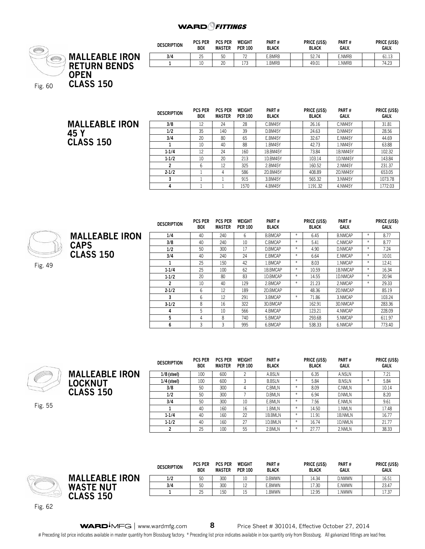## **WARD**<sup>Q</sup>FITTINGS



| <b>DESCRIPTION</b> | <b>PCS PER</b><br><b>BOX</b> | <b>PCS PER</b><br><b>MASTER</b> | WEIGHT<br><b>PER 100</b> | PART#<br><b>BLACK</b> | PRICE (US\$)<br><b>BLACK</b> | PART#<br><b>GALV</b> | PRICE (US\$)<br><b>GALV.</b> |
|--------------------|------------------------------|---------------------------------|--------------------------|-----------------------|------------------------------|----------------------|------------------------------|
| 3/4                | 25                           | 50                              | $\neg$                   | E.BMRB                | 52.74                        | E.NMRB               | 61.13                        |
|                    | ιv                           | 20                              | 173                      | .BMRB                 | 49.01                        | .NMRB                | 74.23                        |

|                       | <b>DESCRIPTION</b> | <b>PCS PER</b><br><b>BOX</b> | PCS PER<br><b>MASTER</b> | WEIGHT<br><b>PER 100</b> | PART#<br><b>BLACK</b> | <b>PRICE (USS)</b><br><b>BLACK</b> | PART#<br>GALV. | <b>PRICE (USS)</b><br>GALV. |
|-----------------------|--------------------|------------------------------|--------------------------|--------------------------|-----------------------|------------------------------------|----------------|-----------------------------|
| <b>MALLEABLE IRON</b> | 3/8                | 12                           | 24                       | 28                       | C.BM45Y               | 26.16                              | C.NM45Y        | 31.81                       |
| 45 Y                  | 1/2                | 35                           | 140                      | 39                       | D.BM45Y               | 24.63                              | D.NM45Y        | 28.56                       |
|                       | 3/4                | 20                           | 80                       | 65                       | E.BM45Y               | 32.67                              | E.NM45Y        | 44.69                       |
| <b>CLASS 150</b>      |                    | 10                           | 40                       | 88                       | 1.BM45Y               | 42.73                              | 1.NM45Y        | 63.88                       |
|                       | $1 - 1/4$          | 12                           | 24                       | 160                      | 1B.BM45Y              | 73.84                              | 1B.NM45Y       | 102.32                      |
|                       | $1 - 1/2$          | 10                           | 20                       | 213                      | 1D.BM45Y              | 103.14                             | 1D.NM45Y       | 143.84                      |
|                       |                    | b                            | 12                       | 325                      | 2.BM45Y               | 160.52                             | 2.NM45Y        | 231.37                      |
|                       | $2 - 1/2$          |                              | 4                        | 586                      | 2D.BM45Y              | 408.89                             | 2D.NM45Y       | 653.05                      |
|                       |                    |                              |                          | 915                      | 3.BM45Y               | 565.32                             | 3.NM45Y        | 1073.78                     |
|                       |                    |                              |                          | 1570                     | 4.BM45Y               | 1191.32                            | 4.NM45Y        | 1772.03                     |

| $\varphi$ |                       | <b>DESCRIPTION</b> | <b>PCS PER</b><br><b>BOX</b> | <b>PCS PER</b><br><b>MASTER</b> | WEIGHT<br><b>PER 100</b> | PART #<br><b>BLACK</b> |            | <b>PRICE (USS)</b><br><b>BLACK</b> | PART#<br>GALV. |        | <b>PRICE (USS)</b><br>GALV. |
|-----------|-----------------------|--------------------|------------------------------|---------------------------------|--------------------------|------------------------|------------|------------------------------------|----------------|--------|-----------------------------|
|           | <b>MALLEABLE IRON</b> | 1/4                | 40                           | 240                             | 6                        | <b>B.BMCAP</b>         | $*$        | 6.45                               | <b>B.NMCAP</b> | $*$    | 8.77                        |
|           | <b>CAPS</b>           | 3/8                | 40                           | 240                             | 10                       | C.BMCAP                |            | 5.41                               | C.NMCAP        | $*$    | 8.77                        |
|           |                       | 1/2                | 50                           | 300                             | 17                       | D.BMCAP                |            | 4.90                               | D.NMCAP        | $*$    | 7.24                        |
|           | <b>CLASS 150</b>      | 3/4                | 40                           | 240                             | 24                       | E.BMCAP                | $*$        | 6.64                               | E.NMCAP        | $\ast$ | 10.01                       |
| Fig. 49   |                       |                    | 25                           | 150                             | 42                       | 1.BMCAP                |            | 8.03                               | 1.NMCAP        | $*$    | 12.41                       |
|           |                       | $1 - 1/4$          | 25                           | 100                             | 62                       | 1B.BMCAP               |            | 10.59                              | 1B.NMCAP       | $*$    | 16.34                       |
|           |                       | $1 - 1/2$          | 20                           | 80                              | 83                       | 1D.BMCAP               | $\ddot{x}$ | 14.55                              | 1D.NMCAP       | $*$    | 20.94                       |
|           |                       |                    | 10                           | 40                              | 129                      | 2.BMCAP                |            | 21.23                              | 2.NMCAP        | $*$    | 29.33                       |
|           |                       | $2 - 1/2$          | 6                            | 12                              | 189                      | 2D.BMCAP               |            | 48.36                              | 2D.NMCAP       |        | 85.19                       |
|           |                       |                    | 6                            | 12                              | 291                      | 3.BMCAP                |            | 71.86                              | 3.NMCAP        |        | 103.24                      |
|           |                       | $3-1/2$            | 8                            | 16                              | 322                      | 3D.BMCAP               |            | 162.91                             | 3D.NMCAP       |        | 283.36                      |
|           |                       | 4                  | 5                            | 10                              | 566                      | 4.BMCAP                |            | 123.21                             | 4.NMCAP        |        | 228.09                      |
|           |                       |                    | 4                            | 8                               | 740                      | 5.BMCAP                |            | 293.68                             | 5.NMCAP        |        | 611.97                      |
|           |                       | 6                  | 3                            |                                 | 995                      | 6.BMCAP                |            | 538.33                             | 6.NMCAP        |        | 773.40                      |



Fig. 55

**MALLEABLE IRON LOCKNUT CLASS 150**

| <b>DESCRIPTION</b> | <b>PCS PER</b><br>BOX | <b>PCS PER</b><br><b>MASTER</b> | WEIGHT<br><b>PER 100</b> | PART#<br><b>BLACK</b> |        | PRICE (US\$)<br><b>BLACK</b> | PART#<br>GALV. |        | PRICE (US\$)<br>GALV. |
|--------------------|-----------------------|---------------------------------|--------------------------|-----------------------|--------|------------------------------|----------------|--------|-----------------------|
| $1/8$ (steel)      | 100                   | 600                             | 2                        | A.BSLN                |        | 6.35                         | A.NSLN         |        | 7.21                  |
| $1/4$ (steel)      | 100                   | 600                             | 3                        | <b>B.BSLN</b>         | $\ast$ | 5.84                         | <b>B.NSLN</b>  | $\ast$ | 5.84                  |
| 3/8                | 50                    | 300                             | 4                        | C.BMLN                | $\ast$ | 8.09                         | C.NMLN         |        | 10.14                 |
| 1/2                | 50                    | 300                             |                          | <b>D.BMLN</b>         | $\ast$ | 6.94                         | D.NMLN         |        | 8.20                  |
| 3/4                | 50                    | 300                             | 10                       | E.BMLN                | $*$    | 7.56                         | E.NMLN         |        | 9.61                  |
|                    | 40                    | 160                             | 16                       | 1.BMLN                | $\ast$ | 14.50                        | 1.NMLN         |        | 17.48                 |
| $1 - 1/4$          | 40                    | 160                             | 22                       | 1B.BMLN               | $\ast$ | 11.91                        | 1B.NMLN        |        | 16.77                 |
| $1 - 1/2$          | 40                    | 160                             | 27                       | 1D.BMLN               | $\ast$ | 16.74                        | 1D.NMLN        |        | 21.77                 |
| 2                  | 25                    | 100                             | 55                       | 2.BMLN                | $\ast$ | 27.77                        | 2.NMLN         |        | 38.33                 |

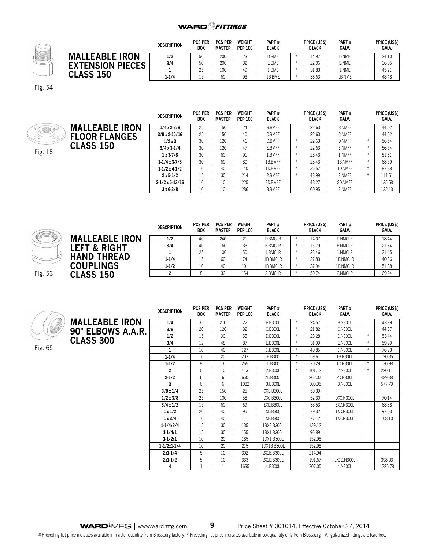

|                         | <b>DESCRIPTION</b> | <b>PCS PER</b><br><b>BOX</b> | <b>PCS PER</b><br><b>MASTER</b> | WEIGHT<br><b>PER 100</b> | PART#<br><b>BLACK</b> | PRICE (US\$)<br><b>BLACK</b> | <b>PART#</b><br>GALV. | PRICE (US\$)<br>GALV. |
|-------------------------|--------------------|------------------------------|---------------------------------|--------------------------|-----------------------|------------------------------|-----------------------|-----------------------|
| <b>MALLEABLE IRON</b>   | 1/2                | 50                           | 200                             | 23                       | D.BME                 | 14.97                        | D.NME                 | 24.10                 |
| <b>EXTENSION PIECES</b> | 3/4                | 50                           | 200                             | 32                       | E.BME                 | 22.06                        | E.NME                 | 36.05                 |
|                         |                    | 25                           | 100                             | 49                       | .BME                  | 31.83                        | l.NME                 | 45.21                 |
| <b>CLASS 150</b>        | $1 - 1/4$          |                              | 60                              | 93                       | 1B.BME                | 36.63                        | 1B.NME                | 48.48                 |

Fig. 54



|                       | <b>DESCRIPTION</b>     | <b>PCS PER</b><br><b>BOX</b> | <b>PCS PER</b><br><b>MASTER</b> | WEIGHT<br><b>PER 100</b> | PART#<br><b>BLACK</b> |        | PRICE (US\$)<br><b>BLACK</b> | PART#<br><b>GALV.</b> |               | PRICE (US\$)<br>GALV. |
|-----------------------|------------------------|------------------------------|---------------------------------|--------------------------|-----------------------|--------|------------------------------|-----------------------|---------------|-----------------------|
| <b>MALLEABLE IRON</b> | $1/4x2-3/8$            | 25                           | 150                             | 24                       | <b>B.BMFF</b>         |        | 22.63                        | <b>B.NMFF</b>         |               | 44.02                 |
| <b>FLOOR FLANGES</b>  | $3/8 \times 2 - 15/16$ | 25                           | 150                             | 40                       | C.BMFF                |        | 22.63                        | <b>C.NMFF</b>         |               | 44.02                 |
|                       | 1/2x3                  | 30                           | 120                             | 46                       | D.BMFF                | $*$    | 22.63                        | <b>D.NMFF</b>         | $\ast$        | 56.54                 |
| <b>CLASS 150</b>      | $3/4x3-1/4$            | 30                           | 120                             | 47                       | E.BMFF                | $\ast$ | 22.63                        | E.NMFF                |               | 56.54                 |
|                       | $1x3-7/8$              | 30                           | 60                              | 91                       | 1.BMFF                | $*$    | 28.43                        | 1.NMFF                | $\ast$        | 51.61                 |
|                       | $1-1/4x3-7/8$          | 30                           | 60                              | 80                       | 1B.BMFF               | $*$    | 28.43                        | 1B.NMFF               | $\ast$        | 68.59                 |
|                       | $1-1/2x4-1/2$          | 10                           | 40                              | 140                      | 1D.BMFF               | $*$    | 36.57                        | 1D.NMFF               | $\ast$        | 87.88                 |
|                       | $2x 5-1/2$             | 15                           | 30                              | 214                      | 2.BMFF                | $*$    | 43.99                        | 2.NMFF                | $\frac{N}{2}$ | 111.61                |
|                       | $2-1/2x$ 5-13/16       | 10                           | 10                              | 225                      | 2D.BMFF               |        | 48.27                        | 2D.NMFF               |               | 135.68                |
|                       | $3x6-3/8$              | 10                           | 10                              | 286                      | 3.BMFF                |        | 60.95                        | 3.NMFF                |               | 132.43                |



|                         | <b>DESCRIPTION</b> | <b>PCS PER</b><br><b>BOX</b> | <b>PCS PER</b><br><b>MASTER</b> | <b>WEIGHT</b><br><b>PER 100</b> | PART#<br><b>BLACK</b> | PRICE (US\$)<br><b>BLACK</b> | PART#<br>GALV. | <b>PRICE (US\$)</b><br>GALV. |
|-------------------------|--------------------|------------------------------|---------------------------------|---------------------------------|-----------------------|------------------------------|----------------|------------------------------|
| <b>MALLEABLE IRON</b>   | 1/2                | 40                           | 240                             | 21                              | D.BMCLR               | 14.07                        | D.NMCLR        | 18.44                        |
| <b>LEFT &amp; RIGHT</b> | 3/4                | 40                           | 160                             | 33                              | E.BMCLR               | 15.79                        | E.NMCLR        | 21.34                        |
|                         |                    | 25                           | 100                             | 50                              | 1.BMCLR               | 23.46                        | 1.NMCLR        | 31.45                        |
| <b>HAND THREAD</b>      | $1 - 1/4$          | 15                           | 60                              | 74                              | 1B.BMCLR              | 27.83                        | 1B.NMCLR       | 40.36                        |
| <b>COUPLINGS</b>        | $1 - 1/2$          | 10                           | 40                              | 101                             | 1D.BMCLR              | 37.94                        | 1D.NMCLR       | 51.88                        |
| <b>CLASS 150</b>        |                    |                              | 32                              | 154                             | 2.BMCLR               | 50.74                        | 2.NMCLR        | 69.94                        |



|                       | <b>DESCRIPTION</b> | <b>PCS PER</b><br><b>BOX</b> | <b>PCS PER</b><br><b>MASTER</b> | <b>WEIGHT</b><br><b>PER 100</b> | PART#<br><b>BLACK</b> |               | <b>PRICE (US\$)</b><br><b>BLACK</b> | PART#<br>GALV. |               | PRICE (US\$)<br>GALV. |
|-----------------------|--------------------|------------------------------|---------------------------------|---------------------------------|-----------------------|---------------|-------------------------------------|----------------|---------------|-----------------------|
| <b>MALLEABLE IRON</b> | 1/4                | 35                           | 210                             | 22                              | <b>B.B300L</b>        | $\frac{1}{2}$ | 24.57                               | <b>B.N300L</b> |               | 43.99                 |
| 90° ELBOWS A.A.R.     | 3/8                | 20                           | 120                             | 32                              | C.B300L               | $*$           | 21.82                               | C.N300L        |               | 44.87                 |
|                       | 1/2                | 15                           | 90                              | 55                              | D.B300L               | $\ast$        | 28.28                               | D.N300L        | $\frac{1}{2}$ | 53.44                 |
| <b>CLASS 300</b>      | 3/4                | 12                           | 48                              | 87                              | E.B300L               | $\ast$        | 31.99                               | E.N300L        | $\ast$        | 59.99                 |
|                       | 1                  | 10                           | 40                              | 127                             | 1.B300L               | $*$           | 40.85                               | 1.N300L        | $\ast$        | 76.93                 |
|                       | $1 - 1/4$          | 10                           | 20                              | 203                             | 1B.B300L              | $\ast$        | 59.61                               | 1B.N300L       |               | 120.85                |
|                       | $1 - 1/2$          | 8                            | 16                              | 265                             | 1D.B300L              | $\ast$        | 70.29                               | 1D.N300L       | $\frac{1}{2}$ | 130.98                |
|                       | $\overline{c}$     | 5                            | 10                              | 413                             | 2.B300L               | $*$           | 101.12                              | 2.N300L        | $\ast$        | 220.11                |
|                       | $2 - 1/2$          | 6                            | 6                               | 650                             | 2D.B300L              |               | 262.07                              | 2D.N300L       |               | 489.88                |
|                       | 3                  | 6                            | 6                               | 1032                            | 3.B300L               |               | 300.95                              | 3.N300L        |               | 577.79                |
|                       | 3/8 x 1/4          | 25                           | 150                             | 25                              | CXB.B300L             |               | 50.39                               |                |               |                       |
|                       | 1/2x3/8            | 25                           | 100                             | 58                              | DXC.B300L             |               | 52.30                               | DXC.N300L      |               | 70.14                 |
|                       | 3/4x1/2            | 15                           | 60                              | 69                              | EXD.B300L             |               | 38.53                               | EXD.N300L      |               | 68.38                 |
|                       | 1x1/2              | 20                           | 40                              | 95                              | 1XD.B300L             |               | 79.32                               | 1XD.N300L      |               | 97.03                 |
|                       | 1x3/4              | 10                           | 40                              | 111                             | 1XE.B300L             |               | 77.12                               | 1XE.N300L      |               | 108.10                |
|                       | $1 - 1/4x3/4$      | 15                           | 30                              | 135                             | 1BXE.B300L            |               | 139.12                              |                |               |                       |
|                       | $1 - 1/4x1$        | 15                           | 30                              | 155                             | 1BX1.B300L            |               | 96.89                               |                |               |                       |
|                       | $1 - 1/2x1$        | 10                           | 20                              | 185                             | 1DX1.B300L            |               | 152.98                              |                |               |                       |
|                       | $1-1/2x1-1/4$      | 10                           | 20                              | 215                             | 1DX1B.B300L           |               | 152.98                              |                |               |                       |
|                       | $2x1 - 1/4$        | 5                            | 10                              | 302                             | 2X1B.B300L            |               | 214.94                              |                |               |                       |
|                       | $2x1 - 1/2$        | 5                            | 10                              | 333                             | 2X1D.B300L            |               | 191.67                              | 2X1D.N300L     |               | 398.03                |
|                       | 4                  |                              |                                 | 1635                            | 4.B300L               |               | 707.05                              | 4.N300L        |               | 1726.78               |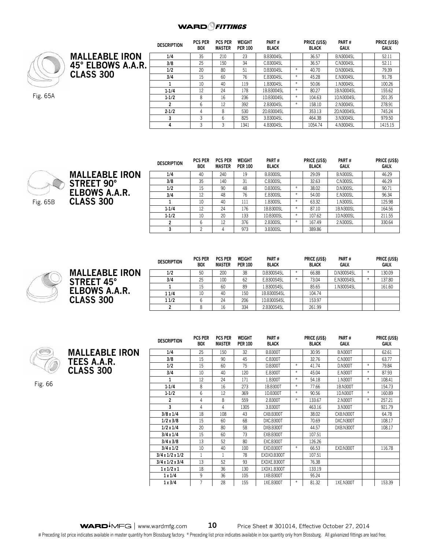## **WARD**<sup>Q</sup>FITTINGS



Fig. 65A

|                       | <b>DESCRIPTION</b> | <b>PCS PER</b><br><b>BOX</b> | <b>PCS PER</b><br><b>MASTER</b> | WEIGHT<br><b>PER 100</b> | PART#<br><b>BLACK</b> |        | PRICE (US\$)<br><b>BLACK</b> | PART#<br>GALV.   | PRICE (US\$)<br>GALV. |
|-----------------------|--------------------|------------------------------|---------------------------------|--------------------------|-----------------------|--------|------------------------------|------------------|-----------------------|
| <b>MALLEABLE IRON</b> | 1/4                | 35                           | 210                             | 23                       | <b>B.B30045L</b>      |        | 36.57                        | <b>B.N30045L</b> | 52.11                 |
| 45° ELBOWS A.A.R.     | 3/8                | 25                           | 150                             | 34                       | C.B30045L             |        | 36.57                        | C.N30045L        | 52.11                 |
|                       | 1/2                | 20                           | 80                              | 51                       | D.B30045L             | $\ast$ | 40.70                        | D.N30045L        | 79.39                 |
| <b>CLASS 300</b>      | 3/4                | 15                           | 60                              | 76                       | E.B30045L             | $*$    | 45.28                        | E.N30045L        | 91.78                 |
|                       |                    | 10                           | 40                              | 119                      | 1.B30045L             | $*$    | 50.06                        | 1.N30045L        | 100.26                |
|                       | $1 - 1/4$          | 12                           | 24                              | 178                      | 1B.B30045L            | $\ast$ | 80.27                        | 1B.N30045L       | 155.62                |
|                       | $1-1/2$            | 8                            | 16                              | 236                      | 1D.B30045L            | $*$    | 104.63                       | 1D.N30045L       | 201.35                |
|                       | 2                  | 6                            | 12                              | 392                      | 2.B30045L             | $*$    | 158.10                       | 2.N30045L        | 278.91                |
|                       | $2 - 1/2$          | 4                            | 8                               | 530                      | 2D.B30045L            |        | 353.13                       | 2D.N30045L       | 745.24                |
|                       |                    |                              |                                 |                          |                       |        |                              |                  |                       |



| <b>DESCRIPTION</b> | <b>PCS PER</b><br><b>BOX</b> | <b>PCS PER</b><br><b>MASTER</b> | WEIGHT<br><b>PER 100</b> | PART#<br><b>BLACK</b> |        | <b>PRICE (US\$)</b><br><b>BLACK</b> | PART#<br>GALV.  | PRICE (US\$)<br>GALV. |
|--------------------|------------------------------|---------------------------------|--------------------------|-----------------------|--------|-------------------------------------|-----------------|-----------------------|
| 1/4                | 40                           | 240                             | 19                       | <b>B.B300SL</b>       |        | 29.09                               | <b>B.N300SL</b> | 46.29                 |
| 3/8                | 35                           | 140                             | 31                       | C.B300SL              |        | 32.63                               | <b>C.N300SL</b> | 46.29                 |
| 1/2                | 15                           | 90                              | 48                       | <b>D.B300SL</b>       | $\ast$ | 38.02                               | <b>D.N300SL</b> | 90.71                 |
| 3/4                | 12                           | 48                              | 76                       | E.B300SL              | $\ast$ | 54.00                               | <b>E.N300SL</b> | 96.34                 |
|                    | 10                           | 40                              | 111                      | 1.B300SL              | $\ast$ | 63.32                               | 1.N300SL        | 125.98                |
| $1 - 1/4$          | 12                           | 24                              | 176                      | 1B.B300SL             | $\ast$ | 87.10                               | 1B.N300SL       | 164.56                |
| $1 - 1/2$          | 10                           | 20                              | 133                      | 1D.B300SL             | $\ast$ | 107.62                              | 1D.N300SL       | 211.55                |
| 2                  | 6                            | 12                              | 376                      | 2.B300SL              | $\ast$ | 167.49                              | 2.N300SL        | 330.64                |
| 3                  | 2                            | 4                               | 973                      | 3.B300SL              |        | 389.86                              |                 |                       |

**3** 3 6 825 3.B30045L 464.38 3.N30045L 979.50 **4** 3 3 1341 4.B30045L 1054.74 4.N30045L 1415.15



**MALLEABLE IRON STREET 45° ELBOWS A.A.R. CLASS 300**

| <b>DESCRIPTION</b> | <b>PCS PER</b><br><b>BOX</b> | <b>PCS PER</b><br><b>MASTER</b> | <b>WEIGHT</b><br><b>PER 100</b> | PART#<br><b>BLACK</b> |   | PRICE (US\$)<br><b>BLACK</b> | PART#<br>GALV. |        | PRICE (US\$)<br>GALV. |
|--------------------|------------------------------|---------------------------------|---------------------------------|-----------------------|---|------------------------------|----------------|--------|-----------------------|
| 1/2                | 50                           | 200                             | 38                              | D.B300S45L            | ¥ | 66.88                        | D.N300S45L     | $\ast$ | 130.09                |
| 3/4                | 25                           | 100                             | 62                              | E.B300S45L            | ⋇ | 73.04                        | E.N300S45L     | $\ast$ | 137.80                |
|                    | 15                           | 60                              | 89                              | 1.B300S45L            |   | 85.65                        | 1.N300S45L     |        | 161.60                |
| 11/4               | 10                           | 40                              | 150                             | 1B.B300S45L           |   | 104.74                       |                |        |                       |
| 11/2               |                              | 24                              | 206                             | 1D.B300S45L           |   | 153.97                       |                |        |                       |
|                    | 8                            | 16                              | 334                             | 2.B300S45L            |   | 261.99                       |                |        |                       |

**MALLEABLE IRON TEES A.A.R. CLASS 300** 

Fig. 66

| <b>DESCRIPTION</b> | <b>PCS PER</b><br>BOX | <b>PCS PER</b><br><b>MASTER</b> | WEIGHT<br><b>PER 100</b> | PART#<br><b>BLACK</b> |        | <b>PRICE (USS)</b><br><b>BLACK</b> | PART#<br>GALV. |               | <b>PRICE (USS)</b><br><b>GALV.</b> |
|--------------------|-----------------------|---------------------------------|--------------------------|-----------------------|--------|------------------------------------|----------------|---------------|------------------------------------|
| 1/4                | 25                    | 150                             | 32                       | <b>B.B300T</b>        |        | 30.95                              | <b>B.N300T</b> |               | 62.61                              |
| 3/8                | 15                    | 90                              | 45                       | C.B300T               |        | 32.76                              | C.N300T        |               | 63.77                              |
| 1/2                | 15                    | 60                              | 75                       | <b>D.B300T</b>        | $*$    | 41.74                              | <b>D.N300T</b> | $*$           | 79.84                              |
| 3/4                | 10                    | 40                              | 120                      | E.B300T               | $*$    | 45.04                              | E.N300T        | $*$           | 87.93                              |
| 1                  | 12                    | 24                              | 171                      | 1.B300T               | $\ast$ | 54.18                              | 1.N300T        | $*$           | 108.41                             |
| $1 - 1/4$          | 8                     | 16                              | 273                      | 1B.B300T              | $*$    | 77.66                              | 1B.N300T       |               | 154.73                             |
| $1-1/2$            | 6                     | 12                              | 369                      | 1D.B300T              | $*$    | 90.56                              | 1D.N300T       | $\ast$        | 160.89                             |
| $\overline{2}$     | 4                     | 8                               | 559                      | 2.B300T               | $\ast$ | 133.67                             | 2.N300T        | $\frac{w}{2}$ | 257.21                             |
| 3                  | 4                     | 4                               | 1305                     | 3.B300T               |        | 463.16                             | 3.N300T        |               | 921.79                             |
| 3/8x1/4            | 18                    | 108                             | 43                       | CXB.B300T             |        | 38.02                              | CXB.N300T      |               | 64.78                              |
| 1/2x3/8            | 15                    | 60                              | 68                       | DXC.B300T             |        | 70.69                              | DXC.N300T      |               | 108.17                             |
| 1/2 x 1/4          | 20                    | 80                              | 58                       | DXB.B300T             |        | 44.57                              | DXB.N300T      |               | 108.17                             |
| 3/4 x 1/4          | 15                    | 60                              | 73                       | EXB.B300T             |        | 107.51                             |                |               |                                    |
| 3/4x3/8            | 13                    | 52                              | 80                       | EXC.B300T             |        | 126.26                             |                |               |                                    |
| $3/4 \times 1/2$   | 10                    | 40                              | 100                      | EXD.B300T             | $\ast$ | 66.53                              | EXD.N300T      |               | 116.78                             |
| 3/4x1/2x1/2        | 1                     | 1                               | 78                       | EXDXD.B300T           |        | 107.51                             |                |               |                                    |
| 3/4x1/2x3/4        | 13                    | 52                              | 93                       | EXDXE.B300T           |        | 76.38                              |                |               |                                    |
| 1x1/2x1            | 18                    | 36                              | 130                      | 1XDX1.B300T           |        | 133.19                             |                |               |                                    |
| 1x1/4              | 9                     | 36                              | 105                      | 1XB.B300T             |        | 95.24                              |                |               |                                    |
| 1x3/4              | 7                     | 28                              | 155                      | 1XE.B300T             | $\ast$ | 81.32                              | 1XE.N300T      |               | 153.39                             |

WARD<sup>I</sup>MFG | www.wardmfg.com **10** Price Sheet # 301014, Effective October 27, 2014 # Preceding list price indicates available in master quantity from Blossburg factory. \* Preceding list price indicates available in box quantity only from Blossburg. All galvanized fittings are lead free.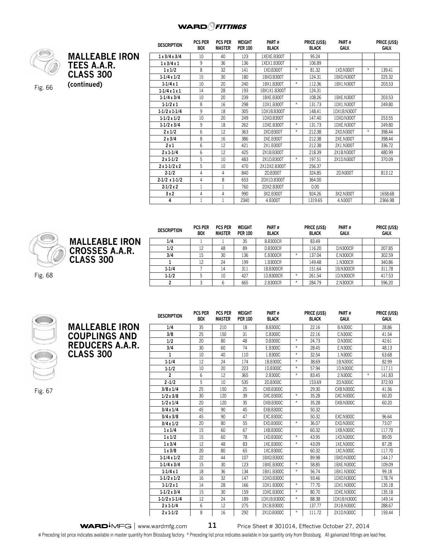

**(continued)** Fig. 66

|                       | <b>DESCRIPTION</b>   | <b>PCS PER</b><br><b>BOX</b> | <b>PCS PER</b><br>MASTER | <b>WEIGHT</b><br><b>PER 100</b> | PART#<br><b>BLACK</b> |        | PRICE (US\$)<br><b>BLACK</b> | PART#<br><b>GALV.</b> | PRICE (US<br>GALV. |
|-----------------------|----------------------|------------------------------|--------------------------|---------------------------------|-----------------------|--------|------------------------------|-----------------------|--------------------|
| <b>MALLEABLE IRON</b> | 1x3/4x3/4            | 10                           | 40                       | 123                             | 1XEXE.B300T           |        | 95.24                        |                       |                    |
| TEES A.A.R.           | 1x3/4x1              | 9                            | 36                       | 136                             | 1XEX1.B300T           |        | 106.89                       |                       |                    |
|                       | 1x1/2                | 8                            | 32                       | 141                             | 1XD.B300T             | $*$    | 81.32                        | 1XD.N300T             | 139.41             |
| <b>CLASS 300</b>      | $1-1/4 \times 1/2$   | 15                           | 30                       | 180                             | 1BXD.B300T            |        | 124.31                       | 1BXD.N300T            | 225.32             |
| (continued)           | $1 - 1/4x1$          | 10                           | 20                       | 240                             | 1BX1.B300T            | $\ast$ | 112.36                       | 1BX1.N300T            | 203.53             |
|                       | $1 - 1/4x1x1$        | 14                           | 28                       | 193                             | 1BX1X1.B300T          |        | 124.31                       |                       |                    |
|                       | $1-1/4 \times 3/4$   | 10                           | 20                       | 239                             | 1BXE.B300T            |        | 108.26                       | 1BXE.N300T            | 203.53             |
|                       | $1 - 1/2x1$          | 8                            | 16                       | 298                             | 1DX1.B300T            |        | 131.73                       | 1DX1.N300T            | 249.80             |
|                       | $1-1/2 \times 1-1/4$ | 9                            | 18                       | 305                             | 1DX1B.B300T           |        | 148.41                       | 1DX1B.N300T           |                    |

|                       | <b>DESCRIPTION</b> | <b>PCS PER</b><br><b>BOX</b> | <b>PCS PER</b><br>MASTER | WEIGHT<br><b>PER 100</b> | PART#<br><b>BLACK</b> | PRICE (US\$)<br><b>BLACK</b> | PART#<br><b>GALV.</b> | PRICE (US\$)<br>GALV. |
|-----------------------|--------------------|------------------------------|--------------------------|--------------------------|-----------------------|------------------------------|-----------------------|-----------------------|
| <b>MALLEABLE IRON</b> | 1/4                |                              |                          | 35                       | <b>B.B300CR</b>       | 83.49                        |                       |                       |
| <b>CROSSES A.A.R.</b> | 1/2                | 12                           | 48                       | 89                       | <b>D.B300CR</b>       | 116.20                       | <b>D.N300CR</b>       | 207.85                |
|                       | 3/4                | 15                           | 30                       | 136                      | <b>E.B300CR</b>       | 137.04                       | <b>E.N300CR</b>       | 302.59                |
| <b>CLASS 300</b>      |                    | 12                           | 24                       | 199                      | 1.B300CR              | 149.48                       | 1.N300CR              | 340.86                |
|                       | $1 - 1/4$          |                              | 14                       | 311                      | 1B.B300CR             | 151.64                       | 1B.N300CR             | 311.78                |
|                       | $1 - 1/2$          |                              | 10                       | 427                      | 1D.B300CR             | 261.54                       | 1D.N300CR             | 417.53                |
|                       |                    |                              |                          | 665                      | 2.B300CR              | 284.79                       | 2.N300CR              | 596.20                |

**2 x 1-1/2 x 2**  $\begin{array}{|c|c|c|c|c|c|} \hline 5 & 5 & 10 & 470 & 2 \text{X1DX2} & \text{B300T} & 256.37 \hline \end{array}$ 

**2-1/2 x 1-1/2** 4 8 653 2DX1D.B300T 864.00 **2-1/2 x 2** 1 1 760 2DX2.B300T 0.00

**1-1/2 x 1/2** | IO | 20 | 249 | IDXD.B300T | | I47.40 | IDXD.N300T | | 253.55 **1-1/2 x 3/4** 9 18 262 1DXE.B300T \* 131.73 1DXE.N300T 249.80 **2 x 1/2** | 6 | 12 | 363 | 2XD.B300T | \* | 2.I2.38 | 2XD.N300T | \* | 398.44 **2 x 3/4** | 8 | 16 | 386 | 2XE.B300T | | 212.38 | 2XE.N300T | | 398.44 **2 x 1** 6 12 421 2X1.B300T 212.38 2X1.N300T 336.72 **2 x 1-1/4** | 6 | 12 | 425 | 2X1B.B300T | | 218.39 | 2X1B.N300T | | 480.99 **2 x 1-1/2** | 5 | 1.0 | 483 | 2X1.D.B300T | \* | 197.51 | 2X1.D.N300T | | 370.09

**2-1/2** | 4 | 4 | 840 | 2D.B300T | | 324.85 | 2D.N300T | | 813.12

**3 x 2** 4 4 990 3X2.B300T 924.26 3X2.N300T 1658.68 **4** 1 1 2340 4.B300T 1319.65 4.N300T 2366.98

**Price (US\$) Galv.**



Fig. 67

Fig. 68

**MALLEABLE IRON COUPLINGS AND REDUCERS A.A.R. CLASS 300 Description Pcs per Box Pcs per Master Weight Per 100 Part # Black Price (US\$) Black Part # Galv. Price (US\$) Galv. 1/4** 35 210 18 B.B300C 22.16 B.N300C 28.86 **3/8** | 25 | 150 | 31 | C.B300C | | 22.16 | C.N300C | | 41.54 **1/2** 20 80 48 D.B300C \* 24.73 D.N300C 42.61 **3/4** | 30 | 60 | /4 | L.B300C |\* | 28.45 | L.N300C | | 48.13 **1** 10 40 110 1.B300C \* 32.54 1.N300C 63.68 **1-1/4** | I2 | 24 | I/4 | IB.B300C | \* | 38.69 | IB.N300C | | 82.99 **1-1/2** | IO | 2O | 223 | ID.B300C | \* | 57.94 | ID.N300C | | II/.II **2** 6 12 365 2.B300C \* 83.45 2.N300C \* 141.83 **2 -1/2** | 5 | 10 | 535 | 2D.B300C | | 153.69 | 2D.N300C | | 3/2.93 **3/8 x 1/4** 25 150 25 CXB.B300C 1 29.30 CXB.N300C 1 41.56 **1/2 x 3/8** | 30 | I20 | 39 | DXC.B300C | \* | 35.28 | DXC.N300C | | | 60.20 **1/2 x 1/4** | 20 | 120 | 35 | DXB.B300C | \* | 35.28 | DXB.N300C | | 60.20 **3/4 x 1/4**  $\begin{array}{|c|c|c|c|c|} \hline \end{array}$  45  $\begin{array}{|c|c|c|c|c|} \hline \end{array}$  50.32 **3/4 x 3/8** | 45 | 90 | 4/ | EXC.B300C | | 50.32 | EXC.N300C | | 96.64 **3/4 x 1/2** | 20 | 80 | 55 | EXD.B300C | \* | 36.0/ | EXD.N300C | | /3.0/ **1 x 1/4** | 15 | 60 | 67 | 1XB.B300C | | 60.32 | 1XB.N300C | | 117.70 **1 x 1/2** 15 60 78 1XD.B300C \* 43.95 1XD.N300C 89.05 **1 x 3/4** 12 48 83 1XE.B300C \* 43.09 1XE.N300C 87.28 **1 x 3/8** | 2.0 | 8.0 | 65 | IXC.B300C | | 60.32 | IXC.N300C | | II/./0 **1-1/4 x 1/2** | 22 | 44 | 10/ | IBXD.B300C | | 89.98 | IBXD.N300C | | 144.1/ **1-1/4 x 3/4** | 15 | 30 | 123 | 1BXL.B300C | \* | 58.85 | 1BXL.N300C | | 109.09 **1-1/4 x 1** 18 | 36 | 134 | 1BX1.B300C | \* | 56.74 | 1BX1.N300C | | 99.18 **1-1/2 x 1/2** 16 | 32 | 147 | 1DXD.B300C | | 93.46 | 1DXD.N300C | | 178.74 **1-1/2 x 1** 14 | 28 | 166 | IDX1.B300C | \* | //./0 | IDX1.N300C | | I35.18 **1-1/2 x 3/4** 15 15 16 30 159 1DXE.B300C 1 \* 180.70 1DXE.N300C 1 135.18 **1-1/2 x 1-1/4** 12 24 189 1DX1B.B300C \* 88.38 1DX1B.N300C 1 149.14 **2 x 1-1/4** | 6 | 12 | 2/5 | 2X1B.B300C | | 13*1.1*/ | 2X1B.N300C | | 288.6*1* **2 x 1-1/2** | 8 | 16 | 292 | 2X1D.B300C | \* | 1I1.72 | 2X1D.N300C | | 193.44

**WARD**<sup>M</sup>FG | www.wardmfg.com **11** Price Sheet # 301014, Effective October 27, 2014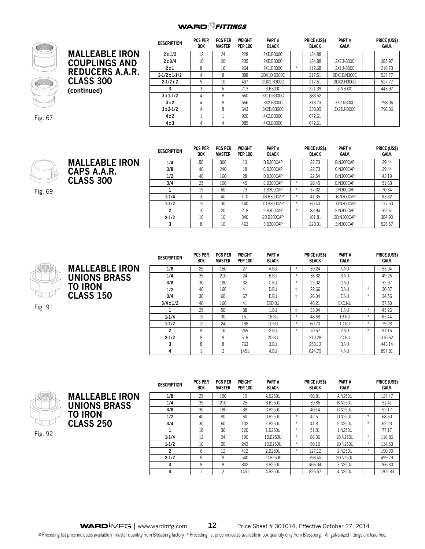## **WARD**<sup>Q</sup>FITTINGS



Fig. 67

|                        | <b>DESCRIPTION</b>   | <b>PCS PER</b><br><b>BOX</b> | <b>PCS PER</b><br><b>MASTER</b> | <b>WEIGHT</b><br><b>PER 100</b> | PART#<br><b>BLACK</b> |     | PRICE (US\$)<br>BLACK | PART#<br>GALV. | PRICE (US\$)<br>GALV. |
|------------------------|----------------------|------------------------------|---------------------------------|---------------------------------|-----------------------|-----|-----------------------|----------------|-----------------------|
| <b>MALLEABLE IRON</b>  | 2x1/2                | 12                           | 24                              | 228                             | 2XD.B300C             |     | 134.88                |                |                       |
| <b>COUPLINGS AND</b>   | 2x3/4                | 10                           | 20                              | 235                             | 2XE.B300C             |     | 134.88                | 2XE.N300C      | 285.97                |
|                        | 2x1                  | 8                            | 16                              | 264                             | 2X1.B300C             | $*$ | 112.68                | 2X1.N300C      | 216.73                |
| <b>REDUCERS A.A.R.</b> | $2-1/2 \times 1-1/2$ |                              | 8                               | 388                             | 2DX1D.B300C           |     | 217.51                | 2DX1D.N300C    | 527.77                |
| <b>CLASS 300</b>       | $2 - 1/2x2$          | b.                           | 10                              | 437                             | 2DX2.B300C            |     | 217.51                | 2DX2.N300C     | 527.77                |
| (continued)            |                      |                              | b                               | 713                             | 3.B300C               |     | 221.39                | 3.N300C        | 443.97                |
|                        | $3x1-1/2$            | 4                            | 8                               | 560                             | 3X1D.B300C            |     | 388.52                |                |                       |
|                        | 3x2                  |                              | 8                               | 566                             | 3X2.B300C             |     | 318.73                | 3X2.N300C      | 798.06                |
|                        | $3x2-1/2$            |                              | 8                               | 643                             | 3X2D.B300C            |     | 330.95                | 3X2D.N300C     | 798.06                |
|                        | 4x2                  |                              |                                 | 920                             | 4X2.B300C             |     | 672.61                |                |                       |
|                        | 4x3                  |                              |                                 | 985                             | 4X3.B300C             |     | 672.61                |                |                       |



**MALLEABLE IRON CAPS A.A.R. CLASS 300**

Fig. 69

| <b>DESCRIPTION</b> | <b>PCS PER</b><br><b>BOX</b> | <b>PCS PER</b><br><b>MASTER</b> | <b>WEIGHT</b><br><b>PER 100</b> | PART#<br><b>BLACK</b> |        | PRICE (US\$)<br><b>BLACK</b> | PART#<br><b>GALV.</b> | PRICE (US\$)<br><b>GALV.</b> |
|--------------------|------------------------------|---------------------------------|---------------------------------|-----------------------|--------|------------------------------|-----------------------|------------------------------|
| 1/4                | 50                           | 300                             | 13                              | B.B300CAP             |        | 22.73                        | B.N300CAP             | 29.44                        |
| 3/8                | 40                           | 240                             | 18                              | C.B300CAP             |        | 22.73                        | C.N300CAP             | 29.44                        |
| 1/2                | 40                           | 160                             | 28                              | D.B300CAP             |        | 22.54                        | D.N300CAP             | 43.19                        |
| 3/4                | 25                           | 100                             | 45                              | E.B300CAP             | $*$    | 28.45                        | E.N300CAP             | 51.63                        |
|                    | 15                           | 60                              | 73                              | 1.B300CAP             | $\ast$ | 37.32                        | 1.N300CAP             | 70.84                        |
| $1-1/4$            | 10                           | 40                              | 110                             | 1B.B300CAP            | $*$    | 41.35                        | 1B.N300CAP            | 83.82                        |
| $1 - 1/2$          | 15                           | 30                              | 140                             | 1D.B300CAP            | $*$    | 60.40                        | 1D.N300CAP            | 117.50                       |
| 2                  | 10                           | 20                              | 218                             | 2.B300CAP             | $*$    | 83.94                        | 2.N300CAP             | 162.61                       |
| $2 - 1/2$          | 10                           | 10                              | 340                             | 2D.B300CAP            |        | 161.81                       | 2D.N300CAP            | 384.90                       |
| 3                  | 8                            | 16                              | 463                             | 3.B300CAP             |        | 223.31                       | 3.N300CAP             | 525.57                       |



**MALLEABLE IRON UNIONS BRASS TO IRON CLASS 150** 

Fig. 91

| <b>DESCRIPTION</b> | <b>PCS PER</b><br><b>BOX</b> | <b>PCS PER</b><br><b>MASTER</b> | <b>WEIGHT</b><br><b>PER 100</b> | PART#<br><b>BLACK</b> |        | PRICE (US\$)<br><b>BLACK</b> | PART#<br><b>GALV.</b> |        | PRICE (US\$)<br>GALV. |
|--------------------|------------------------------|---------------------------------|---------------------------------|-----------------------|--------|------------------------------|-----------------------|--------|-----------------------|
| 1/8                | 25                           | 150                             | 27                              | A.BU                  | $\ast$ | 39.24                        | A.NU                  |        | 55.94                 |
| 1/4                | 35                           | 210                             | 24                              | <b>B.BU</b>           | $\ast$ | 36.32                        | B.NU                  |        | 49.26                 |
| 3/8                | 30                           | 180                             | 32                              | C.BU                  | $\ast$ | 25.02                        | C.NU                  |        | 32.97                 |
| 1/2                | 40                           | 160                             | 41                              | D.BU                  | #      | 22.66                        | D.NU                  | *      | 30.07                 |
| 3/4                | 30                           | 60                              | 67                              | E.BU                  | #      | 26.04                        | E.NU                  | $\ast$ | 34.56                 |
| $3/4 \times 1/2$   | 40                           | 160                             | 41                              | EXD.BU                |        | 46.21                        | EXD.NU                |        | 57.50                 |
| 1                  | 25                           | 50                              | 88                              | 1.BU                  | #      | 33.94                        | 1.NU                  | $\ast$ | 45.26                 |
| $1 - 1/4$          | 15                           | 30                              | 151                             | 1B.BU                 | $*$    | 48.68                        | 1B.NU                 | $\ast$ | 65.44                 |
| $1 - 1/2$          | 12                           | 24                              | 188                             | 1D.BU                 | $\ast$ | 60.70                        | 1D.NU                 | *      | 79.28                 |
| $\overline{2}$     | 8                            | 16                              | 265                             | 2.BU                  | $\ast$ | 70.57                        | 2.NU                  | $*$    | 91.15                 |
| $2 - 1/2$          | 8                            | 8                               | 518                             | 2D.BU                 |        | 210.28                       | 2D.NU                 |        | 316.62                |
| 3                  | 8                            | 8                               | 763                             | 3.BU                  |        | 253.13                       | 3.NU                  |        | 443.14                |
| 4                  |                              | $\overline{c}$                  | 1451                            | 4.BU                  |        | 624.79                       | 4.NU                  |        | 897.81                |





**Description Pcs per Box Pcs per Master Weight Per 100 Part # Black Price (US\$) Black Part # Galv. Price (US\$) Galv. 1/8** 25 150 15 A.B250U 98.81 A.N250U 127.47 **1/4** 35 210 25 B.B250U 39.86 B.N250U 51.41 **3/8** | 30 | 180 | 38 | C.B250U | | 40.14 | C.N250U | | 52.17 **1/2** | 40 | 80 | 60 | D.B250U | \* | 42.51 | D.N250U | \* | 68.50 **3/4** 30 60 102 E.B250U \* 41.81 E.N250U \* 62.23 **1** 18 | 36 | 120 | 1.B250U | \* | 51.31 | 1.N250U | | //.1/ **1-1/4** | I2 | 24 | I90 | IB.B250U | \* | 86.06 | IB.N250U | \* | II6.86 **1-1/2** 10 20 243 1D.B250U \* 99.10 1D.N250U \* 134.53 **2** 6 12 412 2.B250U \* 127.12 2.N250U \* 190.00 **2-1/2** | 8 | 8 | 540 | 2D.B250U | | 398.45 | 2D.N250U | | 499.79 **3** 8 8 842 3.B250U 842 8.B250U 8465.34 3.N250U 8 86.80 **4** 1 2 1451 4.B250U 826.57 4.N250U 1202.83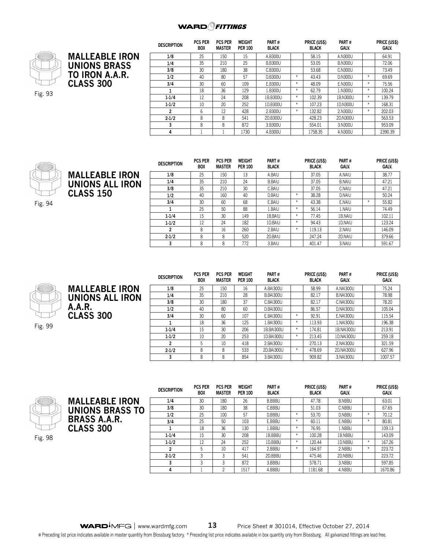

|                       | <b>DESCRIPTION</b> | <b>PCS PER</b><br><b>BOX</b> | <b>PCS PER</b><br><b>MASTER</b> | <b>WEIGHT</b><br><b>PER 100</b> | PART#<br><b>BLACK</b> |        | PRICE (US\$)<br><b>BLACK</b> | PART#<br>GALV. |        | PRICE (US\$)<br>GALV. |
|-----------------------|--------------------|------------------------------|---------------------------------|---------------------------------|-----------------------|--------|------------------------------|----------------|--------|-----------------------|
| <b>MALLEABLE IRON</b> | 1/8                | 25                           | 150                             | 15                              | A.B300U               |        | 58.15                        | A.N300U        |        | 64.91                 |
| <b>UNIONS BRASS</b>   | 1/4                | 35                           | 210                             | 25                              | <b>B.B300U</b>        |        | 53.05                        | <b>B.N300U</b> |        | 72.06                 |
|                       | 3/8                | 30                           | 180                             | 38                              | C.B300U               |        | 53.68                        | C.N300U        |        | 73.49                 |
| TO IRON A.A.R.        | 1/2                | 40                           | 80                              | 57                              | <b>D.B300U</b>        | $*$    | 43.43                        | D.N300U        | $*$    | 69.69                 |
| <b>CLASS 300</b>      | 3/4                | 30                           | 60                              | 109                             | E.B300U               | $\ast$ | 48.09                        | E.N300U        | $\ast$ | 75.56                 |
|                       |                    | 18                           | 36                              | 129                             | 1.B300U               | $\ast$ | 62.79                        | 1.N300U        | $*$    | 100.24                |
|                       | $1-1/4$            | 12                           | 24                              | 208                             | 1B.B300U              | $\ast$ | 102.39                       | 1B.N300U       | $*$    | 139.79                |
|                       | $1 - 1/2$          | 10                           | 20                              | 252                             | 1D.B300U              | $\ast$ | 107.23                       | 1D.N300U       | $\ast$ | 168.31                |
|                       | າ                  | 6                            | 12                              | 428                             | 2.B300U               | $*$    | 132.82                       | 2.N300U        | $\ast$ | 202.03                |
|                       | $2 - 1/2$          | 8                            | 8                               | 541                             | 2D.B300U              |        | 428.23                       | 2D.N300U       |        | 563.53                |
|                       | 3                  | 8                            | 8                               | 872                             | 3.B300U               |        | 554.01                       | 3.N300U        |        | 953.09                |
|                       | 4                  |                              |                                 | 1730                            | 4.B300U               |        | 1758.35                      | 4.N300U        |        | 2390.39               |





| <b>DESCRIPTION</b> | PUS PER<br><b>BOX</b> | PUS PER<br><b>MASTER</b> | WEIGHT<br><b>PER 100</b> | PARI#<br><b>BLACK</b> |     | PRICE (USS)<br><b>BLACK</b> | PARI#<br><b>GALV.</b> |   | PRICE (USS)<br><b>GALV.</b> |
|--------------------|-----------------------|--------------------------|--------------------------|-----------------------|-----|-----------------------------|-----------------------|---|-----------------------------|
| 1/8                | 25                    | 150                      | 13                       | A.BAIU                |     | 37.05                       | A.NAIU                |   | 38.77                       |
| 1/4                | 35                    | 210                      | 24                       | <b>B.BAIU</b>         |     | 37.05                       | <b>B.NAIU</b>         |   | 47.21                       |
| 3/8                | 35                    | 210                      | 30                       | C.BAIU                |     | 37.05                       | C.NAIU                |   | 47.21                       |
| 1/2                | 40                    | 160                      | 40                       | D.BAIU                | *   | 38.28                       | D.NAIU                |   | 50.24                       |
| 3/4                | 30                    | 60                       | 68                       | E.BAIU                | $*$ | 43.38                       | E.NAIU                | * | 55.82                       |
|                    | 25                    | 50                       | 88                       | 1.BAIU                | *   | 56.14                       | 1.NAIU                |   | 74.49                       |
| $1 - 1/4$          | 15                    | 30                       | 149                      | 1B.BAIU               | *   | 77.45                       | 1B.NAIU               |   | 102.11                      |
| $1 - 1/2$          | 12                    | 24                       | 182                      | 1D.BAIU               | *   | 94.43                       | 1D.NAIU               |   | 123.24                      |
| 2                  | 8                     | 16                       | 260                      | 2.BAIU                | $*$ | 119.13                      | 2.NAIU                |   | 146.09                      |
| $2 - 1/2$          | 8                     | 8                        | 520                      | 2D.BAIU               |     | 247.24                      | 2D.NAIU               |   | 379.66                      |
|                    | 8                     | 8                        | 772                      | 3.BAIU                |     | 401.47                      | 3.NAIU                |   | 591.67                      |



**MALLEABLE IRON UNIONS ALL IRON A.A.R. CLASS 300** 

Fig. 99

| <b>DESCRIPTION</b> | <b>PCS PER</b><br><b>BOX</b> | <b>PCS PER</b><br><b>MASTER</b> | <b>WEIGHT</b><br><b>PER 100</b> | PART#<br><b>BLACK</b> |     | PRICE (US\$)<br><b>BLACK</b> | PART#<br>GALV.   | PRICE (US\$)<br>GALV. |
|--------------------|------------------------------|---------------------------------|---------------------------------|-----------------------|-----|------------------------------|------------------|-----------------------|
| 1/8                | 25                           | 150                             | 16                              | A.BAI300U             |     | 58.99                        | A.NAI300U        | 75.24                 |
| 1/4                | 35                           | 210                             | 28                              | <b>B.BAI300U</b>      |     | 82.17                        | <b>B.NAI300U</b> | 78.98                 |
| 3/8                | 30                           | 180                             | 37                              | <b>C.BAI300U</b>      |     | 82.17                        | <b>C.NAI300U</b> | 78.20                 |
| 1/2                | 40                           | 80                              | 60                              | <b>D.BAI300U</b>      |     | 86.57                        | <b>D.NAI300U</b> | 105.04                |
| 3/4                | 30                           | 60                              | 107                             | E.BAI300U             | $*$ | 92.91                        | <b>E.NAI300U</b> | 115.54                |
| 1                  | 18                           | 36                              | 125                             | 1.BAI300U             | $*$ | 113.93                       | 1.NAI300U        | 196.38                |
| $1 - 1/4$          | 15                           | 30                              | 206                             | 1B.BAI300U            | $*$ | 174.81                       | 1B.NAI300U       | 213.91                |
| $1 - 1/2$          | 10                           | 20                              | 253                             | 1D.BAI300U            | $*$ | 213.45                       | 1D.NAI300U       | 259.18                |
| $\mathbf{2}$       | 5                            | 10                              | 418                             | 2.BAI300U             |     | 270.13                       | 2.NAI300U        | 321.59                |
| $2 - 1/2$          | 8                            | 8                               | 533                             | 2D.BAI300U            | $*$ | 478.69                       | 2D.NAI300U       | 627.96                |
| 3                  | 8                            | 8                               | 854                             | 3.BAI300U             |     | 909.82                       | 3.NAI300U        | 1007.57               |



**MALLEABLE IRON UNIONS BRASS TO BRASS A.A.R. CLASS 300** 

| <b>DESCRIPTION</b> | <b>PCS PER</b><br>BOX | <b>PCS PER</b><br>MASTER | <b>WEIGHT</b><br><b>PER 100</b> | PART#<br><b>BLACK</b> |        | PRICE (US\$)<br><b>BLACK</b> | PART#<br>GALV. |     | PRICE (US\$)<br><b>GALV.</b> |
|--------------------|-----------------------|--------------------------|---------------------------------|-----------------------|--------|------------------------------|----------------|-----|------------------------------|
| 1/4                | 30                    | 180                      | 26                              | <b>B.BBBU</b>         |        | 47.78                        | <b>B.NBBU</b>  |     | 63.01                        |
| 3/8                | 30                    | 180                      | 38                              | C.BBBU                |        | 51.03                        | C.NBBU         |     | 67.65                        |
| 1/2                | 25                    | 100                      | 57                              | D.BBBU                | $\ast$ | 53.70                        | D.NBBU         | $*$ | 70.12                        |
| 3/4                | 25                    | 50                       | 103                             | E.BBBU                | $\ast$ | 60.11                        | E.NBBU         | $*$ | 80.81                        |
|                    | 18                    | 36                       | 130                             | 1.BBBU                | $\ast$ | 76.95                        | 1.NBBU         |     | 109.13                       |
| $1 - 1/4$          | 15                    | 30                       | 208                             | 1B.BBBU               | $\ast$ | 100.28                       | 1B.NBBU        |     | 143.09                       |
| $1-1/2$            | 12                    | 24                       | 252                             | 1D.BBBU               | $*$    | 120.44                       | 1D.NBBU        | $*$ | 167.26                       |
| 2                  | 5                     | 10                       | 417                             | 2.BBBU                | $\ast$ | 164.97                       | 2.NBBU         | $*$ | 223.72                       |
| $2 - 1/2$          | 3                     | 3                        | 541                             | 2D.BBBU               |        | 475.46                       | 2D.NBBU        |     | 223.72                       |
| 3                  | 3                     | 3                        | 872                             | 3.BBBU                |        | 578.71                       | 3.NBBU         |     | 597.85                       |
| 4                  |                       | c                        | 1517                            | 4.BBBU                |        | 1181.68                      | 4.NBBU         |     | 1670.86                      |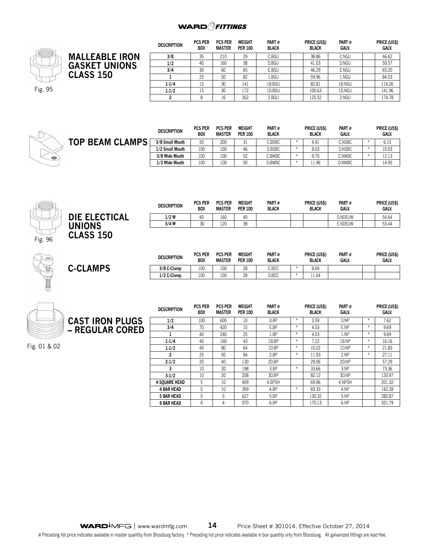

|                       | <b>DESCRIPTION</b> | <b>PCS PER</b><br><b>BOX</b> | <b>PCS PER</b><br><b>MASTER</b> | <b>WEIGHT</b><br><b>PER 100</b> | PART#<br><b>BLACK</b> | PRICE (US\$)<br><b>BLACK</b> | PART#<br><b>GALV.</b> | PRICE (US\$)<br>GALV. |
|-----------------------|--------------------|------------------------------|---------------------------------|---------------------------------|-----------------------|------------------------------|-----------------------|-----------------------|
| <b>MALLEABLE IRON</b> | 3/8                | 35                           | 210                             | 29                              | C.BGU                 | 38.86                        | C.NGU                 | 46.62                 |
| <b>GASKET UNIONS</b>  | 1/2                | 40                           | 160                             | 38                              | D.BGU                 | 41.03                        | D.NGU                 | 59.57                 |
|                       | 3/4                | 30                           | 60                              | 65                              | E.BGU                 | 46.29                        | E.NGU                 | 65.20                 |
| <b>CLASS 150</b>      |                    | 25                           | 50                              | 82                              | 1.BGU                 | 59.96                        | 1.NGU                 | 84.53                 |
|                       | $1 - 1/4$          | 15                           | 30                              | 141                             | 1B.BGU                | 82.81                        | 1B.NGU                | 116.26                |
|                       | $1 - 1/2$          | 15                           | 30                              | 172                             | 1D.BGU                | 100.63                       | 1D.NGU                | 141.96                |
|                       |                    |                              | 16                              | 262                             | 2.BGU                 | 125.52                       | 2.NGU                 | 174.78                |



|                        | <b>DESCRIPTION</b> | <b>PCS PER</b><br><b>BOX</b> | <b>PCS PER</b><br><b>MASTER</b> | WEIGHT<br><b>PER 100</b> | PART#<br><b>BLACK</b> | <b>PRICE (US\$)</b><br><b>BLACK</b> | PART#<br>GALV. | PRICE (US\$)<br>GALV. |
|------------------------|--------------------|------------------------------|---------------------------------|--------------------------|-----------------------|-------------------------------------|----------------|-----------------------|
| <b>TOP BEAM CLAMPS</b> | 3/8 Small Mouth    | 50                           | 200                             | 31                       | C.BSBC                | 4.91                                | C.NSBC         | 6.15                  |
|                        | 1/2 Small Mouth    | 100                          | 100                             | 46                       | D.BSBC                | 8.03                                | D.NSBC         | 10.03                 |
|                        | 3/8 Wide Mouth     | 100                          | 100                             | 52                       | C.BWBC                | 9.70                                | C.NWBC         | 12.13                 |
|                        | 1/2 Wide Mouth     | 100                          | 100                             | 50                       | D.BWBC                | 11.96                               | D.NWBC         | 14.95                 |



**C-CLAMPS**

|                  | <b>DESCRIPTION</b> | <b>PCS PER</b><br><b>BOX</b> | <b>PCS PER</b><br><b>MASTER</b> | WEIGHT<br><b>PER 100</b> | Part#<br><b>BLACK</b> | <b>PRICE (USS)</b><br><b>BLACK</b> | PART#<br><b>GALV.</b> | PRICE (US\$)<br>GALV. |
|------------------|--------------------|------------------------------|---------------------------------|--------------------------|-----------------------|------------------------------------|-----------------------|-----------------------|
| DIE ELECTICAL    | $1/2$ W            | 40                           | 160                             | 40                       |                       |                                    | <b>D.NDEUW</b>        | 54.64                 |
| <b>UNIONS</b>    | 3/4 W              | 20<br>◡◡                     | 120                             | 38                       |                       |                                    | E.NDEUW               | 53.44                 |
| <b>CLASS 150</b> |                    |                              |                                 |                          |                       |                                    |                       |                       |

| <b>DESCRIPTION</b> | <b>PCS PER</b><br>BOX | <b>PCS PER</b><br><b>MASTER</b> | WEIGHT<br><b>PER 100</b> | PART#<br><b>BLACK</b> | PRICE (US\$)<br><b>BLACK</b> | PART#<br><b>GALV.</b> | PRICE (US\$)<br><b>GALV.</b> |
|--------------------|-----------------------|---------------------------------|--------------------------|-----------------------|------------------------------|-----------------------|------------------------------|
| 3/8 C-Clamp        | 100                   | 100                             | 28                       | C.BCC                 | 8.69                         |                       |                              |
| 1/2 C-Clamp        | 100                   | 100                             | 28                       | D.BCC                 | 11.64                        |                       |                              |

|                        | <b>DESCRIPTION</b>   | <b>PCS PER</b><br><b>BOX</b> | <b>PCS PER</b><br><b>MASTER</b> | <b>WEIGHT</b><br><b>PER 100</b> | PART#<br><b>BLACK</b> |     | PRICE (US\$)<br><b>BLACK</b> | PART#<br><b>GALV.</b> |     | PRICE (US\$)<br>GALV. |
|------------------------|----------------------|------------------------------|---------------------------------|---------------------------------|-----------------------|-----|------------------------------|-----------------------|-----|-----------------------|
| <b>CAST IRON PLUGS</b> | 1/2                  | 100                          | 600                             | 10                              | D.BP                  | $*$ | 3.59                         | D.NP                  | $*$ | 7.62                  |
| - REGULAR CORED        | 3/4                  | 70                           | 420                             | 15                              | E.BP                  | $*$ | 4.53                         | E.NP                  | $*$ | 9.69                  |
|                        |                      | 40                           | 240                             | 25                              | 1.BP                  | $*$ | 4.53                         | 1.NP                  | $*$ | 9.69                  |
|                        | $1 - 1/4$            | 40                           | 160                             | 43                              | 1B.BP                 | $*$ | 7.22                         | 1B.NP                 | $*$ | 16.16                 |
| Fig. 01 & 02           | $1 - 1/2$            | 40                           | 80                              | 64                              | 1D.BP                 | $*$ | 10.22                        | 1D.NP                 | $*$ | 21.83                 |
|                        | $\overline{2}$       | 25                           | 50                              | 94                              | 2.BP                  | $*$ | 11.93                        | 2.NP                  | $*$ | 27.11                 |
|                        | $2 - 1/2$            | 20                           | 40                              | 130                             | 2D.BP                 |     | 29.06                        | 2D.NP                 |     | 57.29                 |
|                        |                      | 10                           | 20                              | 198                             | 3.BP                  | $*$ | 33.66                        | 3.NP                  |     | 73.36                 |
|                        | $3-1/2$              | 10                           | 20                              | 208                             | 3D.BP                 |     | 82.12                        | 3D.NP                 |     | 133.97                |
|                        | <b>4 SOUARE HEAD</b> | 5                            | 10                              | 409                             | 4.BPSH                |     | 69.96                        | 4.NPSH                |     | 201.32                |
|                        | <b>4 BAR HEAD</b>    | 5                            | 10                              | 399                             | 4.BP                  | $*$ | 69.33                        | 4.NP                  |     | 142.28                |
|                        | <b>5 BAR HEAD</b>    | 5                            | 5                               | 627                             | $5.$ BP               |     | 130.32                       | 5.NP                  |     | 282.87                |
|                        | <b>6 BAR HEAD</b>    |                              | 4                               | 970                             | 6.BP                  |     | 170.13                       | 6.NP                  |     | 321.79                |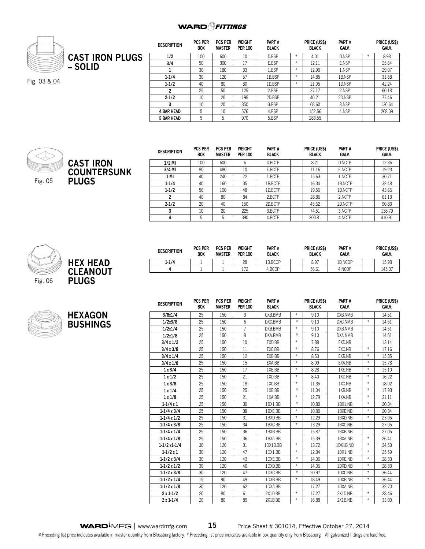

Fig. 03 & 04

| <b>DESCRIPTION</b> | <b>PCS PER</b><br><b>BOX</b> | <b>PCS PER</b><br><b>MASTER</b> | <b>WEIGHT</b><br><b>PER 100</b> | PART#<br><b>BLACK</b> |        | PRICE (US\$)<br><b>BLACK</b> | PART#<br>GALV. |     | PRICE (US\$)<br>GALV. |
|--------------------|------------------------------|---------------------------------|---------------------------------|-----------------------|--------|------------------------------|----------------|-----|-----------------------|
| 1/2                | 100                          | 600                             | 10                              | D.BSP                 | $\ast$ | 4.01                         | D.NSP          | $*$ | 8.98                  |
| 3/4                | 50                           | 300                             | 17                              | E.BSP                 | $\ast$ | 12.11                        | E.NSP          |     | 25.64                 |
|                    | 30                           | 180                             | 33                              | 1.BSP                 | $\ast$ | 12.90                        | 1.NSP          |     | 29.07                 |
| $1 - 1/4$          | 30                           | 120                             | 57                              | 1B.BSP                | $\ast$ | 14.85                        | 1B.NSP         |     | 31.68                 |
| $1 - 1/2$          | 40                           | 80                              | 80                              | 1D.BSP                | $\ast$ | 21.05                        | 1D.NSP         |     | 42.24                 |
| 2                  | 25                           | 50                              | 125                             | 2.BSP                 |        | 27.17                        | 2.NSP          |     | 60.18                 |
| $2 - 1/2$          | 10                           | 20                              | 195                             | 2D.BSP                |        | 40.21                        | 2D.NSP         |     | 77.46                 |
| 3                  | 10                           | 20                              | 350                             | 3.BSP                 |        | 68.60                        | 3.NSP          |     | 136.64                |
| <b>4 BAR HEAD</b>  | 5                            | 10                              | 576                             | 4.BSP                 |        | 152.56                       | 4.NSP          |     | 268.09                |
| <b>5 BAR HEAD</b>  | 5                            | 5                               | 970                             | 5.BSP                 |        | 283.55                       |                |     |                       |



**CAST IRON COUNTERSUNK PLUGS**

| <b>DESCRIPTION</b> | <b>PCS PER</b><br><b>BOX</b> | <b>PCS PER</b><br><b>MASTER</b> | <b>WEIGHT</b><br><b>PER 100</b> | PART#<br><b>BLACK</b> | PRICE (US\$)<br><b>BLACK</b> | PART#<br>GALV. | PRICE (US\$)<br><b>GALV.</b> |
|--------------------|------------------------------|---------------------------------|---------------------------------|-----------------------|------------------------------|----------------|------------------------------|
| $1/2$ MI           | 100                          | 600                             | 6                               | D.BCTP                | 8.21                         | D.NCTP         | 12.36                        |
| $3/4$ MI           | 80                           | 480                             | 10                              | E.BCTP                | 11.16                        | E.NCTP         | 19.23                        |
| 1 MI               | 40                           | 240                             | 22                              | 1.BCTP                | 15.63                        | 1.NCTP         | 30.71                        |
| $1 - 1/4$          | 40                           | 160                             | 35                              | 1B.BCTP               | 16.34                        | 1B.NCTP        | 32.48                        |
| $1 - 1/2$          | 50                           | 100                             | 48                              | 1D.BCTP               | 19.56                        | 1D.NCTP        | 43.66                        |
| 2                  | 40                           | 80                              | 84                              | 2.BCTP                | 28.86                        | 2.NCTP         | 61.13                        |
| $2 - 1/2$          | 20                           | 40                              | 150                             | 2D.BCTP               | 45.62                        | 2D.NCTP        | 90.83                        |
| 3                  | 10                           | 20                              | 225                             | 3.BCTP                | 74.51                        | 3.NCTP         | 138.79                       |
| 4                  | 5                            | 5                               | 390                             | 4.BCTP                | 200.81                       | 4.NCTP         | 410.91                       |



| HEX HEAD<br><b>CLEANOUT</b><br><b>PLUGS</b> |
|---------------------------------------------|
|                                             |
|                                             |



**HEXAGON BUSHIN** 

| <b>DESCRIPTION</b> | <b>PCS PER</b><br><b>BOX</b> | <b>PCS PER</b><br><b>MASTER</b> | <b>WEIGHT</b><br><b>PER 100</b> | PART#<br><b>BLACK</b> |                  | PRICE (US\$)<br><b>BLACK</b> | PART#<br><b>GALV.</b> |                   | PRICE (US\$)<br><b>GALV.</b> |
|--------------------|------------------------------|---------------------------------|---------------------------------|-----------------------|------------------|------------------------------|-----------------------|-------------------|------------------------------|
| 3/8x1/4            | 25                           | 150                             | 3                               | CXB.BMB               | $\ast$           | 9.10                         | CXB.NMB               |                   | 14.51                        |
| 1/2x3/8            | 25                           | 150                             | 6                               | DXC.BMB               | $\ast$           | 9.10                         | DXC.NMB               | $\ast$            | 14.51                        |
| 1/2x1/4            | 25                           | 150                             | 7                               | DXB.BMB               | $\divideontimes$ | 9.10                         | DXB.NMB               |                   | 14.51                        |
| 1/2x1/8            | 25                           | 150                             | 8                               | DXA.BMB               | $\ast$           | 9.10                         | DXA.NMB               |                   | 14.51                        |
| 3/4x1/2            | 25                           | 150                             | 10                              | EXD.BB                | $\ast$           | 7.88                         | EXD.NB                |                   | 13.14                        |
| 3/4x3/8            | 25                           | 150                             | 11                              | EXC.BB                | $\ast$           | 8.76                         | EXC.NB                | $\ast$            | 17.16                        |
| 3/4 x 1/4          | 25                           | 150                             | 12                              | EXB.BB                | $\divideontimes$ | 8.53                         | EXB.NB                | $\ast$            | 15.35                        |
| 3/4x1/8            | 25                           | 150                             | 15                              | EXA.BB                | $\ast$           | 8.99                         | EXA.NB                | $\ast$            | 15.78                        |
| 1x3/4              | 25                           | 150                             | 17                              | 1XE.BB                | $\divideontimes$ | 8.28                         | 1XE.NB                | $\ast$            | 15.10                        |
| 1x1/2              | 25                           | 150                             | 21                              | 1XD.BB                | $\ast$           | 8.40                         | 1XD.NB                | $\ast$            | 16.22                        |
| 1x3/8              | 25                           | 150                             | 18                              | 1XC.BB                | $\divideontimes$ | 11.35                        | 1XC.NB                | $\ast$            | 18.02                        |
| 1x1/4              | 25                           | 150                             | 25                              | 1XB.BB                | $\ast$           | 11.04                        | 1XB.NB                | $\ast$            | 17.93                        |
| 1x1/8              | 25                           | 150                             | 21                              | 1XA.BB                | $\divideontimes$ | 12.79                        | 1XA.NB                | $\ast$            | 21.11                        |
| $1-1/4x1$          | 25                           | 150                             | 30                              | 1BX1.BB               | $\ast$           | 10.80                        | 1BX1.NB               | $\frac{w}{2}$     | 20.34                        |
| $1-1/4x3/4$        | 25                           | 150                             | 38                              | 1BXE.BB               | $\divideontimes$ | 10.80                        | 1BXE.NB               | $\ast$            | 20.34                        |
| $1-1/4 \times 1/2$ | 25                           | 150                             | 31                              | 1BXD.BB               | $\ast$           | 12.29                        | 1BXD.NB               | $\ast$            | 23.05                        |
| $1-1/4x3/8$        | 25                           | 150                             | 34                              | 1BXC.BB               | $\ast$           | 13.29                        | 1BXC.NB               |                   | 27.05                        |
| $1-1/4x1/4$        | 25                           | 150                             | 36                              | 1BXB.BB               |                  | 15.87                        | 1BXB.NB               |                   | 27.05                        |
| $1-1/4 \times 1/8$ | 25                           | 150                             | 36                              | 1BXA.BB               |                  | 15.39                        | 1BXA.NB               | $\ast$            | 26.41                        |
| $1-1/2x1-1/4$      | 30                           | 120                             | 31                              | 1DX1B.BB              | $\ast$           | 13.72                        | 1DX1B.NB              | $\ast$            | 24.53                        |
| $1-1/2x1$          | 30                           | 120                             | 47                              | 1DX1.BB               | $\divideontimes$ | 12.34                        | 1DX1.NB               | $\ast$            | 25.59                        |
| $1-1/2x3/4$        | 30                           | 120                             | 43                              | 1DXE.BB               | $\ast$           | 14.06                        | 1DXE.NB               | $\ast$            | 28.33                        |
| $1-1/2 \times 1/2$ | 30                           | 120                             | 40                              | 1DXD.BB               | $\divideontimes$ | 14.06                        | 1DXD.NB               | $\ast$            | 28.33                        |
| $1-1/2x3/8$        | 30                           | 120                             | 47                              | 1DXC.BB               | $\ast$           | 20.97                        | 1DXC.NB               | $\ast$            | 36.44                        |
| $1-1/2 \times 1/4$ | 15                           | 90                              | 49                              | 1DXB.BB               | $\ast$           | 18.49                        | 1DXB.NB               | $\frac{M}{\hbar}$ | 36.44                        |
| $1-1/2 \times 1/8$ | 30                           | 120                             | 62                              | 1DXA.BB               |                  | 17.27                        | 1DXA.NB               |                   | 32.70                        |
| $2x1-1/2$          | 20                           | 80                              | 61                              | 2X1D.BB               | $\ast$           | 17.27                        | 2X1D.NB               | $\ast$            | 28.46                        |
| $2x1-1/4$          | 20                           | 80                              | 85                              | 2X1B.BB               | $\ast$           | 16.88                        | 2X1B.NB               | $\ast$            | 33.00                        |

WARD<sup>I</sup>MFG | www.wardmfg.com **15** Price Sheet # 301014, Effective October 27, 2014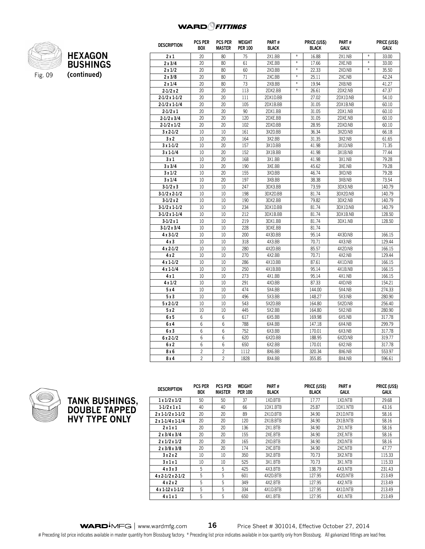

Fig. 09

| <b>DESCRIPTION</b>       | <b>PCS PER</b><br>BOX | <b>PCS PER</b><br>MASTER | <b>WEIGHT</b><br><b>PER 100</b> | PART#<br><b>BLACK</b> |        | PRICE (US\$)<br><b>BLACK</b> | PART#<br>GALV. |                  | PRICE (US\$)<br>GALV. |
|--------------------------|-----------------------|--------------------------|---------------------------------|-----------------------|--------|------------------------------|----------------|------------------|-----------------------|
| 2x1                      | 20                    | 80                       | 75                              | 2X1.BB                | $\ast$ | 16.88                        | 2X1.NB         | $\ast$           | 33.00                 |
| 2x3/4                    | 20                    | 80                       | 61                              | 2XE.BB                | $\ast$ | 17.66                        | 2XE.NB         | $\ast$           | 33.00                 |
| 2x1/2                    | 20                    | 80                       | 60                              | 2XD.BB                | $\ast$ | 22.33                        | 2XD.NB         | $\frac{M}{2\pi}$ | 35.50                 |
| 2x3/8                    | 20                    | 80                       | 71                              | 2XC.BB                | $\ast$ | 25.11                        | 2XC.NB         |                  | 42.24                 |
| $2 \times 1/4$           | 20                    | 80                       | 73                              | 2XB.BB                | $\ast$ | 19.94                        | 2XB.NB         |                  | 41.27                 |
| $2 - 1/2x2$              | 20                    | 20                       | 113                             | 2DX2.BB               | $\ast$ | 26.61                        | 2DX2.NB        |                  | 47.37                 |
| $2 - 1/2 \times 1 - 1/2$ | 20                    | 20                       | 111                             | 2DX1D.BB              |        | 27.02                        | 2DX1D.NB       |                  | 54.10                 |
| $2-1/2 \times 1-1/4$     | 20                    | 20                       | 105                             | 2DX1B.BB              |        | 31.05                        | 2DX1B.NB       |                  | 60.10                 |
| $2 - 1/2x1$              | 20                    | 20                       | 90                              | 2DX1.BB               |        | 31.05                        | 2DX1.NB        |                  | 60.10                 |
| $2 - 1/2x3/4$            | 20                    | 20                       | 120                             | 2DXE.BB               |        | 31.05                        | 2DXE.NB        |                  | 60.10                 |
| $2 - 1/2x1/2$            | 20                    | 20                       | 102                             | 2DXD.BB               |        | 28.95                        | 2DXD.NB        |                  | 60.10                 |
| $3x2-1/2$                | 10                    | 10                       | 161                             | 3X2D.BB               |        | 36.34                        | 3X2D.NB        |                  | 66.18                 |
| 3x2                      | 10                    | 20                       | 164                             | 3X2.BB                |        | 31.35                        | 3X2.NB         |                  | 61.65                 |
| $3x1-1/2$                | 10                    | 20                       | 157                             | 3X1D.BB               |        | 41.98                        | 3X1D.NB        |                  | 71.35                 |
| $3x1-1/4$                | 10                    | 20                       | 152                             | 3X1B.BB               |        | 41.98                        | 3X1B.NB        |                  | 77.44                 |
| 3x1                      | 10                    | 20                       | 168                             | 3X1.BB                |        | 41.98                        | 3X1.NB         |                  | 79.28                 |
| 3x3/4                    | 10                    | 20                       | 190                             | 3XE.BB                |        | 45.62                        | 3XE.NB         |                  | 79.28                 |
| 3x1/2                    | 10                    | 20                       | 155                             | 3XD.BB                |        | 46.74                        | 3XD.NB         |                  | 79.28                 |
| 3x1/4                    | 10                    | 20                       | 197                             | 3XB.BB                |        | 38.38                        | 3XB.NB         |                  | 73.54                 |
| $3-1/2x3$                | 10                    | 10                       | 247                             | 3DX3.BB               |        | 73.59                        | 3DX3.NB        |                  | 140.79                |
| $3-1/2 \times 2-1/2$     | 10                    | 10                       | 198                             | 3DX2D.BB              |        | 81.74                        | 3DX2D.NB       |                  | 140.79                |
| $3-1/2x2$                | 10                    | 10                       | 190                             | 3DX2.BB               |        | 79.82                        | 3DX2.NB        |                  | 140.79                |
| $3-1/2 \times 1-1/2$     | 10                    | 10                       | 234                             | 3DX1D.BB              |        | 81.74                        | 3DX1D.NB       |                  | 140.79                |
| $3-1/2 \times 1-1/4$     | 10                    | 10                       | 212                             | 3DX1B.BB              |        | 81.74                        | 3DX1B.NB       |                  | 128.50                |
| $3-1/2x1$                | 10                    | 10                       | 219                             | 3DX1.BB               |        | 81.74                        | 3DX1.NB        |                  | 128.50                |
| $3-1/2 \times 3/4$       | 10                    | 10                       | 228                             | 3DXE.BB               |        | 81.74                        |                |                  |                       |
| $4x3-1/2$                | 10                    | 10                       | 200                             | 4X3D.BB               |        | 95.14                        | 4X3D.NB        |                  | 166.15                |
| 4 x 3                    | 10                    | 10                       | 318                             | 4X3.BB                |        | 70.71                        | 4X3.NB         |                  | 129.44                |
| $4x2-1/2$                | 10                    | 10                       | 280                             | 4X2D.BB               |        | 85.57                        | 4X2D.NB        |                  | 166.15                |
| 4x2                      | 10                    | 10                       | 270                             | 4X2.BB                |        | 70.71                        | 4X2.NB         |                  | 129.44                |
| $4x1-1/2$                | 10                    | 10                       | 286                             | 4X1D.BB               |        | 87.61                        | 4X1D.NB        |                  | 166.15                |
| $4x1-1/4$                | 10                    | 10                       | 250                             | 4X1B.BB               |        | 95.14                        | 4X1B.NB        |                  | 166.15                |
| 4 x 1                    | 10                    | 10                       | 273                             | 4X1.BB                |        | 95.14                        | 4X1.NB         |                  | 166.15                |
| 4x1/2                    | 10                    | 10                       | 291                             | 4XD.BB                |        | 87.33                        | 4XD.NB         |                  | 154.21                |
| 5x4                      | 10                    | 10                       | 474                             | 5X4.BB                |        | 144.00                       | 5X4.NB         |                  | 274.33                |
| 5x3                      | 10                    | 10                       | 496                             | 5X3.BB                |        | 148.27                       | 5X3.NB         |                  | 280.90                |
| $5x2-1/2$                | 10                    | 10                       | 543                             | 5X2D.BB               |        | 164.80                       | 5X2D.NB        |                  | 256.40                |
| 5x2                      | 10                    | 10                       | 445                             | 5X2.BB                |        | 164.80                       | 5X2.NB         |                  | 280.90                |
| 6 x 5                    | 6                     | 6                        | 617                             | 6X5.BB                |        | 169.98                       | 6X5.NB         |                  | 317.78                |
| 6 x 4                    | 6                     | 6                        | 788                             | 6X4.BB                |        | 147.18                       | 6X4.NB         |                  | 299.79                |
| 6 x 3                    | 6                     | 6                        | 752                             | 6X3.BB                |        | 170.01                       | 6X3.NB         |                  | 317.78                |
| $6x2-1/2$                | 6                     | 6                        | 620                             | 6X2D.BB               |        | 188.95                       | 6X2D.NB        |                  | 319.77                |
| 6x2                      | 6                     | 6                        | 650                             | 6X2.BB                |        | 170.01                       | 6X2.NB         |                  | 317.78                |
| 8 x 6                    | $\overline{c}$        | $\overline{c}$           | 1112                            | 8X6.BB                |        | 320.34                       | 8X6.NB         |                  | 553.97                |
| 8 x 4                    | $\overline{c}$        | $\overline{c}$           | 1828                            | 8X4.BB                |        | 355.85                       | 8X4.NB         |                  | 596.61                |



**TANK BUSHINGS, DOUBLE TAPPED HVY TYPE ONLY**

| <b>DESCRIPTION</b> | <b>PCS PER</b><br><b>BOX</b> | <b>PCS PER</b><br><b>MASTER</b> | WEIGHT<br><b>PER 100</b> | PART#<br><b>BLACK</b> | <b>PRICE (USS)</b><br><b>BLACK</b> | PART#<br><b>GALV.</b> | <b>PRICE (USS)</b><br>GALV. |
|--------------------|------------------------------|---------------------------------|--------------------------|-----------------------|------------------------------------|-----------------------|-----------------------------|
| 1x1/2x1/2          | 50                           | 50                              | 37                       | 1XD.BTB               | 17.77                              | 1XD.NTB               | 29.68                       |
| $1-1/2x1x1$        | 40                           | 40                              | 66                       | 1DX1.BTB              | 25.87                              | 1DX1.NTB              | 43.16                       |
| $2x1-1/2x1-1/2$    | 20                           | 20                              | 89                       | 2X1D.BTB              | 34.90                              | 2X1D.NTB              | 58.16                       |
| $2x1-1/4x1-1/4$    | 20                           | 20                              | 120                      | 2X1B.BTB              | 34.90                              | 2X1B.NTB              | 58.16                       |
| 2x1x1              | 20                           | 20                              | 136                      | 2X1.BTB               | 34.90                              | 2X1.NTB               | 58.16                       |
| 2x3/4x3/4          | 20                           | 20                              | 155                      | 2XE.BTB               | 34.90                              | 2XE.NTB               | 58.16                       |
| 2x1/2x1/2          | 20                           | 20                              | 165                      | 2XD.BTB               | 34.90                              | 2XD.NTB               | 58.16                       |
| 2x3/8x3/8          | 20                           | 20                              | 174                      | 2XC.BTB               | 34.90                              | 2XC.NTB               | 47.77                       |
| 3x2x2              | 10                           | 10                              | 350                      | 3X2.BTB               | 70.73                              | 3X2.NTB               | 115.33                      |
| 3 x 1 x 1          | 10                           | 10                              | 525                      | 3X1.BTB               | 70.73                              | 3X1.NTB               | 115.33                      |
| 4x3x3              | 5                            | 5                               | 425                      | 4X3.BTB               | 138.79                             | 4X3.NTB               | 231.43                      |
| $4x2-1/2x2-1/2$    | 5                            | 5                               | 601                      | 4X2D.BTB              | 127.95                             | 4X2D.NTB              | 213.49                      |
| 4x2x2              | 5                            | 5                               | 349                      | 4X2.BTB               | 127.95                             | 4X2.NTB               | 213.49                      |
| $4x1-12x1-1/2$     | 5                            | 5                               | 334                      | 4X1D.BTB              | 127.95                             | 4X1D.NTB              | 213.49                      |
| 4x1x1              | 5                            | 5                               | 650                      | 4X1.BTB               | 127.95                             | 4X1.NTB               | 213.49                      |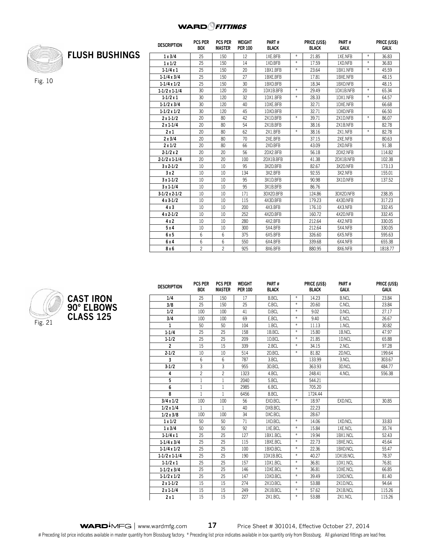

Fig. 10

|                       | <b>DESCRIPTION</b>   | <b>PCS PER</b><br><b>BOX</b> | <b>PCS PER</b><br><b>MASTER</b> | WEIGHT<br><b>PER 100</b> | PART#<br><b>BLACK</b> |        | PRICE (US\$)<br><b>BLACK</b> | PART#<br>GALV. |        | <b>PRICE (US\$)</b><br>GALV. |
|-----------------------|----------------------|------------------------------|---------------------------------|--------------------------|-----------------------|--------|------------------------------|----------------|--------|------------------------------|
| <b>FLUSH BUSHINGS</b> | 1x3/4                | 25                           | 150                             | 12                       | 1XE.BFB               | $\ast$ | 21.85                        | 1XE.NFB        | $\ast$ | 36.83                        |
|                       | 1x1/2                | 25                           | 150                             | 14                       | 1XD.BFB               | $\ast$ | 17.59                        | 1XD.NFB        | $\ast$ | 36.83                        |
|                       | $1 - 1/4x1$          | 25                           | 150                             | 20                       | 1BX1.BFB              | $\ast$ | 23.64                        | 1BX1.NFB       | $\ast$ | 45.59                        |
|                       | $1-1/4x3/4$          | 25                           | 150                             | 27                       | 1BXE.BFB              |        | 17.81                        | 1BXE.NFB       |        | 48.15                        |
|                       | $1-1/4 \times 1/2$   | 25                           | 150                             | 30                       | 1BXD.BFB              |        | 18.34                        | 1BXD.NFB       |        | 48.15                        |
|                       | $1-1/2x1-1/4$        | 30                           | 120                             | 20                       | 1DX1B.BFB             | $\ast$ | 29.49                        | 1DX1B.NFB      | $\ast$ | 65.34                        |
|                       | $1 - 1/2x1$          | 30                           | 120                             | 32                       | 1DX1.BFB              | $\ast$ | 28.33                        | 1DX1.NFB       | $\ast$ | 64.57                        |
|                       | $1-1/2x3/4$          | 30                           | 120                             | 40                       | 1DXE.BFB              |        | 32.71                        | 1DXE.NFB       |        | 66.68                        |
|                       | $1-1/2 \times 1/2$   | 30                           | 120                             | 45                       | 1DXD.BFB              |        | 32.71                        | 1DXD.NFB       |        | 66.50                        |
|                       | $2x1-1/2$            | 20                           | 80                              | 42                       | 2X1D.BFB              | $\ast$ | 39.71                        | 2X1D.NFB       | $\ast$ | 86.07                        |
|                       | $2x1-1/4$            | 20                           | 80                              | 54                       | 2X1B.BFB              |        | 38.16                        | 2X1B.NFB       |        | 82.78                        |
|                       | 2x1                  | 20                           | 80                              | 62                       | 2X1.BFB               | $\ast$ | 38.16                        | 2X1.NFB        | $\ast$ | 82.78                        |
|                       | 2x3/4                | 20                           | 80                              | 70                       | 2XE.BFB               |        | 37.15                        | 2XE.NFB        |        | 80.63                        |
|                       | 2x1/2                | 20                           | 80                              | 66                       | 2XD.BFB               |        | 43.09                        | 2XD.NFB        |        | 91.38                        |
|                       | $2 - 1/2x2$          | 20                           | 20                              | 56                       | 2DX2.BFB              |        | 56.18                        | 2DX2.NFB       |        | 114.82                       |
|                       | $2-1/2 \times 1-1/4$ | 20                           | 20                              | 100                      | 2DX1B.BFB             |        | 41.38                        | 2DX1B.NFB      |        | 102.38                       |
|                       | $3x2-1/2$            | 10                           | 10                              | 95                       | 3X2D.BFB              |        | 82.67                        | 3X2D.NFB       |        | 173.13                       |
|                       | 3x2                  | 10                           | 10                              | 134                      | 3X2.BFB               |        | 92.55                        | 3X2.NFB        |        | 155.01                       |
|                       | $3x1-1/2$            | 10                           | 10                              | 95                       | 3X1D.BFB              |        | 90.98                        | 3X1D.NFB       |        | 137.52                       |
|                       | $3x1-1/4$            | 10                           | 10                              | 95                       | 3X1B.BFB              |        | 86.76                        |                |        |                              |
|                       | $3-1/2 \times 2-1/2$ | 10                           | 10                              | 171                      | 3DX2D.BFB             |        | 124.86                       | 3DX2D.NFB      |        | 238.35                       |
|                       | 4 x 3-1/2            | 10                           | 10                              | 115                      | 4X3D.BFB              |        | 179.23                       | 4X3D.NFB       |        | 317.23                       |
|                       | 4x3                  | 10                           | 10                              | 200                      | 4X3.BFB               |        | 176.10                       | 4X3.NFB        |        | 332.45                       |
|                       | $4x2-1/2$            | 10                           | 10                              | 252                      | 4X2D.BFB              |        | 160.72                       | 4X2D.NFB       |        | 332.45                       |
|                       | 4x2                  | 10                           | 10                              | 280                      | 4X2.BFB               |        | 212.64                       | 4X2.NFB        |        | 330.05                       |
|                       | 5x4                  | 10                           | 10                              | 300                      | 5X4.BFB               |        | 212.64                       | 5X4.NFB        |        | 330.05                       |
|                       | 6x5                  | 6                            | 6                               | 375                      | 6X5.BFB               |        | 326.60                       | 6X5.NFB        |        | 595.63                       |
|                       | 6 x 4                | 6                            | 6                               | 550                      | 6X4.BFB               |        | 339.68                       | 6X4.NFB        |        | 655.38                       |
|                       | 8x6                  | $\overline{c}$               | $\mathfrak{p}$                  | 925                      | 8X6.BFB               |        | 880.95                       | 8X6.NFB        |        | 1818.77                      |



| <b>DESCRIPTION</b>   | <b>PCS PER</b><br><b>BOX</b> | <b>PCS PER</b><br><b>MASTER</b> | <b>WEIGHT</b><br><b>PER 100</b> | PART#<br><b>BLACK</b> |                  | PRICE (US\$)<br><b>BLACK</b> | PART#<br>GALV. | PRICE (US\$)<br>GALV. |
|----------------------|------------------------------|---------------------------------|---------------------------------|-----------------------|------------------|------------------------------|----------------|-----------------------|
| 1/4                  | 25                           | 150                             | 17                              | <b>B.BCL</b>          | $*$              | 14.23                        | <b>B.NCL</b>   | 23.84                 |
| 3/8                  | 25                           | 150                             | 25                              | C.BCL                 | $\ast$           | 20.60                        | C.NCL          | 23.84                 |
| 1/2                  | 100                          | 100                             | 41                              | D.BCL                 | $*$              | 9.02                         | D.NCL          | 27.17                 |
| 3/4                  | 100                          | 100                             | 69                              | E.BCL                 | $*$              | 9.40                         | E.NCL          | 26.67                 |
| $\mathbf{1}$         | 50                           | 50                              | 104                             | 1.BCL                 | $*$              | 11.13                        | 1.NCL          | 30.82                 |
| $1 - 1/4$            | 25                           | 25                              | 158                             | 1B.BCL                | $*$              | 15.80                        | 1B.NCL         | 47.97                 |
| $1 - 1/2$            | 25                           | 25                              | 209                             | 1D.BCL                | $*$              | 21.85                        | 1D.NCL         | 65.88                 |
| $\overline{c}$       | 15                           | 15                              | 339                             | 2.BCL                 | $*$              | 34.15                        | 2.NCL          | 97.28                 |
| $2 - 1/2$            | 10                           | 10                              | 514                             | 2D.BCL                | $*$              | 81.82                        | 2D.NCL         | 199.64                |
| 3                    | 6                            | 6                               | 787                             | 3.BCL                 |                  | 133.99                       | 3.NCL          | 303.67                |
| $3 - 1/2$            | 3                            | 3                               | 955                             | 3D.BCL                |                  | 363.93                       | 3D.NCL         | 484.77                |
| 4                    | $\overline{c}$               | $\overline{c}$                  | 1323                            | 4.BCL                 |                  | 248.41                       | 4.NCL          | 556.38                |
| 5                    | $\mathbf{1}$                 | $\overline{1}$                  | 2040                            | 5.BCL                 |                  | 544.21                       |                |                       |
| 6                    | $\mathbf{1}$                 | $\mathbf{1}$                    | 2985                            | 6.BCL                 |                  | 705.20                       |                |                       |
| 8                    | 1                            | $\mathbf{1}$                    | 6456                            | 8.BCL                 |                  | 1724.44                      |                |                       |
| 3/4x1/2              | 100                          | 100                             | 56                              | EXD.BCL               | $\ast$           | 18.97                        | EXD.NCL        | 30.85                 |
| 1/2 x 1/4            | 1                            | $\mathbf{1}$                    | 40                              | DXB.BCL               |                  | 22.23                        |                |                       |
| 1/2x3/8              | 100                          | 100                             | 34                              | DXC.BCL               |                  | 28.67                        |                |                       |
| 1x1/2                | 50                           | 50                              | 71                              | 1XD.BCL               | $\ast$           | 14.06                        | 1XD.NCL        | 33.83                 |
| 1x3/4                | 50                           | 50                              | 92                              | 1XE.BCL               | $*$              | 15.84                        | 1XE.NCL        | 35.74                 |
| $1 - 1/4x1$          | 25                           | 25                              | 127                             | 1BX1.BCL              | $*$              | 19.94                        | 1BX1.NCL       | 52.43                 |
| $1-1/4x3/4$          | 25                           | 25                              | 115                             | 1BXE.BCL              | $*$              | 22.73                        | 1BXE.NCL       | 45.64                 |
| $1-1/4 \times 1/2$   | 25                           | 25                              | 100                             | 1BXD.BCL              | $\ast$           | 22.36                        | 1BXD.NCL       | 55.47                 |
| $1-1/2 \times 1-1/4$ | 25                           | 25                              | 190                             | 1DX1B.BCL             | $\ast$           | 40.27                        | 1DX1B.NCL      | 78.37                 |
| $1 - 1/2x1$          | 25                           | 25                              | 157                             | 1DX1.BCL              | $*$              | 36.81                        | 1DX1.NCL       | 76.81                 |
| $1-1/2 \times 3/4$   | 25                           | 25                              | 146                             | 1DXE.BCL              | $\ast$           | 36.81                        | 1DXE.NCL       | 66.85                 |
| $1-1/2 \times 1/2$   | 25                           | 25                              | 147                             | 1DXD.BCL              | $\ast$           | 39.49                        | 1DXD.NCL       | 81.40                 |
| $2x1-1/2$            | 15                           | 15                              | 274                             | 2X1D.BCL              | $\ast$           | 53.88                        | 2X1D.NCL       | 94.64                 |
| $2x1-1/4$            | 15                           | 15                              | 249                             | 2X1B.BCL              | $*$              | 57.62                        | 2X1B.NCL       | 115.26                |
| 2x1                  | 15                           | 15                              | 227                             | 2X1.BCL               | $\frac{M}{2\pi}$ | 53.88                        | 2X1.NCL        | 115.26                |

WARD<sup>I</sup>MFG | www.wardmfg.com **17** Price Sheet # 301014, Effective October 27, 2014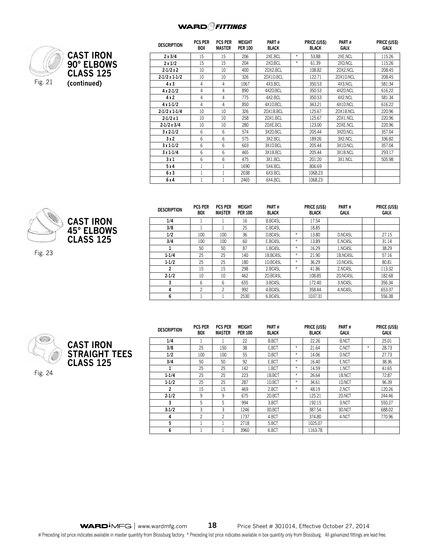

|                  | <b>DESCRIPTION</b>   | <b>PCS PER</b><br><b>BOX</b> | <b>PCS PER</b><br><b>MASTER</b> | WEIGHT<br><b>PER 100</b> | PART#<br><b>BLACK</b> |     | PRICE (US\$)<br>BLACK | PART#<br>GALV. | PRICE (U<br><b>GALV.</b> |
|------------------|----------------------|------------------------------|---------------------------------|--------------------------|-----------------------|-----|-----------------------|----------------|--------------------------|
| <b>CAST IRON</b> | 2x3/4                | 15                           | 15                              | 206                      | 2XE.BCL               | $*$ | 53.88                 | 2XE.NCL        | 115.26                   |
| 90° ELBOWS       | 2x1/2                | 15                           | 15                              | 204                      | 2XD.BCL               | $*$ | 61.39                 | 2XD.NCL        | 115.26                   |
|                  | $2-1/2x2$            | 10                           | 10                              | 400                      | 2DX2.BCL              |     | 108.82                | 2DX2.NCL       | 208.45                   |
| <b>CLASS 125</b> | $2-1/2 \times 1-1/2$ | 10                           | 10                              | 326                      | 2DX1D.BCL             |     | 122.71                | 2DX1D.NCL      | 208.45                   |
| (continued)      | 4x3                  | 4                            | 4                               | 1067                     | 4X3.BCL               |     | 350.53                | 4X3.NCL        | 581.34                   |
|                  | $4 \times 2 - 1/2$   | 4                            | 4                               | 890                      | 4X2D.BCL              |     | 350.53                | 4X2D.NCL       | 616.22                   |
|                  | 4 x 2                | 4                            | 4                               | 775                      | 4X2.BCL               |     | 350.53                | 4X2.NCL        | 581.34                   |
|                  | $4x1-1/2$            | 4                            | 4                               | 850                      | 4X1D.BCL              |     | 343.21                | 4X1D.NCL       | 616.22                   |
|                  | $2-1/2 \times 1-1/4$ | 10                           | 10                              | 326                      | 2DX1B.BCL             |     | 125.67                | 2DX1B.NCL      | 220.96                   |
|                  | $2-1/2x1$            | 10                           | 10                              | 258                      | 2DX1.BCL              |     | 125.67                | 2DX1.NCL       | 220.96                   |
|                  | $2 - 1/2x$ 3/4       | 10                           | 10                              | 280                      | 2DXE.BCL              |     | 123.00                | 2DXE.NCL       | 220.96                   |
|                  | $3x2-1/2$            | 6                            | 6                               | 574                      | 3X2D.BCL              |     | 205.44                | 3X2D.NCL       | 357.04                   |
|                  | 3x2                  | 6                            | 6                               | 575                      | 3X2.BCL               |     | 189.26                | 3X2.NCL        | 336.82                   |
|                  | $3x1-1/2$            | 6                            | 6                               | 603                      | 3X1D.BCL              |     | 205.44                | 3X1D.NCL       | 357.04                   |
|                  | $3x1-1/4$            | 6                            | 6                               | 465                      | 3X1B.BCL              |     | 205.44                | 3X1B.NCL       | 293.17                   |
|                  | 3 x 1                | 6                            | 6                               | 475                      | 3X1.BCL               |     | 201.20                | 3X1.NCL        | 505.98                   |
|                  | 5 x 4                |                              |                                 | 1690                     | 5X4.BCL               |     | 806.69                |                |                          |

**6 x 3** 1 1 2038 6X3.BCL 1068.23 **6 x 4** 1 1 2465 6X4.BCL 1068.23

| <b>CAST IRON</b><br>45° ELBOWS |
|--------------------------------|
| <b>CLASS 125</b>               |

Fig. 23

| <b>DESCRIPTION</b> | <b>PCS PER</b><br><b>BOX</b> | <b>PCS PER</b><br><b>MASTER</b> | <b>WEIGHT</b><br><b>PER 100</b> | PART#<br><b>BLACK</b> |        | PRICE (US\$)<br><b>BLACK</b> | PART#<br><b>GALV.</b> | PRICE (US\$)<br>GALV. |
|--------------------|------------------------------|---------------------------------|---------------------------------|-----------------------|--------|------------------------------|-----------------------|-----------------------|
| 1/4                |                              |                                 | 16                              | B.BC45L               |        | 17.54                        |                       |                       |
| 3/8                |                              |                                 | 25                              | C.BC45L               |        | 18.85                        |                       |                       |
| 1/2                | 100                          | 100                             | 36                              | D.BC45L               | $\ast$ | 13.80                        | D.NC45L               | 27.15                 |
| 3/4                | 100                          | 100                             | 60                              | E.BC45L               | $*$    | 13.89                        | E.NC45L               | 31.14                 |
| 1                  | 50                           | 50                              | 87                              | 1.BC45L               | $\ast$ | 16.29                        | 1.NC45L               | 38.29                 |
| $1 - 1/4$          | 25                           | 25                              | 140                             | 1B.BC45L              | $*$    | 21.90                        | 1B.NC45L              | 57.16                 |
| $1 - 1/2$          | 25                           | 25                              | 180                             | 1D.BC45L              | $\ast$ | 36.29                        | 1D.NC45L              | 80.81                 |
| $\overline{2}$     | 15                           | 15                              | 298                             | 2.BC45L               | $\ast$ | 41.86                        | 2.NC45L               | 113.32                |
| $2 - 1/2$          | 10                           | 10                              | 462                             | 2D.BC45L              |        | 108.85                       | 2D.NC45L              | 182.68                |
| 3                  | 6                            | 6                               | 655                             | 3.BC45L               |        | 172.40                       | 3.NC45L               | 356.34                |
| 4                  | 2                            | 2                               | 992                             | 4.BC45L               |        | 358.44                       | 4.NC45L               | 653.37                |
| 6                  |                              |                                 | 2530                            | 6.BC45L               |        | 1037.31                      |                       | 556.38                |

**Price (US\$) Galv.**



| <b>DESCRIPTION</b> | <b>PCS PER</b><br><b>BOX</b> | <b>PCS PER</b><br><b>MASTER</b> | <b>WEIGHT</b><br><b>PER 100</b> | PART#<br><b>BLACK</b> |        | PRICE (US\$)<br><b>BLACK</b> | PART#<br><b>GALV.</b> |     | PRICE (US\$)<br>GALV. |
|--------------------|------------------------------|---------------------------------|---------------------------------|-----------------------|--------|------------------------------|-----------------------|-----|-----------------------|
| 1/4                |                              |                                 | 22                              | <b>B.BCT</b>          |        | 22.26                        | <b>B.NCT</b>          |     | 25.01                 |
| 3/8                | 25                           | 150                             | 38                              | C.BCT                 | $\ast$ | 21.64                        | C.NCT                 | $*$ | 28.73                 |
| 1/2                | 100                          | 100                             | 55                              | D.BCT                 | $*$    | 14.06                        | D.NCT                 |     | 27.73                 |
| 3/4                | 50                           | 50                              | 92                              | E.BCT                 | $*$    | 16.40                        | E.NCT                 |     | 38.36                 |
| 1                  | 25                           | 25                              | 142                             | 1.BCT                 | $*$    | 14.59                        | 1.NCT                 |     | 41.65                 |
| $1 - 1/4$          | 25                           | 25                              | 223                             | 1B.BCT                | $*$    | 26.64                        | 1B.NCT                |     | 72.87                 |
| $1-1/2$            | 25                           | 25                              | 287                             | 1D.BCT                | $*$    | 34.61                        | 1D.NCT                |     | 96.39                 |
| $\overline{2}$     | 15                           | 15                              | 469                             | 2.BCT                 | $*$    | 48.19                        | 2.NCT                 |     | 120.26                |
| $2 - 1/2$          | 9                            | 9                               | 675                             | 2D.BCT                |        | 125.21                       | 2D.NCT                |     | 244.46                |
| 3                  | 5                            | 5                               | 994                             | 3.BCT                 |        | 192.15                       | 3.NCT                 |     | 550.27                |
| $3-1/2$            | 3                            | 3                               | 1246                            | 3D.BCT                |        | 387.54                       | 3D.NCT                |     | 688.02                |
| 4                  | 2                            | 2                               | 1737                            | 4.BCT                 |        | 374.80                       | 4.NCT                 |     | 770.96                |
| 5                  |                              |                                 | 2718                            | 5.BCT                 |        | 1025.07                      |                       |     |                       |
| 6                  |                              |                                 | 3960                            | 6.BCT                 |        | 1163.78                      |                       |     |                       |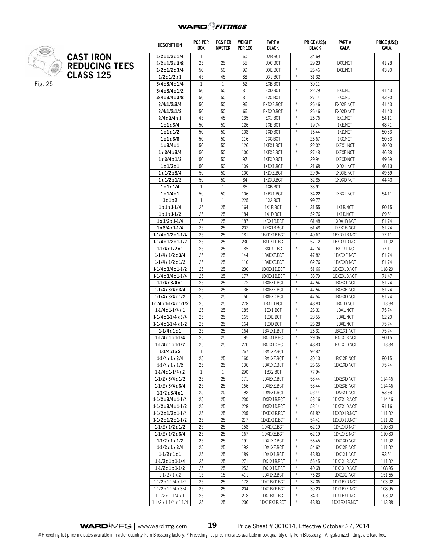

## **CAST IRON REDUCING TEES CLASS 125**

| <b>DESCRIPTION</b>                | <b>PCS PER</b><br><b>BOX</b> | <b>PCS PER</b><br>MASTER | WEIGHT<br><b>PER 100</b> | PART#<br><b>BLACK</b> |                   | PRICE (US\$)<br><b>BLACK</b> | Part#<br>GALV. | PRICE (US\$)<br><b>GALV.</b> |
|-----------------------------------|------------------------------|--------------------------|--------------------------|-----------------------|-------------------|------------------------------|----------------|------------------------------|
| 1/2x1/2x1/4                       | $\mathbf{1}$                 | $\mathbf{1}$             | 60                       | DXB.BCT               |                   | 34.69                        |                |                              |
| $1/2 \times 1/2 \times 3/8$       | 25                           | 25                       | 55                       | DXC.BCT               |                   | 29.23                        | DXC.NCT        | 41.28                        |
| 1/2x1/2x3/4                       | 50                           | 50                       | 99                       | DXE.BCT               | $\ast$            | 26.46                        | DXE.NCT        | 43.90                        |
| 1/2 x 1/2 x 1                     | 45                           | 45                       | 88                       | DX1.BCT               | $\ast$            | 31.32                        |                |                              |
| $3/4 \times 3/4 \times 1/4$       | $\mathbf{1}$                 | $\mathbf{1}$             | 62                       | EXB.BCT               |                   | 30.11                        |                |                              |
| 3/4x3/4x1/2                       | 50                           | 50                       | 81                       | EXD.BCT               | $\frac{M}{M}$     | 22.79                        | EXD.NCT        | 41.43                        |
| 3/4x3/4x3/8                       | 50                           | 50                       | 81                       | EXC.BCT               |                   | 27.14                        | EXC.NCT        | 43.90                        |
| 3/4x1/2x3/4                       | 50                           | 50                       | 96                       | EXDXE.BCT             | $\frac{M}{M}$     | 26.46                        | EXDXE.NCT      | 41.43                        |
| 3/4x1/2x1/2                       | 50                           | 50                       | 66                       | EXDXD.BCT             | ¥                 | 26.46                        | EXDXD.NCT      | 41.43                        |
| 3/4x3/4x1                         | 45                           | 45                       | 135                      | EX1.BCT               | $\ast$            | 26.76                        | EX1.NCT        | 54.11                        |
| 1x1x3/4                           | 50                           | 50                       | 126                      | 1XE.BCT               | $\frac{M}{\hbar}$ | 19.74                        | 1XE.NCT        | 48.71                        |
| 1x1x1/2                           | 50                           | 50                       | 108                      | 1XD.BCT               | ¥,                | 16.44                        | 1XD.NCT        | 50.33                        |
| 1x1x3/8                           | 50                           | 50                       | 116                      | 1XC.BCT               |                   | 26.67                        | 1XC.NCT        | 50.33                        |
| 1x3/4x1                           | 50                           | 50                       | 126                      | 1XEX1.BCT             | ⋇                 | 22.02                        | 1XEX1.NCT      | 40.00                        |
| 1x3/4x3/4                         | 50                           | 50                       | 100                      | 1XEXE.BCT             | $\frac{M}{M}$     | 27.48                        | 1XEXE.NCT      | 46.88                        |
| 1x3/4x1/2                         | 50                           | 50                       | 97                       | 1XEXD.BCT             |                   | 29.94                        | 1XEXD.NCT      | 49.69                        |
| 1x1/2x1                           | 50                           | 50                       | 109                      | 1XDX1.BCT             | $\frac{M}{M}$     | 21.68                        | 1XDX1.NCT      | 46.13                        |
| 1x1/2x3/4                         | 50                           | 50                       | 100                      | 1XDXE.BCT             |                   | 29.94                        | 1XDXE.NCT      | 49.69                        |
| 1x1/2x1/2                         | 50                           | 50                       | 84                       | 1XDXD.BCT             |                   | 32.85                        | 1XDXD.NCT      | 44.43                        |
| 1x1x1/4                           | 1                            | $\mathbf{1}$             | 85                       | 1XB.BCT               |                   | 33.91                        |                |                              |
| 1x1/4x1                           | 50                           | 50                       | 106                      | 1XBX1.BCT             |                   | 34.22                        | 1XBX1.NCT      | 54.11                        |
| 1x1x2                             | $\mathbf{1}$                 | $\mathbf{1}$             | 225                      | 1X2.BCT               |                   | 99.77                        |                |                              |
| $1x1x1-1/4$                       | 25                           | 25                       | 164                      | 1X1B.BCT              | $\frac{M}{M}$     | 31.55                        | 1X1B.NCT       | 80.15                        |
| $1x1x1-1/2$                       | 25                           | 25                       | 184                      | 1X1D.BCT              |                   | 52.76                        | 1X1D.NCT       | 69.51                        |
| $1x1/2x1-1/4$                     | 25                           | 25                       | 187                      | 1XDX1B.BCT            |                   | 61.48                        | 1XDX1B.NCT     | 81.74                        |
| $1x3/4x1-1/4$                     | 25                           | 25                       | 202                      | 1XEX1B.BCT            |                   | 61.48                        | 1XEX1B.NCT     | 81.74                        |
| $1-1/4 \times 1/2 \times 1-1/4$   | 25                           | 25                       | 181                      | 1BXDX1B.BCT           | $\frac{M}{\hbar}$ | 40.67                        | 1BXDX1B.NCT    | 77.11                        |
| $1-1/4 \times 1/2 \times 1-1/2$   | 25                           | 25                       | 230                      | 1BXDX1D.BCT           |                   | 57.12                        | 1BXDX1D.NCT    | 111.02                       |
| $1-1/4x1/2x1$                     | 25                           | 25                       | 185                      | 1BXDX1.BCT            | ¥                 | 47.74                        | 1BXDX1.NCT     | 77.11                        |
| $1-1/4 \times 1/2 \times 3/4$     | 25                           | 25                       | 144                      | 1BXDXE.BCT            |                   | 47.82                        | 1BXDXE.NCT     | 81.74                        |
| $1-1/4 \times 1/2 \times 1/2$     | 25                           | 25                       | 110                      | 1BXDXD.BCT            |                   | 62.76                        | 1BXDXD.NCT     | 81.74                        |
| $1-1/4x3/4x1-1/2$                 | 25                           | 25                       | 230                      | 1BXEX1D.BCT           |                   | 51.66                        | 1BXEX1D.NCT    | 118.29                       |
| $1-1/4x3/4x1-1/4$                 | 25                           | 25                       | 177                      | 1BXEX1B.BCT           | $\ast$            | 38.79                        | 1BXEX1B.NCT    | 71.47                        |
| $1-1/4x3/4x1$                     | 25                           | 25                       | 172                      | 1BXEX1.BCT            | $\ast$            | 47.54                        | 1BXEX1.NCT     | 81.74                        |
| $1-1/4x3/4x3/4$                   | 25                           | 25                       | 136                      | 1BXEXE.BCT            | ¥,                | 47.54                        | 1BXEXE.NCT     | 81.74                        |
| $1-1/4x3/4x1/2$                   | 25                           | 25                       | 150                      | 1BXEXD.BCT            |                   | 47.54                        | 1BXEXD.NCT     | 81.74                        |
| $1-1/4x1-1/4x1-1/2$               | 25                           | 25                       | 278                      | 1BX1D.BCT             | $*$               | 48.80                        | 1BX1D.NCT      | 113.88                       |
| $1-1/4x1-1/4x1$                   | 25                           | 25                       | 185                      | 1BX1.BCT              | $\frac{M}{M}$     | 26.31                        | 1BX1.NCT       | 75.74                        |
| $1-1/4x1-1/4x3/4$                 | 25                           | 25                       | 165                      | 1BXE.BCT              | ¥                 | 28.55                        | 1BXE.NCT       | 62.20                        |
| $1-1/4x1-1/4x1/2$                 | 25                           | 25                       | 164                      | 1BXD.BCT              | $\frac{M}{M}$     | 26.28                        | 1BXD.NCT       | 75.74                        |
| $1 - 1/4x1x1$                     | 25                           | 25                       | 164                      | 1BX1X1.BCT            | $\ast$            | 26.31                        | 1BX1X1.NCT     | 75.74                        |
| $1-1/4x1x1-1/4$                   | 25                           | 25                       | 195                      | 1BX1X1B.BCT           | ¥                 | 29.06                        | 1BX1X1B.NCT    | 80.15                        |
| $1-1/4x1x1-1/2$                   | 25                           | 25                       | 270                      | 1BX1X1D.BCT           | $\frac{M}{\hbar}$ | 48.80                        | 1BX1X1D.NCT    | 113.88                       |
| $1 - 1/4x1x2$                     | $\mathbf{1}$                 | $1\,$                    | $\overline{267}$         | 1BX1X2.BCT            |                   | 92.82                        |                |                              |
| $1-1/4x1x3/4$                     | 25                           | 25                       | 160                      | 1BX1XE.BCT            | X                 | 30.13                        | 1BX1XE.NCT     | 80.15                        |
| $1-1/4x1x1/2$                     | 25                           | 25                       | 136                      | 1BX1XD.BCT            | ¥.                | 26.65                        | 1BX1XD.NCT     | 75.74                        |
| $1-1/4x1-1/4x2$                   | $\mathbf{1}$                 | $\mathbf{1}$             | 290                      | 1BX2.BCT              |                   | 77.94                        |                |                              |
| 1-1/2 x 3/4 x 1/2                 | 25                           | 25                       | 171                      | 1DXEXD.BCT            |                   | 53.44                        | 1DXEXD.NCT     | 114.46                       |
| $1-1/2x3/4x3/4$                   | 25                           | 25                       | 166                      | 1DXEXE.BCT            |                   | 53.44                        | 1DXEXE.NCT     | 114.46                       |
| $1 - 1/2x$ 3/4 x 1                | 25                           | 25                       | 192                      | 1DXEX1.BCT            |                   | 53.44                        | 1DXEX1.NCT     | 93.98                        |
| $1-1/2x3/4x1-1/4$                 | 25                           | 25                       | 230                      | 1DXEX1B.BCT           | $\ast$            | 53.16                        | 1DXEX1B.NCT    | 114.46                       |
| $1-1/2x3/4x1-1/2$                 | 25                           | 25                       | 228                      | 1DXEX1D.BCT           | ¥                 | 53.14                        | 1DXEX1D.NCT    | 91.16                        |
| $1-1/2 \times 1/2 \times 1-1/4$   | 25                           | 25                       | 235                      | 1DXDX1B.BCT           | $\ast$            | 61.82                        | 1DXDX1B.NCT    | 111.02                       |
| $1-1/2 \times 1/2 \times 1-1/2$   | 25                           | 25                       | 217                      | 1DXDX1D.BCT           | $\ast$            | 54.41                        | 1DXDX1D.NCT    | 111.02                       |
| $1-1/2 \times 1/2 \times 1/2$     | 25                           | 25                       | 158                      | 1DXDXD.BCT            |                   | 62.19                        | 1DXDXD.NCT     | 110.80                       |
| $1-1/2 \times 1/2 \times 3/4$     | 25                           | 25                       | 167                      | 1DXDXE.BCT            |                   | 62.19                        | 1DXDXE.NCT     | 110.80                       |
| $1-1/2 \times 1 \times 1/2$       | 25                           | 25                       | 191                      | 1DX1XD.BCT            | $\ast$            | 56.45                        | 1DX1XD.NCT     | 111.02                       |
| $1 - 1/2x1x3/4$                   | 25                           | 25                       | 192                      | 1DX1XE.BCT            | $\ast$            | 54.62                        | 1DX1XE.NCT     | 111.02                       |
| $1 - 1/2x1x1$                     | 25                           | 25                       | 189                      | 1DX1X1.BCT            | ¥                 | 48.80                        | 1DX1X1.NCT     | 93.51                        |
| $1-1/2 \times 1 \times 1-1/4$     | 25                           | 25                       | 271                      | 1DX1X1B.BCT           | $\ast$            | 56.45                        | 1DX1X1B.NCT    | 111.02                       |
| $1-1/2 \times 1 \times 1-1/2$     | 25                           | 25                       | 253                      | 1DX1X1D.BCT           | $\ast$            | 40.68                        | 1DX1X1D.NCT    | 108.95                       |
| $1-1/2 \times 1 \times 2$         | 15                           | 15                       | 411                      | 1DX1X2.BCT            | ¥                 | 76.23                        | 1DX1X2.NCT     | 151.65                       |
| $1.1/2 \times 1.1/4 \times 1/2$   | 25                           | 25                       | 178                      | 1DX1BXD.BCT           | $\ast$            | 37.06                        | 1DX1BXD.NCT    | 103.02                       |
| $1.1/2 \times 1.1/4 \times 3/4$   | 25                           | 25                       | 204                      | 1DX1BXE.BCT           | $\ast$            | 39.20                        | 1DX1BXE.NCT    | 108.95                       |
| $1.1/2 \times 1.1/4 \times 1$     | 25                           | 25                       | 218                      | 1DX1BX1.BCT           | $\ast$            | 34.31                        | 1DX1BX1.NCT    | 103.02                       |
| $1.1/2 \times 1.1/4 \times 1.1/4$ | 25                           | 25                       | 236                      | 1DX1BX1B.BCT          | $\ast$            | 48.80                        | 1DX1BX1B.NCT   | 113.88                       |

**WARD**<sup> $\overline{A}$ MFG | www.wardmfg.com **19** Price Sheet # 301014, Effective October 27, 2014</sup>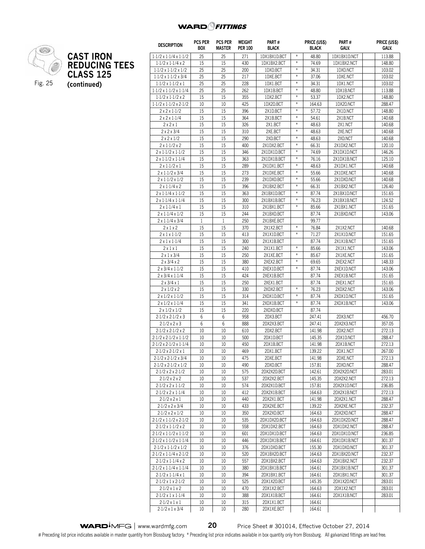

|                      | <b>DESCRIPTION</b>                                         | PCS PER<br><b>BOX</b> | <b>PCS PER</b><br><b>MASTER</b> | <b>WEIGHT</b><br><b>PER 100</b> | PART#<br><b>BLACK</b>     |                                       | PRICE (US\$)<br><b>BLACK</b> | PART#<br>GALV.            | PRICE (US\$)<br>GALV. |
|----------------------|------------------------------------------------------------|-----------------------|---------------------------------|---------------------------------|---------------------------|---------------------------------------|------------------------------|---------------------------|-----------------------|
| <b>CAST IRON</b>     | $1.1/2 \times 1.1/4 \times 1.1/2$                          | 25                    | 25                              | 271                             | 1DX1BX1D.BCT              | $\ast$                                | 48.80                        | 1DX1BX1D.NCT              | 113.88                |
| <b>REDUCING TEES</b> | $1.1/2 \times 1.1/4 \times 2$                              | 15                    | 15                              | 430                             | 1DX1BX2.BCT               | $\ast$                                | 74.69                        | 1DX1BX2.NCT               | 148.80                |
|                      | $1.1/2 \times 1.1/2 \times 1/2$                            | 25                    | 25                              | 200                             | 1DXD.BCT                  | $\frac{w}{\hbar}$                     | 34.31                        | 1DXD.NCT                  | 103.02                |
| <b>CLASS 125</b>     | $1.1/2 \times 1.1/2 \times 3/4$                            | 25                    | 25                              | 217                             | 1DXE.BCT                  | $\ast$                                | 37.06                        | 1DXE.NCT                  | 103.02                |
| (continued)          | $1.1/2 \times 1.1/2 \times 1$                              | 25                    | 25                              | 228                             | 1DX1.BCT                  | $\ast$                                | 34.31                        | 1DX1.NCT                  | 103.02                |
|                      | $1.1/2 \times 1.1/2 \times 1.1/4$                          | 25                    | 25                              | 262                             | 1DX1B.BCT                 | $\ast$                                | 48.80                        | 1DX1B.NCT                 | 113.88                |
|                      | $1.1/2 \times 1.1/2 \times 2$                              | 15                    | 15                              | 355                             | 1DX2.BCT                  | $\ast$                                | 53.37                        | 1DX2.NCT                  | 148.80                |
|                      | $1.1/2 \times 1.1/2 \times 2.1/2$                          | 10                    | 10                              | 425                             | 1DX2D.BCT                 | $\frac{w}{\hbar}$                     | 164.63                       | 1DX2D.NCT                 | 288.47                |
|                      | $2 \times 2 \times 1.1/2$                                  | 15                    | 15                              | 396                             | 2X1D.BCT                  | $\ast$                                | 57.72                        | 2X1D.NCT                  | 148.80                |
|                      | $2x2x1-1/4$                                                | 15                    | 15                              | 364                             | 2X1B.BCT                  | $\ast$                                | 54.61                        | 2X1B.NCT                  | 140.68                |
|                      | $2 \times 2 \times 1$                                      | 15                    | 15                              | 326                             | 2X1.BCT                   | $\ast$                                | 48.63                        | 2X1.NCT                   | 140.68                |
|                      | $2 \times 2 \times 3/4$                                    | 15                    | 15                              | 310                             | 2XE.BCT                   | $\ast$                                | 48.63                        | 2XE.NCT                   | 140.68                |
|                      | $2 \times 2 \times 1/2$                                    | 15                    | 15                              | 290                             | 2XD.BCT                   | $\#$                                  | 48.63                        | 2XD.NCT                   | 140.68                |
|                      | $2 \times 1.1/2 \times 2$                                  | 15                    | 15                              | 400                             | 2X1DX2.BCT                | $\ast$                                | 66.31                        | 2X1DX2.NCT                | 120.10                |
|                      | $2 \times 1.1/2 \times 1.1/2$                              | 15                    | 15                              | 346                             | 2X1DX1D.BCT               | $\ast$                                | 74.69                        | 2X1DX1D.NCT               | 146.26                |
|                      | $2 \times 1.1/2 \times 1.1/4$                              | 15                    | 15                              | 363                             | 2X1DX1B.BCT               | $\divideontimes$<br>$\frac{w}{\hbar}$ | 76.16                        | 2X1DX1B.NCT               | 125.10                |
|                      | $2 \times 1.1/2 \times 1$                                  | 15                    | 15                              | 289                             | 2X1DX1.BCT                | $\ast$                                | 48.63                        | 2X1DX1.NCT                | 140.68                |
|                      | $2 \times 1.1/2 \times 3/4$                                | 15                    | 15<br>15                        | 273                             | 2X1DXE.BCT                | $\ast$                                | 55.66                        | 2X1DXE.NCT                | 140.68                |
|                      | $2 \times 1.1/2 \times 1/2$                                | 15<br>15              |                                 | 239                             | 2X1DXD.BCT<br>2X1BX2.BCT  | $\ast$                                | 55.66<br>66.31               | 2X1DXD.NCT                | 140.68                |
|                      | $2 \times 1.1/4 \times 2$<br>$2 \times 1.1/4 \times 1.1/2$ | 15                    | 15<br>15                        | 396<br>363                      | 2X1BX1D.BCT               | $\ast$                                | 87.74                        | 2X1BX2.NCT<br>2X1BX1D.NCT | 126.40<br>151.65      |
|                      | $2 \times 1.1/4 \times 1.1/4$                              | 15                    | 15                              | 300                             | 2X1BX1B.BCT               | $\ast$                                | 76.23                        | 2X1BX1B.NCT               | 124.52                |
|                      | $2 \times 1.1/4 \times 1$                                  | 15                    | 15                              | 310                             | 2X1BX1.BCT                | $\frac{w}{\hbar}$                     | 85.66                        | 2X1BX1.NCT                | 151.65                |
|                      | $2 \times 1.1/4 \times 1/2$                                | 15                    | 15                              | 244                             | 2X1BXD.BCT                |                                       | 87.74                        | 2X1BXD.NCT                | 143.06                |
|                      | $2 \times 1.1/4 \times 3/4$                                | $\mathbf{1}$          | 1                               | 250                             | 2X1BXE.BCT                |                                       | 99.77                        |                           |                       |
|                      | 2x1x2                                                      | 15                    | 15                              | 370                             | 2X1X2.BCT                 | $\divideontimes$                      | 76.84                        | 2X1X2.NCT                 | 140.68                |
|                      | $2 \times 1 \times 1.1/2$                                  | 15                    | 15                              | 413                             | 2X1X1D.BCT                | $\frac{w}{\hbar}$                     | 71.27                        | 2X1X1D.NCT                | 151.65                |
|                      | $2 \times 1 \times 1.1/4$                                  | 15                    | 15                              | 300                             | 2X1X1B.BCT                |                                       | 87.74                        | 2X1X1B.NCT                | 151.65                |
|                      | $2 \times 1 \times 1$                                      | 15                    | 15                              | 240                             | 2X1X1.BCT                 | $\ast$                                | 85.66                        | 2X1X1.NCT                 | 143.06                |
|                      | $2 \times 1 \times 3/4$                                    | 15                    | 15                              | 250                             | 2X1XE.BCT                 | $\ast$                                | 85.67                        | 2X1XE.NCT                 | 151.65                |
|                      | $2 \times 3/4 \times 2$                                    | 15                    | 15                              | 380                             | 2XEX2.BCT                 | $\ast$                                | 69.65                        | 2XEX2.NCT                 | 148.33                |
|                      | $2 \times 3/4 \times 1.1/2$                                | 15                    | 15                              | 410                             | 2XEX1D.BCT                | $\ast$                                | 87.74                        | 2XEX1D.NCT                | 143.06                |
|                      | $2 \times 3/4 \times 1.1/4$                                | 15                    | 15                              | 424                             | 2XEX1B.BCT                |                                       | 87.74                        | 2XEX1B.NCT                | 151.65                |
|                      | $2 \times 3/4 \times 1$                                    | 15                    | 15                              | 250                             | 2XEX1.BCT                 |                                       | 87.74                        | 2XEX1.NCT                 | 151.65                |
|                      | $2 \times 1/2 \times 2$                                    | 15                    | 15                              | 330                             | 2XDX2.BCT                 | $\ast$                                | 76.23                        | 2XDX2.NCT                 | 143.06                |
|                      | $2 \times 1/2 \times 1.1/2$                                | 15                    | 15                              | 314                             | 2XDX1D.BCT                | $\divideontimes$                      | 87.74                        | 2XDX1D.NCT                | 151.65                |
|                      | $2 \times 1/2 \times 1.1/4$                                | 15                    | 15                              | 341                             | 2XDX1B.BCT                | $\divideontimes$                      | 87.74                        | 2XDX1B.NCT                | 143.06                |
|                      | $2 \times 1/2 \times 1/2$                                  | 15                    | 15                              | 220                             | 2XDXD.BCT                 |                                       | 87.74                        |                           |                       |
|                      | $2.1/2 \times 2.1/2 \times 3$                              | 6                     | 6                               | 958                             | 2DX3.BCT                  |                                       | 247.41                       | 2DX3.NCT                  | 456.70                |
|                      | $2.1/2 \times 2 \times 3$                                  | 6                     | 6                               | 888                             | 2DX2X3.BCT                |                                       | 247.41                       | 2DX2X3.NCT                | 357.05                |
|                      | $2.1/2 \times 2.1/2 \times 2$                              | 10                    | 10                              | 610                             | 2DX2.BCT                  |                                       | 141.98                       | 2DX2.NCT                  | 272.13                |
|                      | $2.1/2 \times 2.1/2 \times 1.1/2$                          | 10                    | 10                              | 500                             | 2DX1D.BCT                 |                                       | 145.35                       | 2DX1D.NCT                 | 288.47                |
|                      | $2.1/2 \times 2.1/2 \times 1.1/4$                          | 10                    | 10                              | 450                             | 2DX1B.BCT                 |                                       | 141.98                       | 2DX1B.NCT                 | 272.13                |
|                      | $2.1/2 \times 2.1/2 \times 1$                              | 10                    | 10                              | 469                             | SDXT RCI                  |                                       | 139.22                       | 2DX1.NCT                  | 267.00                |
|                      | $2.1/2 \times 2.1/2 \times 3/4$                            | 10                    | 10                              | 475                             | 2DXE.BCT                  |                                       | 141.98                       | 2DXE.NCT                  | 272.13                |
|                      | $2.1/2 \times 2.1/2 \times 1/2$                            | 10                    | 10                              | 490                             | 2DXD.BCT                  |                                       | 157.81                       | 2DXD.NCT                  | 288.47                |
|                      | $2.1/2 \times 2 \times 2.1/2$                              | 10                    | 10                              | 575                             | 2DX2X2D.BCT               |                                       | 142.61                       | 2DX2X2D.NCT               | 283.01                |
|                      | $2.1/2 \times 2 \times 2$<br>$2.1/2 \times 2 \times 1.1/2$ | 10<br>10              | 10<br>10                        | 537<br>574                      | 2DX2X2.BCT<br>2DX2X1D.BCT |                                       | 145.35<br>157.81             | 2DX2X2.NCT<br>2DX2X1D.NCT | 272.13<br>236.85      |
|                      | $2.1/2 \times 2 \times 1.1/4$                              | 10                    | 10                              | 412                             | 2DX2X1B.BCT               |                                       | 164.63                       | 2DX2X1B.NCT               | 272.13                |
|                      | $2.1/2 \times 2 \times 1$                                  | 10                    | 10                              | 440                             | 2DX2X1.BCT                |                                       | 141.98                       | 2DX2X1.NCT                | 288.47                |
|                      | $2.1/2 \times 2 \times 3/4$                                | 10                    | 10                              | 433                             | 2DX2XE.BCT                |                                       | 139.22                       | 2DX2XE.NCT                | 232.37                |
|                      | $2.1/2 \times 2 \times 1/2$                                | 10                    | 10                              | 350                             | 2DX2XD.BCT                |                                       | 164.63                       | 2DX2XD.NCT                | 288.47                |
|                      | $2.1/2 \times 1.1/2 \times 2.1/2$                          | 10                    | 10                              | 535                             | 2DX1DX2D.BCT              |                                       | 164.63                       | 2DX1DX2D.NCT              | 288.47                |
|                      | $2.1/2 \times 1.1/2 \times 2$                              | 10                    | 10                              | 558                             | 2DX1DX2.BCT               |                                       | 164.63                       | 2DX1DX2.NCT               | 288.47                |
|                      | $2.1/2 \times 1.1/2 \times 1.1/2$                          | 10                    | 10                              | 601                             | 2DX1DX1D.BCT              |                                       | 164.63                       | 2DX1DX1D.NCT              | 236.85                |
|                      | $2.1/2 \times 1.1/2 \times 1.1/4$                          | 10                    | 10                              | 446                             | 2DX1DX1B.BCT              |                                       | 164.61                       | 2DX1DX1B.NCT              | 301.37                |
|                      | $2.1/2 \times 1.1/2 \times 1/2$                            | 10                    | 10                              | 376                             | 2DX1DXD.BCT               |                                       | 155.30                       | 2DX1DXD.NCT               | 301.37                |
|                      | $2.1/2 \times 1.1/4 \times 2.1/2$                          | 10                    | 10                              | 520                             | 2DX1BX2D.BCT              |                                       | 164.63                       | 2DX1BX2D.NCT              | 232.37                |
|                      | $2.1/2 \times 1.1/4 \times 2$                              | 10                    | 10                              | 557                             | 2DX1BX2.BCT               |                                       | 164.63                       | 2DX1BX2.NCT               | 232.37                |
|                      | $2.1/2 \times 1.1/4 \times 1.1/4$                          | 10                    | 10                              | 380                             | 2DX1BX1B.BCT              |                                       | 164.61                       | 2DX1BX1B.NCT              | 301.37                |
|                      | $2.1/2 \times 1.1/4 \times 1$                              | 10                    | 10                              | 394                             | 2DX1BX1.BCT               |                                       | 164.61                       | 2DX1BX1.NCT               | 301.37                |
|                      | $2.1/2 \times 1 \times 2.1/2$                              | 10                    | 10                              | 525                             | 2DX1X2D.BCT               |                                       | 145.35                       | 2DX1X2D.NCT               | 283.01                |
|                      | $2.1/2 \times 1 \times 2$                                  | 10                    | 10                              | 470                             | 2DX1X2.BCT                |                                       | 164.63                       | 2DX1X2.NCT                | 283.01                |
|                      | $2.1/2 \times 1 \times 1.1/4$                              | 10                    | 10                              | 388                             | 2DX1X1B.BCT               |                                       | 164.61                       | 2DX1X1B.NCT               | 283.01                |
|                      | $2.1/2 \times 1 \times 1$                                  | 10                    | 10                              | 315                             | 2DX1X1.BCT                |                                       | 164.61                       |                           |                       |
|                      | $2.1/2 \times 1 \times 3/4$                                | 10                    | 10                              | 280                             | 2DX1XE.BCT                |                                       | 164.61                       |                           |                       |

**WARD**<sup>4</sup>MFG | www.wardmfg.com **20** Price Sheet # 301014, Effective October 27, 2014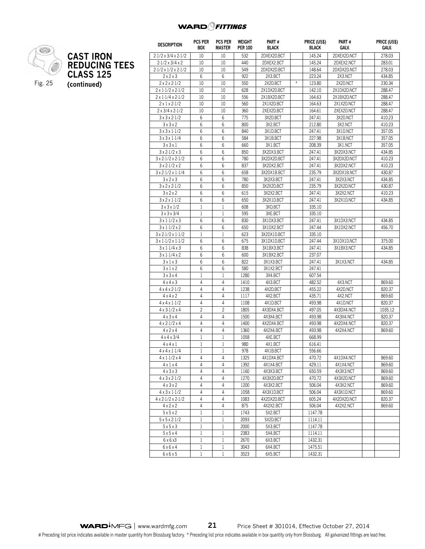**Price (US\$) Galv.**



|                      | <b>DESCRIPTION</b>                                 | <b>PCS PER</b><br><b>BOX</b> | <b>PCS PER</b><br><b>MASTER</b> | WEIGHT<br><b>PER 100</b> | PART#<br><b>BLACK</b>   |        | PRICE (US\$)<br><b>BLACK</b> | PART#<br>GALV.          | <b>PRICE (US</b><br>GALV. |
|----------------------|----------------------------------------------------|------------------------------|---------------------------------|--------------------------|-------------------------|--------|------------------------------|-------------------------|---------------------------|
| <b>CAST IRON</b>     | $2.1/2 \times 3/4 \times 2.1/2$                    | 10                           | 10                              | 532                      | 2DXEX2D.BCT             |        | 145.24                       | 2DXEX2D.NCT             | 278.03                    |
| <b>REDUCING TEES</b> | $2.1/2 \times 3/4 \times 2$                        | 10                           | 10                              | 440                      | 2DXEX2.BCT              |        | 145.24                       | 2DXEX2.NCT              | 283.01                    |
|                      | $2.1/2 \times 1/2 \times 2.1/2$                    | 10                           | 10                              | 549                      | 2DXDX2D.BCT             |        | 148.64                       | 2DXDX2D.NCT             | 278.03                    |
| <b>CLASS 125</b>     | 2x2x3                                              | 6                            | 6                               | 922                      | 2X3.BCT                 |        | 223.24                       | 2X3.NCT                 | 434.85                    |
| (continued)          | $2 \times 2 \times 2 - 1/2$                        | 10                           | 10                              | 550                      | 2X2D.BCT                | $\ast$ | 123.80                       | 2X2D.NCT                | 230.34                    |
|                      | $2 \times 1.1/2 \times 2.1/2$                      | 10                           | 10                              | 628                      | 2X1DX2D.BCT             |        | 142.10                       | 2X1DX2D.NCT             | 288.47                    |
|                      | $2 \times 1.1/4 \times 2.1/2$                      | 10                           | 10                              | 556                      | 2X1BX2D.BCT             |        | 164.63                       | 2X1BX2D.NCT             | 288.47                    |
|                      | $2 \times 1 \times 2.1/2$                          | 10                           | 10                              | 560                      | 2X1X2D.BCT              |        | 164.63                       | 2X1X2D.NCT              | 288.47                    |
|                      | $2 \times 3/4 \times 2.1/2$                        | 10                           | 10                              | 360                      | 2XEX2D.BCT              |        | 164.61                       | 2XEX2D.NCT              | 288.47                    |
|                      | $3 \times 3 \times 2.1/2$                          | 6                            | 6                               | 775                      | 3X2D.BCT                |        | 247.41                       | 3X2D.NCT                | 410.23                    |
|                      | 3x3x2                                              | $6\phantom{1}6$              | 6                               | 800                      | 3X2.BCT                 |        | 212.80                       | 3X2.NCT                 | 410.23                    |
|                      | $3 \times 3 \times 1.1/2$                          | 6                            | 6                               | 840                      | 3X1D.BCT                |        | 247.41                       | 3X1D.NCT                | 357.05                    |
|                      | $3 \times 3 \times 1.1/4$                          | 6                            | 6                               | 584                      | 3X1B.BCT                |        | 227.98                       | 3X1B.NCT                | 357.05                    |
|                      | 3x3x1                                              | 6                            | 6                               | 660                      | 3X1.BCT                 |        | 208.39                       | 3X1.NCT                 | 357.05                    |
|                      | $3 \times 2.1/2 \times 3$                          | 6                            | 6                               | 850                      | 3X2DX3.BCT              |        | 247.41                       | 3X2DX3.NCT              | 434.85                    |
|                      | $3 \times 2.1/2 \times 2.1/2$                      | 6                            | 6                               | 780                      | 3X2DX2D.BCT             |        | 247.41                       | 3X2DX2D.NCT             | 410.23                    |
|                      | $3 \times 2.1/2 \times 2$                          | 6                            | 6                               | 837                      | 3X2DX2.BCT              |        | 247.41                       | 3X2DX2.NCT              | 410.23                    |
|                      | $3 \times 2.1/2 \times 1.1/4$                      | 6                            | 6                               | 658                      | 3X2DX1B.BCT             |        | 235.79                       | 3X2DX1B.NCT             | 430.87                    |
|                      | 3x2x3                                              | 6                            | 6                               | 780                      | 3X2X3.BCT               |        | 247.41                       | 3X2X3.NCT               | 434.85                    |
|                      | $3 \times 2 \times 2.1/2$                          | 6                            | 6                               | 850                      | 3X2X2D.BCT              |        | 235.79                       | 3X2X2D.NCT              | 430.87                    |
|                      | 3x2x2                                              | 6                            | 6                               | 615                      | 3X2X2.BCT               |        | 247.41                       | 3X2X2.NCT               | 410.23                    |
|                      | $3 \times 2 \times 1.1/2$                          | 6                            | 6                               | 650                      | 3X2X1D.BCT              |        | 247.41                       | 3X2X1D.NCT              | 434.85                    |
|                      | $3 \times 3 \times 1/2$                            | $\mathbf{1}$                 | $\mathbf{1}$                    | 608                      | 3XD.BCT                 |        | 335.10                       |                         |                           |
|                      | $3 \times 3 \times 3/4$                            | 1                            | $\mathbf{1}$                    | 595                      | 3XE.BCT                 |        | 335.10                       |                         |                           |
|                      | $3 \times 1.1/2 \times 3$                          | 6                            | 6                               | 830                      | 3X1DX3.BCT              |        | 247.41                       | 3X1DX3.NCT              | 434.85                    |
|                      | $3 \times 1.1/2 \times 2$                          | $6\phantom{1}6$              | 6                               | 650                      | 3X1DX2.BCT              |        | 247.44                       | 3X1DX2.NCT              | 456.70                    |
|                      | $3 \times 2.1/2 \times 1.1/2$                      | $\mathbf{1}$                 | $\mathbf{1}$                    | 623                      | 3X2DX1D.BCT             |        | 335.10                       |                         |                           |
|                      | $3 \times 1.1/2 \times 1.1/2$                      | 6                            | 6                               | 675                      | 3X1DX1D.BCT             |        | 247.44                       | 3X1DX1D.NCT             | 375.00                    |
|                      | $3 \times 1.1/4 \times 3$                          | 6                            | 6                               | 838                      | 3X1BX3.BCT              |        | 247.41                       | 3X1BX3.NCT              | 434.85                    |
|                      | 3x1.1/4x2                                          | 6                            | 6                               | 600                      | 3X1BX2.BCT              |        | 237.07                       |                         |                           |
|                      | 3x1x3                                              | 6                            | 6                               | 822                      | 3X1X3.BCT               |        | 247.41                       | 3X1X3.NCT               | 434.85                    |
|                      | 3x1x2                                              | 6                            | 6                               | 580                      | 3X1X2.BCT               |        | 247.41                       |                         |                           |
|                      | 3x3x4                                              | 1                            | 1                               | 1280                     | 3X4.BCT                 |        | 607.54                       |                         |                           |
|                      | $4 \times 4 \times 3$                              | 4                            | 4                               | 1410                     | 4X3.BCT                 |        | 482.52                       | 4X3.NCT                 | 869.60                    |
|                      | $4 \times 4 \times 2.1/2$                          | 4                            | 4                               | 1238                     | 4X2D.BCT                |        | 455.22                       | 4X2D.NCT                | 820.37                    |
|                      | $4 \times 4 \times 2$                              | 4                            | 4                               | 1117                     | 4X2.BCT                 |        | 435.71                       | 4X2.NCT                 | 869.60                    |
|                      | $4 \times 4 \times 1.1/2$                          | 4                            | 4                               | 1108                     | 4X1D.BCT                |        | 493.98                       | 4X1D.NCT                | 820.37                    |
|                      | $4 \times 3.1/2 \times 4$                          | $\overline{c}$               | $\overline{c}$                  | 1805                     | 4X3DX4.BCT              |        | 497.05                       | 4X3DX4.NCT              | 1035.12                   |
|                      | $4 \times 3 \times 4$                              | 4                            | 4                               | 1500                     | 4X3X4.BCT               |        | 493.98                       | 4X3X4.NCT               | 820.37                    |
|                      | $4 \times 2.1/2 \times 4$                          | 4                            | 4                               | 1400                     | 4X2DX4.BCT              |        | 493.98                       | 4X2DX4.NCT              | 820.37                    |
|                      | $4 \times 2 \times 4$                              | 4                            | 4                               | 1360                     | 4X2X4.BCT               |        | 493.98                       | 4X2X4.NCT               | 869.60                    |
|                      | $4 \times 4 \times 3/4$                            | 1                            | 1                               | 1058                     | 4XE.BCT                 |        | 668.99                       |                         |                           |
|                      | $4 \times 4 \times 1$                              | $\mathbf{1}$                 | $\mathbf{1}$                    | 980                      | 4X1.BCT                 |        | 616.41                       |                         |                           |
|                      | $4 \times 4 \times 1.1/4$                          | $\mathbf{1}$                 | 1                               | 978                      | 4X1B.BCT                |        | 556.66                       |                         |                           |
|                      | $4 \times 1.1/2 \times 4$                          | 4                            | 4                               | 1325                     | 4X1DX4.BCT              |        | 470.72                       | 4X1DX4.NCT              | 869.60                    |
|                      | $4 \times 1 \times 4$                              | 4                            | 4                               | 1392                     | 4X1X4.BCT               |        | 429.11                       | 4X1X4.NCT               | 869.60                    |
|                      | $4 \times 3 \times 3$                              | 4                            | 4                               | 1160                     | 4X3X3.BCT               |        | 650.59                       | 4X3X3.NCT               | 869.60                    |
|                      | $4 \times 3 \times 2.1/2$                          | 4                            | 4                               | 1270                     | 4X3X2D.BCT              |        | 470.72                       | 4X3X2D.NCT              | 869.60                    |
|                      | $4 \times 3 \times 2$<br>$4 \times 3 \times 1.1/2$ | 4<br>4                       | 4<br>4                          | 1200<br>1058             | 4X3X2.BCT<br>4X3X1D.BCT |        | 506.04                       | 4X3X2.NCT<br>4X3X1D.NCT | 869.60                    |
|                      | $4 \times 2.1/2 \times 2.1/2$                      | 4                            | $\overline{4}$                  | 1083                     | 4X2DX2D.BCT             |        | 506.04<br>605.24             | 4X2DX2D.NCT             | 869.60<br>820.37          |
|                      |                                                    |                              |                                 |                          |                         |        |                              |                         |                           |

4 x 2 x 2 4 4 875 4X2X2.BCT 506.04 4X2X2.NCT 869.60

5 x 5 x 2 1 1 1743 5X2.BCT 1147.78 5 x 5 x 2-1/2 1 1 2093 5X2D.BCT 1114.11 5 x 5 x 3 1 1 1 2000 5X3.BCT 1147.78 5 x 5 x 4 1 1 1 2383 5X4.BCT 1114.11 6 x 6 x3 1 1 2670 6X3.BCT 1432.31 6 x 6 x 4 1 1 3043 6X4.BCT 1475.51 6 x 6 x 5 1 1 3523 6X5.BCT 1432.31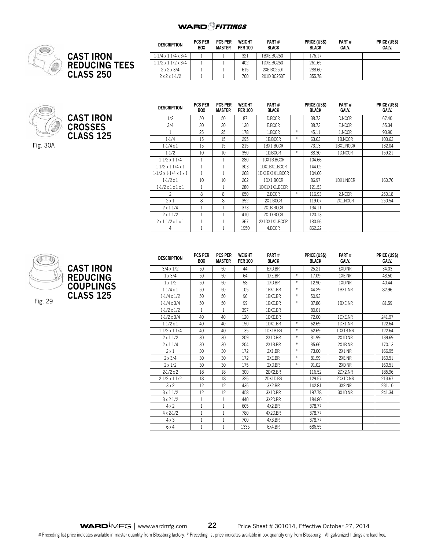

| <b>DESCRIPTION</b>              | <b>PCS PER</b><br><b>BOX</b> | <b>PCS PER</b><br>MASTER | WEIGHT<br><b>PER 100</b> | PART#<br><b>BLACK</b> | <b>PRICE (US\$)</b><br><b>BLACK</b> | PART#<br>GALV. | PRICE (US\$)<br>GALV. |
|---------------------------------|------------------------------|--------------------------|--------------------------|-----------------------|-------------------------------------|----------------|-----------------------|
| $1.1/4 \times 1.1/4 \times 3/4$ |                              |                          | 321                      | 1BXE.BC250T           | 176.17                              |                |                       |
| $1.1/2 \times 1.1/2 \times 3/4$ |                              |                          | 402                      | 1DXE.BC250T           | 261.65                              |                |                       |
| $2 \times 2 \times 3/4$         |                              |                          | 615                      | 2XE.BC250T            | 288.60                              |                |                       |
| $2x2x1-1/2$                     |                              |                          | 760                      | 2X1D.BC250T           | 355.78                              |                |                       |

**CAST IRON CROSSES CLASS 125**

**CAST IRON**

**CLASS 250**

**REDUCING TEES**

Fig. 30A

| <b>DESCRIPTION</b>                     | PCS PER<br>BOX | <b>PCS PER</b><br><b>MASTER</b> | WEIGHT<br><b>PER 100</b> | PART#<br><b>BLACK</b> |     | <b>PRICE (USS)</b><br><b>BLACK</b> | PART#<br><b>GALV.</b> | <b>PRICE (US\$)</b><br><b>GALV.</b> |
|----------------------------------------|----------------|---------------------------------|--------------------------|-----------------------|-----|------------------------------------|-----------------------|-------------------------------------|
| 1/2                                    | 50             | 50                              | 87                       | D.BCCR                |     | 38.73                              | D.NCCR                | 67.40                               |
| 3/4                                    | 30             | 30                              | 130                      | E.BCCR                |     | 38.73                              | E.NCCR                | 55.34                               |
|                                        | 25             | 25                              | 178                      | 1.BCCR                | $*$ | 45.11                              | 1.NCCR                | 93.90                               |
| 1.1/4                                  | 15             | 15                              | 295                      | 1B.BCCR               | $*$ | 63.63                              | 1B.NCCR               | 103.63                              |
| $1.1/4 \times 1$                       | 15             | 15                              | 215                      | 1BX1.BCCR             |     | 73.13                              | 1BX1.NCCR             | 132.04                              |
| 1.1/2                                  | 10             | 10                              | 350                      | 1D.BCCR               | $*$ | 88.30                              | 1D.NCCR               | 159.21                              |
| $1.1/2 \times 1.1/4$                   |                | 1                               | 280                      | 1DX1B.BCCR            |     | 104.66                             |                       |                                     |
| $1.1/2 \times 1.1/4 \times 1$          |                | 1                               | 303                      | 1DX1BX1.BCCR          |     | 144.02                             |                       |                                     |
| $1.1/2 \times 1.1/4 \times 1 \times 1$ |                | 1                               | 268                      | 1DX1BX1X1.BCCR        |     | 104.66                             |                       |                                     |
| $1.1/2 \times 1$                       | 10             | 10                              | 262                      | 1DX1.BCCR             |     | 86.97                              | 1DX1.NCCR             | 160.76                              |
| $1.1/2 \times 1 \times 1 \times 1$     |                | 1                               | 280                      | 1DX1X1X1.BCCR         |     | 121.53                             |                       |                                     |
| 2                                      | 8              | 8                               | 650                      | 2.BCCR                | $*$ | 116.93                             | 2.NCCR                | 250.18                              |
| $2 \times 1$                           | 8              | 8                               | 352                      | 2X1.BCCR              |     | 119.07                             | 2X1.NCCR              | 250.54                              |
| $2 \times 1.1/4$                       |                | 1                               | 373                      | 2X1B.BCCR             |     | 134.11                             |                       |                                     |
| $2 \times 1.1/2$                       |                | 1                               | 410                      | 2X1D.BCCR             |     | 120.13                             |                       |                                     |
| $2 \times 1.1/2 \times 1 \times 1$     |                | 1                               | 367                      | 2X1DX1X1.BCCR         |     | 180.56                             |                       |                                     |
| 4                                      |                |                                 | 1950                     | 4.BCCR                |     | 862.22                             |                       |                                     |



| <b>DESCRIPTION</b>   | <b>PCS PER</b><br><b>BOX</b> | <b>PCS PER</b><br><b>MASTER</b> | <b>WEIGHT</b><br><b>PER 100</b> | PART#<br><b>BLACK</b> |        | PRICE (US\$)<br><b>BLACK</b> | PART#<br>GALV. | PRICE (US\$)<br>GALV. |
|----------------------|------------------------------|---------------------------------|---------------------------------|-----------------------|--------|------------------------------|----------------|-----------------------|
| $3/4 \times 1/2$     | 50                           | 50                              | 44                              | EXD.BR                |        | 25.21                        | <b>FXD NR</b>  | 34.03                 |
| $1 \times 3/4$       | 50                           | 50                              | 64                              | 1XE.BR                | $*$    | 17.09                        | 1XE.NR         | 48.50                 |
| $1 \times 1/2$       | 50                           | 50                              | 58                              | 1XD.BR                | $\ast$ | 12.90                        | 1XD.NR         | 40.44                 |
| $1.1/4 \times 1$     | 50                           | 50                              | 105                             | 1BX1.BR               | $\ast$ | 44.29                        | 1BX1.NR        | 82.96                 |
| $1.1/4 \times 1/2$   | 50                           | 50                              | 96                              | 1BXD.BR               | $*$    | 50.93                        |                |                       |
| $1.1/4 \times 3/4$   | 50                           | 50                              | 99                              | 1BXE.BR               | $\ast$ | 37.86                        | 1BXE.NR        | 81.59                 |
| $1.1/2 \times 1/2$   | 1                            | 1                               | 397                             | 1DXD.BR               |        | 80.01                        |                |                       |
| $1.1/2 \times 3/4$   | 40                           | 40                              | 120                             | 1DXE.BR               |        | 72.00                        | 1DXE.NR        | 241.97                |
| $1.1/2 \times 1$     | 40                           | 40                              | 150                             | 1DX1.BR               | $*$    | 62.69                        | 1DX1.NR        | 122.64                |
| $1.1/2 \times 1.1/4$ | 40                           | 40                              | 135                             | 1DX1B.BR              | $*$    | 62.69                        | 1DX1B.NR       | 122.64                |
| $2 \times 1.1/2$     | 30                           | 30                              | 209                             | 2X1D.BR               | $*$    | 81.99                        | 2X1D.NR        | 139.69                |
| $2 \times 1.1/4$     | 30                           | 30                              | 204                             | 2X1B.BR               | $*$    | 85.66                        | 2X1B.NR        | 170.13                |
| $2 \times 1$         | 30                           | 30                              | 172                             | 2X1.BR                | $*$    | 73.00                        | <b>2X1.NR</b>  | 166.95                |
| $2 \times 3/4$       | 30                           | 30                              | 172                             | 2XE.BR                | $*$    | 81.99                        | 2XE.NR         | 160.51                |
| $2 \times 1/2$       | 30                           | 30                              | 175                             | 2XD.BR                | $*$    | 91.02                        | 2XD.NR         | 160.51                |
| 2.1/2x2              | 18                           | 18                              | 300                             | 2DX2.BR               |        | 116.52                       | 2DX2 NR        | 185.96                |
| $2.1/2 \times 1.1/2$ | 18                           | 18                              | 325                             | 2DX1D.BR              |        | 129.57                       | 2DX1D.NR       | 213.67                |
| 3x2                  | 12                           | 12                              | 435                             | 3X2.BR                |        | 142.81                       | 3X2.NR         | 231.10                |
| $3 \times 1.1/2$     | 12                           | 12                              | 458                             | 3X1D.BR               |        | 197.78                       | 3X1D.NR        | 241.34                |
| $3 \times 2.1/2$     | $\mathbf{1}$                 | 1                               | 440                             | 3X2D.BR               |        | 184.80                       |                |                       |
| $4 \times 2$         | 1                            | 1                               | 605                             | 4X2.BR                |        | 378.77                       |                |                       |
| $4 \times 2.1/2$     | $\mathbf{1}$                 | 1                               | 780                             | 4X2D.BR               |        | 378.77                       |                |                       |
| $4 \times 3$         | 1                            | 1                               | 700                             | 4X3.BR                |        | 378.77                       |                |                       |
| 6x4                  | 1                            | 1                               | 1335                            | 6X4.BR                |        | 686.55                       |                |                       |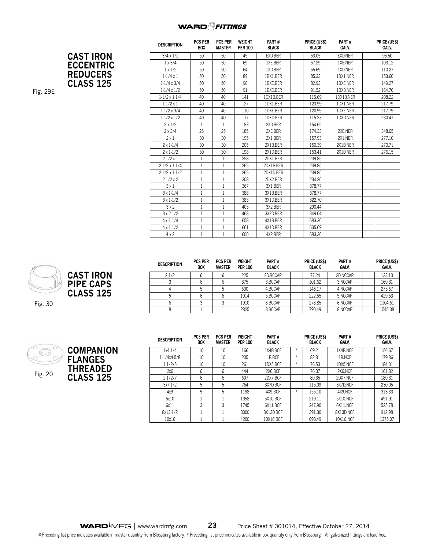**CAST IRON ECCENTRIC REDUCERS CLASS 125**

| <b>DESCRIPTION</b>   | <b>PCS PER</b><br><b>BOX</b> | <b>PCS PER</b><br><b>MASTER</b> | <b>WEIGHT</b><br><b>PER 100</b> | PART#<br><b>BLACK</b> | PRICE (US\$)<br><b>BLACK</b> | PART#<br><b>GALV.</b> | PRICE (US\$)<br><b>GALV.</b> |
|----------------------|------------------------------|---------------------------------|---------------------------------|-----------------------|------------------------------|-----------------------|------------------------------|
| $3/4 \times 1/2$     | 50                           | 50                              | 45                              | EXD.BER               | 53.05                        | EXD.NER               | 95.50                        |
| $1 \times 3/4$       | 50                           | 50                              | 69                              | 1XE.BER               | 57.29                        | 1XE.NER               | 103.12                       |
| $1 \times 1/2$       | 50                           | 50                              | 64                              | 1XD.BER               | 55.69                        | 1XD.NER               | 110.27                       |
| $1.1/4 \times 1$     | 50                           | 50                              | 89                              | 1BX1.BER              | 85.33                        | 1BX1.NER              | 153.60                       |
| $1.1/4 \times 3/4$   | 50                           | 50                              | 96                              | 1BXE.BER              | 82.93                        | 1BXE.NER              | 149.27                       |
| $1.1/4 \times 1/2$   | 50                           | 50                              | 91                              | 1BXD.BER              | 91.52                        | 1BXD.NER              | 164.76                       |
| $1.1/2 \times 1.1/4$ | 40                           | 40                              | 141                             | 1DX1B.BER             | 115.69                       | 1DX1B.NER             | 208.22                       |
| $1.1/2 \times 1$     | 40                           | 40                              | 127                             | 1DX1.BER              | 120.99                       | 1DX1.NER              | 217.79                       |
| $1.1/2 \times 3/4$   | 40                           | 40                              | 110                             | 1DXE.BER              | 120.99                       | 1DXE.NER              | 217.79                       |
| $1.1/2 \times 1/2$   | 40                           | 40                              | 117                             | 1DXD.BER              | 115.23                       | 1DXD.NER              | 230.47                       |
| $2 \times 1/2$       | $\mathbf{1}$                 | 1                               | 183                             | 2XD.BER               | 154.65                       |                       |                              |
| $2 \times 3/4$       | 25                           | 25                              | 185                             | 2XE.BER               | 174.33                       | 2XE.NER               | 348.65                       |
| 2x1                  | 30                           | 30                              | 195                             | 2X1.BER               | 157.93                       | 2X1.NER               | 277.10                       |
| $2 \times 1.1/4$     | 30                           | 30                              | 205                             | 2X1B.BER              | 150.39                       | 2X1B.NER              | 270.71                       |
| $2 \times 1.1/2$     | 30                           | 30                              | 198                             | 2X1D.BER              | 153.41                       | 2X1D.NER              | 276.15                       |
| $2.1/2 \times 1$     | 1                            | 1                               | 258                             | 2DX1.BER              | 239.85                       |                       |                              |
| $2.1/2 \times 1.1/4$ | $\mathbf{1}$                 | $\mathbf{1}$                    | 265                             | 2DX1B.BER             | 239.85                       |                       |                              |
| $2.1/2 \times 1.1/2$ | $\mathbf{1}$                 | $\mathbf{1}$                    | 265                             | 2DX1D.BER             | 239.85                       |                       |                              |
| $2.1/2 \times 2$     | $1\,$                        | 1                               | 308                             | 2DX2.BER              | 234.26                       |                       |                              |
| 3x1                  | $\mathbf{1}$                 | 1                               | 367                             | 3X1.BER               | 378.77                       |                       |                              |
| $3 \times 1.1/4$     | $1\,$                        | $\mathbf{1}$                    | 388                             | 3X1B.BER              | 378.77                       |                       |                              |
| $3 \times 1.1/2$     | $\mathbf{1}$                 | 1                               | 383                             | 3X1D.BER              | 322.70                       |                       |                              |
| 3x2                  | 1                            | 1                               | 403                             | 3X2.BER               | 290.44                       |                       |                              |
| $3 \times 2.1/2$     | $\mathbf 1$                  | 1                               | 468                             | 3X2D.BER              | 349.04                       |                       |                              |
| $4 \times 1.1/4$     | $\mathbf{1}$                 | 1                               | 658                             | 4X1B.BER              | 683.36                       |                       |                              |
| $4 \times 1.1/2$     | $\mathbf{1}$                 | 1                               | 661                             | 4X1D.BER              | 635.69                       |                       |                              |
| $4 \times 2$         | $\mathbf{1}$                 | 1                               | 600                             | 4X2.BER               | 683.36                       |                       |                              |

|--|--|



Fig. 30



| <b>DESCRIPTION</b> | <b>PCS PER</b><br><b>BOX</b> | <b>PCS PER</b><br><b>MASTER</b> | <b>WEIGHT</b><br><b>PER 100</b> | PART#<br><b>BLACK</b> | PRICE (US\$)<br><b>BLACK</b> | PART#<br>GALV. | PRICE (US\$)<br>GALV. |
|--------------------|------------------------------|---------------------------------|---------------------------------|-----------------------|------------------------------|----------------|-----------------------|
| 2.1/2              |                              |                                 | 225                             | 2D.BCCAP              | 77.24                        | 2D.NCCAP       | 133.13                |
|                    |                              |                                 | 375                             | 3.BCCAP               | 101.62                       | 3.NCCAP        | 169.31                |
|                    |                              |                                 | 600                             | 4.BCCAP               | 146.17                       | 4.NCCAP        | 273.67                |
|                    |                              |                                 | 1014                            | 5.BCCAP               | 222.55                       | 5.NCCAP        | 429.53                |
|                    |                              |                                 | 1910                            | 6.BCCAP               | 278.85                       | 6.NCCAP        | 1104.61               |
|                    |                              |                                 | 2825                            | 8.BCCAP               | 790.49                       | 8.NCCAP        | 1545.38               |

|  | C |
|--|---|
|  | F |
|  |   |
|  |   |



| <b>DESCRIPTION</b> | <b>PCS PER</b><br><b>BOX</b> | <b>PCS PER</b><br><b>MASTER</b> | <b>WEIGHT</b><br><b>PER 100</b> | PART#<br><b>BLACK</b> |                  | PRICE (US\$)<br><b>BLACK</b> | PART#<br>GALV. |        | PRICE (US\$)<br>GALV. |
|--------------------|------------------------------|---------------------------------|---------------------------------|-----------------------|------------------|------------------------------|----------------|--------|-----------------------|
| 1x4.1/4            | 10                           | 10                              | 166                             | 1X4B.BCF              | $*$              | 69.21                        | 1X4B.NCF       |        | 156.67                |
| 1.1/4x4.5/8        | 10                           | 10                              | 205                             | 1B.BCF                | $*$              | 82.81                        | 1B.NCF         |        | 179.86                |
| 1.1/2x5            | 10                           | 10                              | 261                             | 1DX5.BCF              | $*$              | 76.53                        | 1DX5.NCF       |        | 184.01                |
| 2x6                | 6                            | 6                               | 444                             | 2X6.BCF               | 76.37<br>2X6.NCF |                              |                | 161.82 |                       |
| 2.1/2x7            | 6                            | 6                               | 607                             | 2DX7.BCF              |                  | 89.35                        | 2DX7.NCF       |        | 189.31                |
| 3x7.1/2            | 5                            | 5                               | 764                             | 3X7D.BCF              |                  | 115.09                       | 3X7D.NCF       |        | 230.05                |
| 4x9                | 5                            | 5                               | 1188                            | 4X9.BCF               | $*$              | 155.10                       | 4X9.NCF        |        | 313.33                |
| 5x10               |                              |                                 | 1358                            | 5X10.BCF              |                  | 219.11                       | 5X10.NCF       |        | 491.91                |
| 6x11               | 3                            | 3                               | 1745                            | 6X11.BCF              |                  | 247.90                       | 6X11.NCF       |        | 525.78                |
| 8x13-1/2           |                              |                                 | 3000                            | 8X13D.BCF             |                  | 391.30                       | 8X13D.NCF      |        | 912.98                |
| 10x16              |                              |                                 | 4200                            | 10X16.BCF             |                  | 693.49                       | 10X16.NCF      |        | 1375.07               |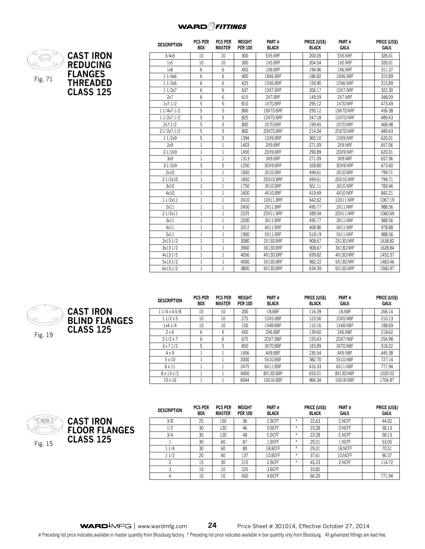

| <b>DESCRIPTION</b> | <b>PCS PER</b><br><b>BOX</b> | <b>PCS PER</b><br><b>MASTER</b> | WEIGHT<br><b>PER 100</b> | PART#<br><b>BLACK</b> | PRICE (US\$)<br><b>BLACK</b> | PART#<br>GALV.  | PRICE (US\$)<br><b>GALV.</b> |
|--------------------|------------------------------|---------------------------------|--------------------------|-----------------------|------------------------------|-----------------|------------------------------|
| 3/4x5              | 10                           | 10                              | 300                      | EX5.BRF               | 200.05                       | EX5.NRF         | 326.01                       |
| 1x5                | 10                           | 10                              | 300                      | 1X5.BRF               | 204.54                       | 1X5.NRF         | 326.01                       |
| 1x6                | 6                            | 6                               | 450                      | 1X6.BRF               | 194.96                       | 1X6.NRF         | 311.37                       |
| 1.1/4x6            | 6                            | 6                               | 400                      | 1BX6.BRF              | 186.82                       | 1BX6.NRF        | 315.89                       |
| 1.1/2x6            | 6                            | 6                               | 425                      | 1DX6.BRF              | 159.90                       | 1DX6.NRF        | 315.89                       |
| 1.1/2x7            | 6                            | 6                               | 637                      | 1DX7.BRF              | 206.17                       | 1DX7.NRF        | 322.30                       |
| 2x7                | 6                            | 6                               | 615                      | 2X7.BRF               | 149.59                       | 2X7.NRF         | 348.09                       |
| 1x7.1/2            | 5                            | 5                               | 810                      | 1X7D.BRF              | 295.12                       | 1X7D.NRF        | 473.49                       |
| 1.1/4x7.1/2        | 5                            | 5                               | 800                      | 1BX7D.BRF             | 295.12                       | 1BX7D.NRF       | 456.38                       |
| 1.1/2x7.1/2        | 5                            | 5                               | 825                      | 1DX7D.BRF             | 247.18                       | 1DX7D.NRF       | 489.43                       |
| 2x7.1/2            | 5                            | 5                               | 800                      | 2X7D.BRF              | 199.45                       | 2X7D.NRF        | 468.98                       |
| 2.1/2x7.1/2        | 5                            | 5                               | 800                      | 2DX7D.BRF             | 214.04                       | 2DX7D.NRF       | 489.43                       |
| 1.1/2x9            | 5                            | 5                               | 1394                     | 1DX9.BRF              | 365.10                       | 1DX9.NRF        | 620.01                       |
| 2x9                | 1                            | 1                               | 1403                     | 2X9.BRF               | 271.09                       | 2X9.NRF         | 657.06                       |
| 2.1/2x9            | 1                            | 1                               | 1450                     | 2DX9.BRF              | 290.89                       | 2DX9.NRF        | 620.01                       |
| 3x9                | $\mathbf{1}$                 | 1                               | 1313                     | 3X9.BRF               | 271.09                       | 3X9.NRF         | 657.06                       |
| 3.1/2x9            | 5                            | 5                               | 1250                     | 3DX9.BRF              | 328.80                       | 3DX9.NRF        | 673.60                       |
| 2x10               | 1                            | 1                               | 1850                     | 2X10.BRF              | 499.61                       | <b>2X10.NRF</b> | 799.71                       |
| 2.1/2x10           | 1                            | 1                               | 1850                     | 2DX10.BRF             | 499.61                       | 2DX10.NRF       | 799.71                       |
| 3x10               | 1                            | 1                               | 1750                     | 3X10.BRF              | 501.11                       | 3X10.NRF        | 783.46                       |
| 4x10               | 1                            | 1                               | 1600                     | 4X10.BRF              | 419.49                       | 4X10.NRF        | 842.21                       |
| 1.1/2x11           | $\mathbf{1}$                 | $\mathbf{1}$                    | 2410                     | 1DX11.BRF             | 642.62                       | 1DX11.NRF       | 1067.19                      |
| 2x11               | 1                            | 1                               | 2450                     | 2X11.BRF              | 495.77                       | <b>2X11.NRF</b> | 988.56                       |
| 2.1/2x11           | 1                            | 1                               | 2225                     | 2DX11.BRF             | 589.04                       | 2DX11.NRF       | 1060.69                      |
| 3x11               | 1                            | 1                               | 2200                     | 3X11.BRF              | 495.77                       | 3X11.NRF        | 988.56                       |
| 4x11               | 1                            | 1                               | 2012                     | 4X11.BRF              | 408.86                       | 4X11.NRF        | 978.88                       |
| 5x11               | $\mathbf{1}$                 | $\mathbf{1}$                    | 1900                     | 5X11.BRF              | 518.19                       | 5X11.NRF        | 988.56                       |
| 2x13.1/2           | 1                            | 1                               | 3080                     | 2X13D.BRF             | 908.67                       | 2X13D.NRF       | 1638.82                      |
| 3x13.1/2           | 1                            | 1                               | 3900                     | 3X13D.BRF             | 908.67                       | 3X13D.NRF       | 1628.84                      |
| 4x13.1/2           | 1                            | 1                               | 4056                     | 4X13D.BRF             | 699.82                       | 4X13D.NRF       | 1452.37                      |
| 5x13-1/2           | 1                            | 1                               | 4000                     | 5X13D.BRF             | 982.22                       | 5X13D.NRF       | 1483.46                      |
| 6x13-1/2           | 1                            | 1                               | 3800                     | 6X13D.BRF             | 634.39                       | 6X13D.NRF       | 1560.97                      |



|                      | <b>DESCRIPTION</b>   | .<br>B |
|----------------------|----------------------|--------|
| CAST IRON            | $1.1/4 \times 4.5/8$ |        |
| <b>BLIND FLANGES</b> | $1.1/2 \times 5$     |        |
|                      | 1x4.1/4              |        |
| <b>CLASS 125</b>     | 2x6                  |        |
|                      | $2.1/2 \times 7$     |        |
|                      | $3 \times 7.1/2$     |        |

| <b>DESCRIPTION</b>   | <b>PCS PER</b><br><b>BOX</b> | <b>PCS PER</b><br><b>MASTER</b> | WEIGHT<br><b>PER 100</b> | PART#<br><b>BLACK</b> |        | PRICE (US\$)<br><b>BLACK</b> | PART#<br>GALV. | PRICE (US\$)<br>GALV. |
|----------------------|------------------------------|---------------------------------|--------------------------|-----------------------|--------|------------------------------|----------------|-----------------------|
| $1.1/4 \times 4.5/8$ | 10                           | 10                              | 200                      | 1B.BBF                |        | 116.39                       | 1B.NBF         | 206.14                |
| $1.1/2 \times 5$     | 10                           | 10                              | 275                      | 1DX5.BBF              | 123.56 |                              | 1DX5.NBF       | 210.13                |
| 1x4.1/4              | 10                           | 10                              | 150                      | 1X4B.BBF              |        | 110.16                       | 1X4B.NBF       | 188.69                |
| $2 \times 6$         | 6                            | 6                               | 450                      | 2X6.BBF               | 139.60 |                              | 2X6.NBF        | 218.62                |
| $2.1/2 \times 7$     | 6                            | 6                               | 675                      | 2DX7.BBF              |        | 153.43<br>2DX7.NBF           |                | 254.98                |
| $3 \times 7.1/2$     | 5                            | 5                               | 850                      | 3X7D.BBF              |        | 183.89                       | 3X7D.NBF       | 318.22                |
| $4 \times 9$         |                              |                                 | 1456                     | 4X9.BBF               |        | 235.54                       | 4X9.NBF        | 445.38                |
| $5 \times 10$        |                              |                                 | 2000                     | 5X10.BBF              |        | 382.70                       | 5X10.NBF       | 727.14                |
| 6x11                 |                              |                                 | 2475                     | 6X11.BBF              | 416.33 |                              | 6X11.NBF       | 771.94                |
| $8 \times 13.1/2$    |                              |                                 | 4000                     | 8X13D.BBF             | 653.21 |                              | 8X13D.NBF      | 1020.52               |
| $10 \times 16$       |                              |                                 | 6044                     | 10X16.BBF             | 966.34 |                              | 10X16.NBF      | 1704.87               |



Fig. 15

**CAST IRON FLOOR FLANGES CLASS 125**

| <b>DESCRIPTION</b> | <b>PCS PER</b><br><b>BOX</b> | <b>PCS PER</b><br><b>MASTER</b> | <b>WEIGHT</b><br><b>PER 100</b> | PART#<br><b>BLACK</b> |        | PRICE (US\$)<br><b>BLACK</b> | PART#<br>GALV. | PRICE (US\$)<br>GALV. |
|--------------------|------------------------------|---------------------------------|---------------------------------|-----------------------|--------|------------------------------|----------------|-----------------------|
| 3/8                | 25                           | 150                             | 36                              | C.BCFF                | $\ast$ | 22.63                        | C.NCFF         | 44.02                 |
| 1/2                | 30                           | 120                             | 46                              | D.BCFF                | $\ast$ | 23.28                        | D.NCFF         | 58.13                 |
| 3/4                | 30                           | 120                             | 48                              | E.BCFF                | $\ast$ | 23.28                        | E.NCFF         | 58.13                 |
|                    | 30                           | 60                              | 87                              | 1.BCFF                | $\ast$ | 29.21                        | 1.NCFF         | 53.05                 |
| $1 - 1/4$          | 30                           | 60                              | 80                              | 1B.BCFF               | $*$    | 29.21                        | 1B.NCFF        | 70.51                 |
| $1-1/2$            | 20                           | 40                              | 137                             | 1D.BCFF               | $\ast$ | 37.61                        | 1D.NCFF        | 90.37                 |
| 2                  | 15                           | 30                              | 215                             | 2.BCFF                | ⋇      | 45.23                        | 2.NCFF         | 114.72                |
| 3                  | 10                           | 10                              | 225                             | 3.BCFF                |        | 33.82                        |                |                       |
| 4                  | 10                           | 10                              | 450                             | 4.BCFF                |        | 66.20                        |                | 771.94                |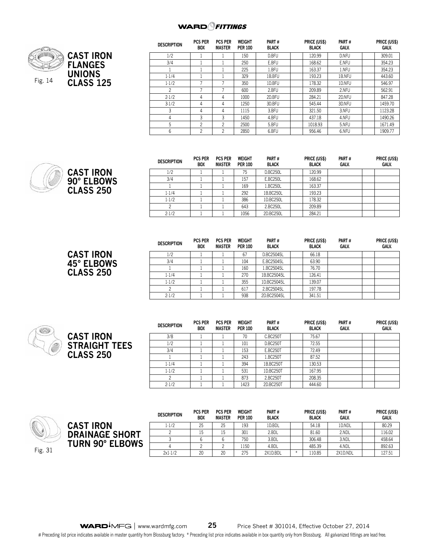

**CAST IRON 90° ELBOWS CLASS 250**

**CAST IRON 45° ELBOWS CLASS 250**

| <b>DESCRIPTION</b> | <b>PCS PER</b><br><b>BOX</b> | <b>PCS PER</b><br><b>MASTER</b> | <b>WEIGHT</b><br><b>PER 100</b> | PART#<br><b>BLACK</b> | PRICE (US\$)<br><b>BLACK</b> | PART#<br><b>GALV.</b> | PRICE (US\$)<br>GALV. |
|--------------------|------------------------------|---------------------------------|---------------------------------|-----------------------|------------------------------|-----------------------|-----------------------|
| 1/2                |                              |                                 | 150                             | D.BFU                 | 120.99<br>D.NFU              |                       | 309.01                |
| 3/4                |                              |                                 | 250                             | E.BFU                 | 168.62                       | E.NFU                 | 354.23                |
|                    |                              |                                 | 225                             | 1.BFU                 | 163.37                       | 1.NFU                 | 354.23                |
| 1.1/4              |                              |                                 | 329                             | 1B.BFU                | 193.23                       | 1B.NFU                | 443.60                |
| $1-1/2$            |                              |                                 | 350                             | 1D.BFU                | 178.32                       | 1D.NFU                | 546.97                |
| 2                  |                              |                                 | 600                             | 2.BFU                 | 209.89                       | 2.NFU                 | 562.91                |
| 2.1/2              | 4                            | 4                               | 1000                            | 2D.BFU                | 284.21                       | 2D.NFU                | 847.28                |
| $3-1/2$            | 4                            | 4                               | 1250                            | 3D.BFU                | 545.44                       | 3D.NFU                | 1459.70               |
| 3                  | 4                            | 4                               | 1115                            | 3.BFU                 | 321.50                       | 3.NFU                 | 1123.28               |
| 4                  | 3                            | 3                               | 1450                            | 4.BFU                 | 437.18                       | 4.NFU                 | 1490.26               |
| 5                  | $\overline{c}$               | 2                               | 2500                            | 5.BFU                 | 1018.93                      | 5.NFU                 | 1671.49               |
| 6                  | 2                            | 2                               | 2850                            | 6.BFU                 | 956.46                       | 6.NFU                 | 1909.77               |

| <b>DESCRIPTION</b> | <b>PCS PER</b><br><b>BOX</b> | <b>PCS PER</b><br><b>MASTER</b> | <b>WEIGHT</b><br><b>PER 100</b> | PART#<br><b>BLACK</b> | PRICE (US\$)<br><b>BLACK</b> | PART#<br><b>GALV.</b> | PRICE (US\$)<br><b>GALV.</b> |
|--------------------|------------------------------|---------------------------------|---------------------------------|-----------------------|------------------------------|-----------------------|------------------------------|
| 1/2                |                              |                                 | 75                              | D.BC250L              | 120.99                       |                       |                              |
| 3/4                |                              |                                 | 157                             | E.BC250L              | 168.62                       |                       |                              |
|                    |                              |                                 | 169                             | 1.BC250L              | 163.37                       |                       |                              |
| 1.1/4              |                              |                                 | 292                             | 1B.BC250L             | 193.23                       |                       |                              |
| 1.1/2              |                              |                                 | 386                             | 1D.BC250L             | 178.32                       |                       |                              |
|                    |                              |                                 | 643                             | 2.BC250L              | 209.89                       |                       |                              |
| 2.1/2              |                              |                                 | 1056                            | 2D.BC250L             | 284.21                       |                       |                              |

| <b>DESCRIPTION</b> | <b>PCS PER</b><br>BOX | <b>PCS PER</b><br><b>MASTER</b> | <b>WEIGHT</b><br><b>PER 100</b> | PART#<br><b>BLACK</b> | PRICE (US\$)<br><b>BLACK</b> | PART#<br>GALV. | PRICE (US\$)<br><b>GALV.</b> |
|--------------------|-----------------------|---------------------------------|---------------------------------|-----------------------|------------------------------|----------------|------------------------------|
| 1/2                |                       |                                 | 67                              | D.BC25045L            | 66.18                        |                |                              |
| 3/4                |                       |                                 | 104                             | E.BC25045L            | 63.90                        |                |                              |
|                    |                       |                                 | 160                             | 1.BC25045L            | 76.70                        |                |                              |
| 1.1/4              |                       |                                 | 270                             | 1B.BC25045L           | 126.41                       |                |                              |
| 1.1/2              |                       |                                 | 355                             | 1D.BC25045L           | 139.07                       |                |                              |
| 2                  |                       |                                 | 617                             | 2.BC25045L            | 197.78                       |                |                              |
| $2 - 1/2$          |                       |                                 | 938                             | 2D.BC25045L           | 341.51                       |                |                              |



| <b>DESCRIPTION</b> | <b>PCS PER</b><br><b>BOX</b> | <b>PCS PER</b><br><b>MASTER</b> | <b>WEIGHT</b><br><b>PER 100</b> | PART#<br><b>BLACK</b> | PRICE (US\$)<br><b>BLACK</b> | PART#<br>GALV. | PRICE (US\$)<br><b>GALV.</b> |
|--------------------|------------------------------|---------------------------------|---------------------------------|-----------------------|------------------------------|----------------|------------------------------|
| 3/8                |                              |                                 | 70                              | C.BC250T              | 75.67                        |                |                              |
| 1/2                |                              |                                 | 101                             | <b>D.BC250T</b>       | 72.55                        |                |                              |
| 3/4                |                              |                                 | 153                             | <b>E.BC250T</b>       | 72.49                        |                |                              |
|                    |                              |                                 | 243                             | 1.BC250T              | 87.52                        |                |                              |
| 1.1/4              |                              |                                 | 394                             | 1B.BC250T             | 130.53                       |                |                              |
| 1.1/2              |                              |                                 | 531                             | 1D.BC250T             | 167.95                       |                |                              |
| 2                  |                              |                                 | 873                             | 2.BC250T              | 208.35                       |                |                              |
| 2.1/2              |                              |                                 | 1423                            | 2D.BC250T             | 444.60                       |                |                              |





| <b>DESCRIPTION</b> | <b>PCS PER</b><br><b>BOX</b> | <b>PCS PER</b><br><b>MASTER</b> | <b>WEIGHT</b><br><b>PER 100</b> | PART#<br><b>BLACK</b> |    | PRICE (US\$)<br><b>BLACK</b> | PART#<br>GALV. | PRICE (US\$)<br>GALV. |
|--------------------|------------------------------|---------------------------------|---------------------------------|-----------------------|----|------------------------------|----------------|-----------------------|
| $1 - 1/2$          | 25                           | 25                              | 193                             | 1D.BDL                |    | 54.18                        | 1D.NDL         | 80.29                 |
|                    | 15                           | 15                              | 301                             | 2.BDL                 |    | 81.60                        | 2.NDL          | 116.02                |
|                    |                              |                                 | 750                             | 3.BDL                 |    | 306.48                       | 3.NDL          | 458.64                |
|                    |                              |                                 | ! 150                           | 4.BDL                 |    | 485.39                       | 4.NDL          | 892.63                |
| 2x1.1/2            | 20                           | 20                              | 275<br>2X1D.BDL                 |                       | ¥. | 110.85                       | 2X1D.NDL       | 127.51                |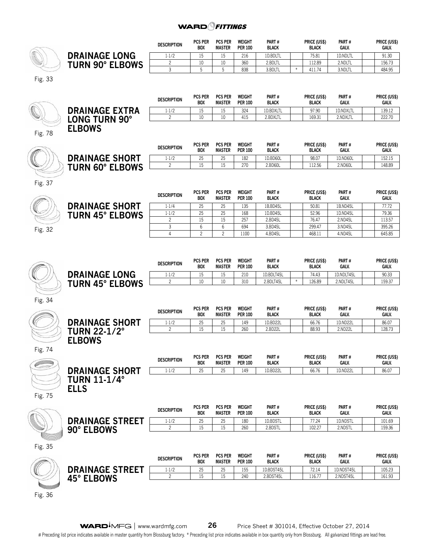|         |                                                             | <b>DESCRIPTION</b> | <b>PCS PER</b><br>BOX        | <b>PCS PER</b><br><b>MASTER</b> | WEIGHT<br><b>PER 100</b>        | PART#<br><b>BLACK</b>   |        | PRICE (US\$)<br><b>BLACK</b> | Part #<br>GALV.         | PRICE (US\$)<br>GALV.        |
|---------|-------------------------------------------------------------|--------------------|------------------------------|---------------------------------|---------------------------------|-------------------------|--------|------------------------------|-------------------------|------------------------------|
|         | <b>DRAINAGE LONG</b>                                        | 1.1/2              | 15                           | 15                              | 216                             | 1D.BDLTL                |        | 75.81                        | 1D.NDLTL                | 91.30                        |
|         | <b>TURN 90° ELBOWS</b>                                      | $\overline{c}$     | 10                           | 10                              | 360                             | 2.BDLTL                 |        | 112.89                       | 2.NDLTL                 | 156.73                       |
|         |                                                             | 3                  | 5                            | 5                               | 838                             | 3.BDLTL                 | $\ast$ | 411.74                       | 3.NDLTL                 | 484.95                       |
| Fig. 33 |                                                             |                    |                              |                                 |                                 |                         |        |                              |                         |                              |
|         |                                                             | <b>DESCRIPTION</b> | <b>PCS PER</b><br>BOX        | <b>PCS PER</b><br><b>MASTER</b> | <b>WEIGHT</b><br><b>PER 100</b> | PART#<br><b>BLACK</b>   |        | PRICE (US\$)<br><b>BLACK</b> | PART#<br>GALV.          | PRICE (US\$)<br>GALV.        |
|         | <b>DRAINAGE EXTRA</b>                                       | 1.1/2              | 15                           | 15                              | 324                             | 1D.BDXLTL               |        | 97.90                        | 1D.NDXLTL               | 139.12                       |
|         | <b>LONG TURN 90°</b>                                        | $\overline{c}$     | 10                           | 10                              | 415                             | 2.BDXLTL                |        | 169.31                       | 2.NDXLTL                | 222.70                       |
| Fig. 78 | <b>ELBOWS</b>                                               |                    |                              |                                 |                                 |                         |        |                              |                         |                              |
|         |                                                             | <b>DESCRIPTION</b> | <b>PCS PER</b><br><b>BOX</b> | <b>PCS PER</b><br><b>MASTER</b> | <b>WEIGHT</b><br><b>PER 100</b> | PART#<br><b>BLACK</b>   |        | PRICE (US\$)<br><b>BLACK</b> | PART#<br>GALV.          | PRICE (US\$)<br>GALV.        |
|         | <b>DRAINAGE SHORT</b>                                       | 1.1/2              | 25                           | 25                              | 182                             | 1D.BD60L                |        | 98.07                        | 1D.ND60L                | 152.15                       |
|         | <b>TURN 60° ELBOWS</b>                                      | $\overline{c}$     | 15                           | 15                              | 270                             | 2.BD60L                 |        | 112.56                       | 2.ND60L                 | 148.89                       |
| Fig. 37 |                                                             |                    | <b>PCS PER</b>               | <b>PCS PER</b>                  | <b>WEIGHT</b>                   | PART#                   |        | PRICE (US\$)                 | PART#                   | PRICE (US\$)                 |
|         |                                                             | <b>DESCRIPTION</b> | BOX                          | <b>MASTER</b>                   | <b>PER 100</b>                  | <b>BLACK</b>            |        | <b>BLACK</b>                 | GALV.                   | GALV.                        |
|         | <b>DRAINAGE SHORT</b>                                       | 1.1/4              | 25                           | 25                              | 135                             | 1B.BD45L                |        | 50.81                        | 1B.ND45L                | 77.72                        |
|         | <b>TURN 45° ELBOWS</b>                                      | 1.1/2              | 25                           | 25                              | 168                             | 1D.BD45L                |        | 52.96                        | 1D.ND45L                | 79.36                        |
|         |                                                             | 2                  | 15                           | 15                              | 257                             | 2.BD45L                 |        | 76.47                        | 2.ND45L                 | 113.57                       |
| Fig. 32 |                                                             | 3                  | 6                            | 6                               | 694                             | 3.BD45L                 |        | 299.47                       | 3.ND45L                 | 395.26                       |
|         |                                                             | $\overline{4}$     | $\overline{c}$               | $\overline{c}$                  | 1100                            | 4.BD45L                 |        | 468.11                       | 4.ND45L                 | 645.85                       |
|         |                                                             | <b>DESCRIPTION</b> | <b>PCS PER</b><br><b>BOX</b> | <b>PCS PER</b><br><b>MASTER</b> | <b>WEIGHT</b><br><b>PER 100</b> | PART#<br><b>BLACK</b>   |        | PRICE (US\$)<br><b>BLACK</b> | PART#<br><b>GALV.</b>   | PRICE (US\$)<br>GALV.        |
|         | <b>DRAINAGE LONG</b>                                        | $1 - 1/2$<br>2     | 15<br>10                     | 15<br>10                        | 210<br>310                      | 1D.BDLT45L<br>2.BDLT45L | $\ast$ | 74.43<br>126.89              | 1D.NDLT45L<br>2.NDLT45L | 90.33<br>159.37              |
| Fig. 34 | <b>TURN 45° ELBOWS</b>                                      |                    |                              |                                 |                                 |                         |        |                              |                         |                              |
|         |                                                             | <b>DESCRIPTION</b> | <b>PCS PER</b><br>BOX        | <b>PCS PER</b><br>MASTER        | <b>WEIGHT</b><br><b>PER 100</b> | PART#<br><b>BLACK</b>   |        | PRICE (US\$)<br><b>BLACK</b> | PART#<br>GALV.          | PRICE (US\$)<br>GALV.        |
|         | <b>DRAINAGE SHORT</b>                                       | 1.1/2              | 25                           | 25                              | 149                             | 1D.BD22L                |        | 66.76                        | 1D.ND22L                | 86.07                        |
| Fig. 74 | <b>TURN 22-1/2°</b><br><b>ELBOWS</b>                        | $\overline{c}$     | 15                           | 15                              | 260                             | 2.BD22L                 |        | 88.93                        | 2.ND22L                 | 128.73                       |
|         |                                                             | <b>DESCRIPTION</b> | <b>PCS PER</b><br><b>BOX</b> | <b>PCS PER</b><br><b>MASTER</b> | WEIGHT<br><b>PER 100</b>        | PART#<br><b>BLACK</b>   |        | PRICE (US\$)<br><b>BLACK</b> | PART#<br>GALV.          | PRICE (US\$)<br>GALV.        |
| Fig. 75 | <b>DRAINAGE SHORT</b><br><b>TURN 11-1/4°</b><br><b>ELLS</b> | 1.1/2              | 25                           | 25                              | 149                             | 1D.BD22L                |        | 66.76                        | 1D.ND22L                | 86.07                        |
|         |                                                             | <b>DESCRIPTION</b> | <b>PCS PER</b><br><b>BOX</b> | <b>PCS PER</b><br><b>MASTER</b> | WEIGHT<br><b>PER 100</b>        | PART#<br><b>BLACK</b>   |        | PRICE (US\$)<br><b>BLACK</b> | PART#<br>GALV.          | PRICE (US\$)<br><b>GALV.</b> |
|         |                                                             | 1.1/2              | 25                           | 25                              | 180                             | 1D.BDSTL                |        | 77.24                        | 1D.NDSTL                | 101.69                       |
|         | <b>DRAINAGE STREET</b><br>90° ELBOWS                        | $\overline{c}$     | 15                           | 15                              | 260                             | 2.BDSTL                 |        | 102.27                       | 2.NDSTL                 | 159.36                       |
| Fig. 35 |                                                             | <b>DESCRIPTION</b> | <b>PCS PER</b><br>BOX        | <b>PCS PER</b><br><b>MASTER</b> | WEIGHT<br><b>PER 100</b>        | PART#<br><b>BLACK</b>   |        | PRICE (US\$)<br><b>BLACK</b> | PART#<br>GALV.          | PRICE (US\$)<br>GALV.        |
|         | <b>DRAINAGE STREET</b>                                      | $1-1/2$            | 25                           | 25                              | 155                             | 1D.BDST45L              |        | 72.14                        | 1D.NDST45L              | 105.23                       |
|         | 45° ELBOWS                                                  | $\overline{c}$     | 15                           | 15                              | 240                             | 2.BDST45L               |        | 116.77                       | 2.NDST45L               | 161.93                       |
| Fig. 36 |                                                             |                    |                              |                                 |                                 |                         |        |                              |                         |                              |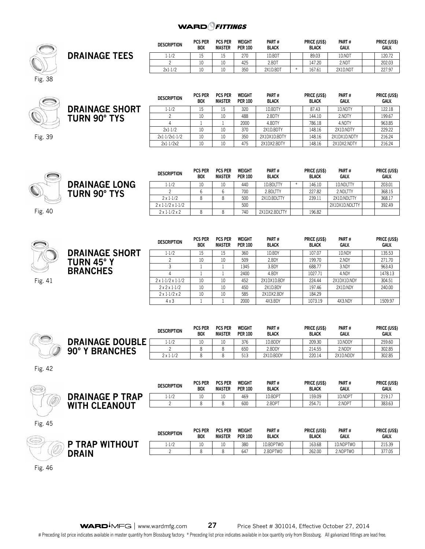

|                      | <b>DESCRIPTION</b> | <b>PCS PER</b><br><b>BOX</b> | <b>PCS PER</b><br>MASTER | WEIGHT<br><b>PER 100</b> | PART#<br><b>BLACK</b> | <b>PRICE (USS)</b><br><b>BLACK</b> | PART#<br><b>GALV.</b> | PRICE (US\$)<br><b>GALV.</b> |
|----------------------|--------------------|------------------------------|--------------------------|--------------------------|-----------------------|------------------------------------|-----------------------|------------------------------|
| <b>DRAINAGE TEES</b> | .1/2               | ⊥J                           | . .                      | 270                      | 1D.BDT                | 89.03                              | 1D.ND <sub>1</sub>    | 120.72                       |
|                      |                    | 10                           | 1 <sub>0</sub>           | 425                      | 2.BDT                 | 147.20                             | 2.NDT                 | 202.03                       |
|                      | 2x1.1/2            | 10                           | 1 <sub>0</sub>           | 350                      | 2X1D.BDT              | 167.61                             | 2X1D.NDT              | 227.97                       |



Fig. 39

| <b>DESCRIPTION</b> | <b>PCS PER</b><br><b>BOX</b> | <b>PCS PER</b><br><b>MASTER</b> | WEIGHT<br><b>PER 100</b> | PART#<br><b>BLACK</b> | <b>PRICE (USS)</b><br><b>BLACK</b> | PART#<br>GALV. |  | <b>PRICE (US\$)</b><br>GALV. |
|--------------------|------------------------------|---------------------------------|--------------------------|-----------------------|------------------------------------|----------------|--|------------------------------|
| $1 - 1/2$          | 15                           | 15                              | 320                      | 1D.BDTY               | 87.43                              | 1D.NDTY        |  | 122.18                       |
|                    | 10                           | 10                              | 488                      | 2.BDTY                | 144.10                             | 2.NDTY         |  | 199.67                       |
|                    |                              |                                 | 2000                     | 4.BDTY                | 786.18                             | 4.NDTY         |  | 963.85                       |
| 2x1.1/2            | 10                           | 10                              | 370                      | 2X1D.BDTY             | 148.16                             | 2X1D.NDTY      |  | 229.22                       |
| $2x1-1/2x1-1/2$    | 10                           | 10                              | 350                      | 2X1DX1D.BDTY          | 148.16                             | 2X1DX1D.NDTY   |  | 216.24                       |
| $2x1-1/2x2$        | 10                           | 10                              | 475                      | 2X1DX2.BDTY           | 148.16                             | 2X1DX2.NDTY    |  | 216.24                       |

**Price (US\$) Galv.**

|                      | <b>DESCRIPTION</b>            | <b>PCS PER</b><br><b>BOX</b> | <b>PCS PER</b><br>MASTER | <b>WEIGHT</b><br><b>PER 100</b> | PART#<br><b>BLACK</b> | PRICE (US\$)<br><b>BLACK</b> | PART#<br>GALV. | PRICE (US<br>GALV. |
|----------------------|-------------------------------|------------------------------|--------------------------|---------------------------------|-----------------------|------------------------------|----------------|--------------------|
| <b>DRAINAGE LONG</b> | 1.1/2                         | 10                           | 10                       | 440                             | 1D.BDLTTY             | 146.10                       | 1D.NDLTTY      | 203.01             |
| <b>TURN 90° TYS</b>  |                               |                              |                          | 700                             | 2.BDLTTY              | 227.82                       | 2.NDLTTY       | 368.15             |
|                      | $2 \times 1.1/2$              |                              |                          | 500                             | 2X1D.BDLTTY           | 239.11                       | 2X1D.NDLTTY    | 368.17             |
|                      | $2 \times 1.1/2 \times 1.1/2$ |                              |                          | 500                             |                       |                              | 2X1DX1D.NDLTTY | 392.49             |
|                      | $2 \times 1.1/2 \times 2$     |                              |                          | 740                             | 2X1DX2.BDLTTY         | 196.82                       |                |                    |

Fig. 40



|             | <b>DESCRIPTION</b>            | <b>PCS PER</b><br><b>BOX</b> | <b>PCS PER</b><br><b>MASTER</b> | <b>WEIGHT</b><br><b>PER 100</b> | PART#<br><b>BLACK</b> | PRICE (US\$)<br><b>BLACK</b> | PART#<br>GALV. | PRICE (US\$)<br>GALV. |
|-------------|-------------------------------|------------------------------|---------------------------------|---------------------------------|-----------------------|------------------------------|----------------|-----------------------|
| <b>HORT</b> | $1 - 1/2$                     | 15                           | 15                              | 360                             | 1D.BDY                | 107.07                       | 1D.NDY         | 135.53                |
|             |                               | 10                           | 10                              | 509                             | 2.BDY                 | 199.70                       | 2.NDY          | 271.70                |
|             |                               |                              |                                 | 1345                            | 3.BDY                 | 688.77                       | 3.NDY          | 963.43                |
|             |                               |                              |                                 | 2400                            | 4.BDY                 | 1027.71                      | 4.NDY          | 1478.13               |
|             | $2 \times 1.1/2 \times 1.1/2$ | 10                           | 10                              | 452                             | 2X1DX1D.BDY           | 224.44                       | 2X1DX1D.NDY    | 304.51                |
|             | $2x2x1-1/2$                   | 10                           | 10                              | 450                             | 2X1D.BDY              | 197.46                       | 2X1D.NDY       | 240.00                |
|             | $2 \times 1.1/2 \times 2$     | 10                           | 10                              | 585                             | 2X1DX2.BDY            | 184.29                       |                |                       |
|             | $4 \times 3$                  |                              |                                 | 2000                            | 4X3.BDY               | 1073.19                      | 4X3.NDY        | 1509.97               |

| <b>Service</b> |                                 | DESCRIPTION      | <b>PCS PER</b><br><b>BOX</b> | <b>PCS PER</b><br><b>MASTER</b> | WEIGHT<br><b>PER 100</b> | <b>PART#</b><br><b>BLACK</b> | <b>PRICE (USS)</b><br><b>BLACK</b> | <b>PART#</b><br><b>GALV.</b> | PRICE (US\$)<br><b>GALV.</b> |
|----------------|---------------------------------|------------------|------------------------------|---------------------------------|--------------------------|------------------------------|------------------------------------|------------------------------|------------------------------|
|                | <b>DRAINAGE DOUBLE</b>          | $1 - 1/2$        | 10                           | 10                              | 376                      | 1D.BDDY                      | 209.30                             | 1D.NDDY                      | 259.60                       |
|                | <b>BRANCHES</b><br>$90^\circ$ Y |                  |                              |                                 | 650                      | 2.BDDY                       | 214.55                             | 2.NDDY                       | 302.85                       |
|                |                                 | $2 \times 1.1/2$ |                              |                                 | 513<br>ن ۱ ک             | 2X1D.BDDY                    | 220.14                             | 2X1D.NDDY                    | 302.85                       |

Fig. 42

| S |                           | <b>DESCRIPTION</b> | <b>PCS PER</b><br><b>BOX</b> | <b>PCS PER</b><br><b>MASTER</b> | WEIGHT<br><b>PER 100</b> | PART#<br><b>BLACK</b> | PRICE (US\$)<br><b>BLACK</b> | PART#<br><b>GALV.</b> | PRICE (US\$)<br><b>GALV.</b> |
|---|---------------------------|--------------------|------------------------------|---------------------------------|--------------------------|-----------------------|------------------------------|-----------------------|------------------------------|
|   | <b>DRAINAGE P TRAP</b>    | 1.1/2              | 10                           |                                 | 469                      | 1D.BDPT               | 159.09                       | 1D.NDPT               | 219.17                       |
|   | <b>TH CLEANOUT</b><br>WI. |                    |                              |                                 | 600                      | 2.BDPT                | 254.71                       | 2.NDPT                | 383.63                       |
|   |                           |                    |                              |                                 |                          |                       |                              |                       |                              |

Fig. 45

| <b>Contract</b>               | <b>DESCRIPTION</b>       | <b>PCS PER</b><br><b>BOX</b> | <b>PCS PER</b><br><b>MASTER</b> | <b>WEIGHT</b><br><b>PER 100</b> | PART#<br><b>BLACK</b> | PRICE (US\$)<br><b>BLACK</b> | PART#<br><b>GALV.</b> | PRICE (US\$)<br><b>GALV.</b> |
|-------------------------------|--------------------------|------------------------------|---------------------------------|---------------------------------|-----------------------|------------------------------|-----------------------|------------------------------|
| <b>WITHOLIT</b><br><b>PAP</b> | 10 <sup>2</sup><br>1.1/2 | -                            | 10                              | 380                             | 1D.BDPTWO             | 163.68                       | 1D.NDPTWO             | 215.30<br>21 تاب             |
| <b>RAIN</b>                   |                          |                              |                                 | 647                             | 2.BDPTWO              | 262.00                       | 2.NDPTWO              | 377.05                       |
|                               |                          |                              |                                 |                                 |                       |                              |                       |                              |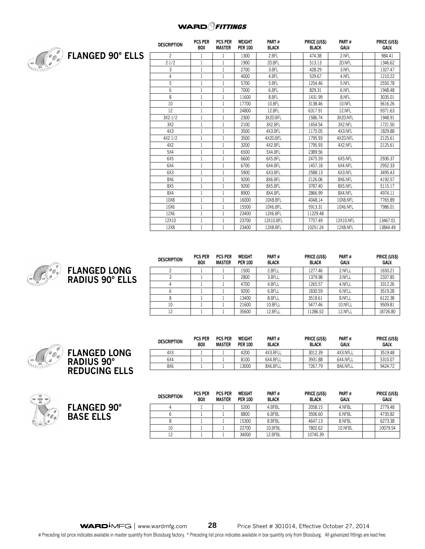

|                         | <b>DESCRIPTION</b> | <b>PCS PER</b><br><b>BOX</b> | <b>PCS PER</b><br><b>MASTER</b> | <b>WEIGHT</b><br><b>PER 100</b> | PART#<br><b>BLACK</b> | PRICE (US\$)<br><b>BLACK</b> | PART#<br><b>GALV.</b> | PRICE (US\$)<br><b>GALV.</b> |
|-------------------------|--------------------|------------------------------|---------------------------------|---------------------------------|-----------------------|------------------------------|-----------------------|------------------------------|
| <b>FLANGED 90° ELLS</b> | $\overline{c}$     |                              |                                 | 1300                            | 2.BFL                 | 474.38                       | 2.NFL                 | 984.41                       |
|                         | 2.1/2              | 1                            |                                 | 1900                            | 2D.BFL                | 513.13                       | 2D.NFL                | 1346.62                      |
|                         | 3                  | 1                            |                                 | 2700                            | 3.BFL                 | 428.29                       | 3.NFL                 | 1327.47                      |
|                         | 4                  | $\mathbf{1}$                 |                                 | 4000                            | 4.BFL                 | 529.67                       | 4.NFL                 | 1210.22                      |
|                         | 5                  | 1                            | $\mathbf{1}$                    | 5700                            | 5.BFL                 | 1254.46                      | 5.NFL                 | 2550.78                      |
|                         | 6                  | $\mathbf{1}$                 |                                 | 7000                            | 6.BFL                 | 829.31                       | 6.NFL                 | 1948.48                      |
|                         | 8                  | $\mathbf{1}$                 |                                 | 11600                           | 8.BFL                 | 1431.99                      | 8.NFL                 | 3035.01                      |
|                         | 10                 | 1                            | $\mathbf{1}$                    | 17700                           | 10.BFL                | 3138.46                      | 10.NFL                | 5616.26                      |
|                         | 12                 | 1                            |                                 | 24800                           | 12.BFL                | 6317.91                      | 12.NFL                | 9371.63                      |
|                         | 3X2.1/2            | 1                            |                                 | 2300                            | 3X2D.BFL              | 1586.74                      | 3X2D.NFL              | 1948.91                      |
|                         | 3X2                | 1                            | $\mathbf{1}$                    | 2100                            | 3X2.BFL               | 1454.54                      | 3X2.NFL               | 1721.50                      |
|                         | 4X3                | 1                            |                                 | 3500                            | 4X3.BFL               | 1175.05                      | 4X3.NFL               | 1829.88                      |
|                         | 4X2.1/2            | 1                            |                                 | 3500                            | 4X2D.BFL              | 1795.93                      | 4X2D.NFL              | 2125.61                      |
|                         | 4X2                | 1                            | 1                               | 3200                            | 4X2.BFL               | 1795.93                      | 4X2.NFL               | 2125.61                      |
|                         | 5X4                | 1                            |                                 | 6500                            | 5X4.BFL               | 2389.56                      |                       |                              |
|                         | 6X5                | $\mathbf{1}$                 |                                 | 6600                            | 6X5.BFL               | 2475.59                      | 6X5.NFL               | 2930.37                      |
|                         | 6X4                | $\mathbf{1}$                 |                                 | 6700                            | 6X4.BFL               | 1457.18                      | 6X4.NFL               | 2952.33                      |
|                         | 6X3                | 1                            |                                 | 5900                            | 6X3.BFL               | 2588.13                      | 6X3.NFL               | 3495.43                      |
|                         | 8X6                | $\mathbf{1}$                 |                                 | 9200                            | 8X6.BFL               | 2126.06                      | 8X6.NFL               | 4192.57                      |
|                         | 8X5                | $\mathbf{1}$                 |                                 | 9200                            | 8X5.BFL               | 3787.40                      | 8X5.NFL               | 5115.17                      |
|                         | 8X4                | 1                            |                                 | 8900                            | 8X4.BFL               | 2866.99                      | 8X4.NFL               | 4974.11                      |
|                         | 10X8               | 1                            | 1                               | 16000                           | 10X8.BFL              | 4048.14                      | 10X8.NFL              | 7765.89                      |
|                         | 10X6               | $\mathbf{1}$                 |                                 | 15500                           | 10X6.BFL              | 5913.31                      | 10X6.NFL              | 7986.01                      |
|                         | 12X6               | 1                            |                                 | 23400                           | 12X6.BFL              | 11229.48                     |                       |                              |
|                         | 12X10              | $\mathbf{1}$                 | 1                               | 23700                           | 12X10.BFL             | 7757.49                      | 12X10.NFL             | 13467.01                     |
|                         | 12X8               | 1                            |                                 | 23400                           | 12X8.BFL              | 10251.24                     | 12X8.NFL              | 13844.49                     |



| <b>DESCRIPTION</b> | <b>PCS PER</b><br><b>BOX</b> | <b>PCS PER</b><br><b>MASTER</b> | WEIGHT<br><b>PER 100</b> | PART#<br><b>BLACK</b> | PRICE (US\$)<br><b>BLACK</b> | PART#<br>GALV. | PRICE (US\$)<br><b>GALV.</b> |
|--------------------|------------------------------|---------------------------------|--------------------------|-----------------------|------------------------------|----------------|------------------------------|
|                    |                              |                                 | 1500                     | 2.BFLL                | 1277.46                      | 2.NFLL         | 1650.21                      |
|                    |                              |                                 | 2800                     | 3.BFLL                | 1379.98                      | 3.NFLL         | 2337.85                      |
|                    |                              |                                 | 4700                     | 4.BFLL                | 1265.57                      | 4.NFLL         | 3312.26                      |
|                    |                              |                                 | 9200                     | 6.BFLL                | 1830.59                      | 6.NFLL         | 3519.28                      |
| 8                  |                              |                                 | 13400                    | 8.BFLL                | 3518.61                      | 8.NFLL         | 6122.38                      |
| 10                 |                              |                                 | 21600                    | 10.BFLL               | 5477.46                      | 10.NFLL        | 9509.81                      |
| 12                 |                              |                                 | 35600                    | 12.BFLL               | 11286.52                     | 12.NFLL        | 18726.80                     |





| <b>DESCRIPTION</b> | <b>PCS PER</b><br><b>PCS PER</b><br><b>BOX</b><br><b>MASTER</b> |  | WEIGHT<br><b>PER 100</b> | <b>PART#</b><br><b>BLACK</b> | PRICE (US\$)<br><b>BLACK</b> | PART#<br>GALV. |         | PRICE (US\$)<br><b>GALV.</b> |          |
|--------------------|-----------------------------------------------------------------|--|--------------------------|------------------------------|------------------------------|----------------|---------|------------------------------|----------|
|                    |                                                                 |  | 5200                     | 4.BFBL                       |                              | 2058.15        | 4.NFBL  |                              | 2779.48  |
|                    |                                                                 |  | 8800                     | 6.BFBL                       |                              | 3506.60        | 6.NFBL  |                              | 4735.82  |
|                    |                                                                 |  | 15300                    | 8.BFBL                       |                              | 4647.13        | 8.NFBL  |                              | 6273.38  |
| 10                 |                                                                 |  | 22700                    | 10.BFBL                      |                              | 7802.62        | 10.NFBL |                              | 10079.54 |
|                    |                                                                 |  | 34000                    | 12.BFBL                      |                              | 10745.39       |         |                              |          |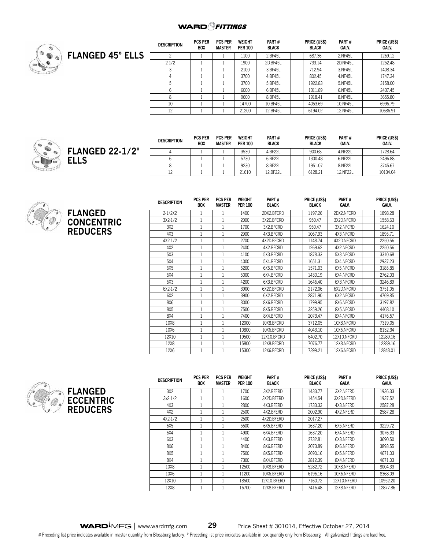

|                         | <b>DESCRIPTION</b> | <b>PCS PER</b><br><b>BOX</b> | <b>PCS PER</b><br>MASTER | <b>WEIGHT</b><br><b>PER 100</b> | PART#<br><b>BLACK</b> | PRICE (US\$)<br><b>BLACK</b> | PART#<br>GALV. | PRICE (US\$)<br>GALV. |
|-------------------------|--------------------|------------------------------|--------------------------|---------------------------------|-----------------------|------------------------------|----------------|-----------------------|
| <b>FLANGED 45° ELLS</b> |                    |                              |                          | 1100                            | 2.BF45L               | 687.36                       | 2.NF45L        | 1269.12               |
|                         | 2.1/2              |                              |                          | 1900                            | 2D.BF45L              | 733.14                       | 2D.NF45L       | 1252.48               |
|                         |                    |                              |                          | 2100                            | 3.BF45L               | 712.94                       | 3.NF45L        | 1408.34               |
|                         |                    |                              |                          | 3700                            | 4.BF45L               | 802.45                       | 4.NF45L        | 1747.34               |
|                         |                    |                              |                          | 3700                            | 5.BF45L               | 1922.83                      | 5.NF45L        | 3158.00               |
|                         |                    |                              |                          | 6000                            | 6.BF45L               | 1311.89                      | 6.NF45L        | 2437.45               |
|                         | 8                  |                              |                          | 9600                            | 8.BF45L               | 1918.41                      | 8.NF45L        | 3655.80               |
|                         | 10                 |                              |                          | 14700                           | 10.BF45L              | 4053.69                      | 10.NF45L       | 6996.79               |
|                         | 12                 |                              |                          | 21200                           | 12.BF45L              | 6194.02                      | 12.NF45L       | 10686.91              |



| <b>DESCRIPTION</b> | <b>PCS PER</b><br><b>BOX</b> | <b>PCS PER</b><br><b>MASTER</b> | <b>WEIGHT</b><br><b>PER 100</b> | PART#<br><b>BLACK</b> | PRICE (US\$)<br><b>BLACK</b> | PART#<br><b>GALV.</b> | PRICE (US\$)<br>GALV. |
|--------------------|------------------------------|---------------------------------|---------------------------------|-----------------------|------------------------------|-----------------------|-----------------------|
|                    |                              |                                 | 3530                            | 4.BF22L               | 900.68                       | 4.NF22L               | 1728.64               |
|                    |                              |                                 | 5730                            | 6.BF22L               | 1300.48                      | 6.NF22L               | 2496.88               |
|                    |                              |                                 | 9230                            | 8.BF22L               | 1951.07                      | 8.NF22L               | 3745.67               |
| 12                 |                              |                                 | 21610                           | 12.BF22L              | 6128.21                      | 12.NF22L              | 10134.04              |



| <b>DESCRIPTION</b> | PCS PER<br>BOX | PCS PER<br><b>MASTER</b> | WEIGHT<br><b>PER 100</b> | PARI#<br><b>BLACK</b> | PRICE (US\$)<br><b>BLACK</b> | PARI#<br>GALV. | <b>PRICE (USS)</b><br><b>GALV.</b> |
|--------------------|----------------|--------------------------|--------------------------|-----------------------|------------------------------|----------------|------------------------------------|
| 2.1/2X2            |                |                          | 1400                     | 2DX2.BFCRD            | 1197.26                      | 2DX2.NFCRD     | 1898.28                            |
| 3X2.1/2            |                |                          | 2000                     | 3X2D.BFCRD            | 950.47                       | 3X2D.NFCRD     | 1558.63                            |
| 3X2                |                |                          | 1700                     | 3X2.BFCRD             | 950.47                       | 3X2.NFCRD      | 1624.10                            |
| 4X3                |                |                          | 2900                     | 4X3.BFCRD             | 1067.93                      | 4X3.NFCRD      | 1895.71                            |
| 4X2.1/2            |                |                          | 2700                     | 4X2D.BFCRD            | 1148.74                      | 4X2D.NFCRD     | 2250.56                            |
| 4X2                |                |                          | 2400                     | 4X2.BFCRD             | 1269.62                      | 4X2.NFCRD      | 2250.56                            |
| 5X3                |                | 1                        | 4100                     | 5X3.BFCRD             | 1878.33                      | 5X3.NFCRD      | 3310.68                            |
| 5X4                | 1              |                          | 4000                     | 5X4.BFCRD             | 1651.31                      | 5X4.NFCRD      | 2937.23                            |
| 6X5                |                |                          | 5200                     | 6X5.BFCRD             | 1571.03                      | 6X5.NFCRD      | 3185.85                            |
| 6X4                | 1              |                          | 5000                     | 6X4.BFCRD             | 1430.19                      | 6X4.NFCRD      | 2762.03                            |
| 6X3                |                |                          | 4200                     | 6X3.BFCRD             | 1646.40                      | 6X3.NFCRD      | 3246.89                            |
| 6X2.1/2            |                |                          | 3900                     | 6X2D.BFCRD            | 2172.06                      | 6X2D.NFCRD     | 3751.05                            |
| 6X2                |                |                          | 3900                     | 6X2.BFCRD             | 2871.90                      | 6X2.NFCRD      | 4769.85                            |
| 8X6                |                |                          | 8000                     | 8X6.BFCRD             | 1799.95                      | 8X6.NFCRD      | 3197.82                            |
| 8X5                |                |                          | 7500                     | 8X5.BFCRD             | 3259.26                      | 8X5.NFCRD      | 4468.10                            |
| 8X4                |                |                          | 7400                     | 8X4.BFCRD             | 2073.47                      | 8X4.NFCRD      | 4176.57                            |
| 10X8               |                |                          | 12000                    | 10X8.BFCRD            | 3712.05                      | 10X8.NFCRD     | 7319.05                            |
| 10X6               |                |                          | 10800                    | 10X6.BFCRD            | 4043.10                      | 10X6.NFCRD     | 8132.34                            |
| 12X10              |                |                          | 19500                    | 12X10.BFCRD           | 6402.70                      | 12X10.NFCRD    | 12289.16                           |
| 12X8               |                |                          | 15800                    | 12X8.BFCRD            | 7076.77                      | 12X8.NFCRD     | 12289.16                           |
| 12X6               |                |                          | 15300                    | 12X6.BFCRD            | 7399.21                      | 12X6.NFCRD     | 12848.01                           |



| <b>DESCRIPTION</b> | PUS PER<br><b>BOX</b> | PUS PER<br><b>MASTER</b> | WEIGHT<br><b>PER 100</b> | PARI#<br><b>BLACK</b> | PRICE (USS)<br><b>BLACK</b> | PARI#<br>GALV. |  | PRICE (USS)<br><b>GALV.</b> |
|--------------------|-----------------------|--------------------------|--------------------------|-----------------------|-----------------------------|----------------|--|-----------------------------|
| 3X2                |                       |                          | 1700                     | 3X2.BFERD             | 1433.77                     | 3X2.NFERD      |  | 1936.33                     |
| 3x2.1/2            |                       |                          | 1600                     | 3X2D.BFERD            | 1454.54                     | 3X2D.NFERD     |  | 1937.52                     |
| 4X3                |                       |                          | 2800                     | 4X3.BFERD             | 1733.33                     | 4X3.NFERD      |  | 2587.28                     |
| 4X2                |                       |                          | 2500                     | 4X2.BFERD             | 2002.90                     | 4X2.NFERD      |  | 2587.28                     |
| 4X2.1/2            |                       |                          | 2500                     | 4X2D.BFERD            | 2017.27                     |                |  |                             |
| 6X5                |                       |                          | 5500                     | 6X5.BFERD             | 1637.20                     | 6X5.NFERD      |  | 3229.72                     |
| 6X4                |                       |                          | 4900                     | 6X4.BFERD             | 1637.20                     | 6X4.NFERD      |  | 3076.33                     |
| 6X3                |                       |                          | 4400                     | 6X3.BFERD             | 2732.81                     | 6X3.NFERD      |  | 3690.50                     |
| 8X6                |                       |                          | 8400                     | 8X6.BFERD             | 2073.89                     | 8X6.NFERD      |  | 3893.55                     |
| 8X5                |                       |                          | 7500                     | 8X5.BFERD             | 2690.16                     | 8X5.NFERD      |  | 4671.03                     |
| 8X4                |                       |                          | 7300                     | 8X4.BFERD             | 2812.39                     | 8X4.NFERD      |  | 4671.03                     |
| 10X8               |                       |                          | 12500                    | 10X8.BFERD            | 5282.72                     | 10X8.NFERD     |  | 8004.33                     |
| 10X6               |                       |                          | 11200                    | 10X6.BFERD            | 6196.16                     | 10X6.NFERD     |  | 8368.09                     |
| 12X10              |                       |                          | 18500                    | 12X10.BFERD           | 7160.72                     | 12X10.NFERD    |  | 10952.20                    |
| 12X8               |                       |                          | 16700                    | 12X8.BFERD            | 7416.48                     | 12X8.NFERD     |  |                             |

**Price (US\$)** 

**Part #**

**Price (US\$)** 

**Weight**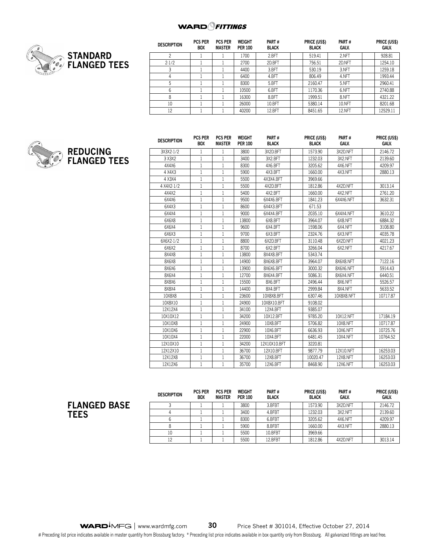

| <b>DESCRIPTION</b> | <b>PCS PER</b><br>BOX | <b>PCS PER</b><br><b>MASTER</b> | WEIGHT<br><b>PER 100</b> | PART#<br><b>BLACK</b> | PRICE (US\$)<br><b>BLACK</b> | PART#<br>GALV. | PRICE (US\$)<br>GALV. |
|--------------------|-----------------------|---------------------------------|--------------------------|-----------------------|------------------------------|----------------|-----------------------|
| ∩                  |                       |                                 | 1700                     | 2.BFT                 | 519.41                       | 2.NFT          | 928.81                |
| 2.1/2              |                       |                                 | 2700                     | 2D.BFT                | 756.51                       | 2D.NFT         | 1254.10               |
|                    |                       |                                 | 4400                     | 3.BFT                 | 530.19                       | 3.NFT          | 1259.18               |
| 4                  |                       |                                 | 6400                     | 4.BFT                 | 806.49                       | 4.NFT          | 1993.44               |
| 5                  |                       |                                 | 8300                     | 5.BFT                 | 2160.47                      | 5.NFT          | 2960.41               |
| 6                  |                       |                                 | 10500                    | 6.BFT                 | 1170.36                      | 6.NFT          | 2740.88               |
| 8                  |                       |                                 | 16300                    | 8.BFT                 | 1999.51                      | 8.NFT          | 4321.22               |
| 10                 |                       |                                 | 26000                    | 10.BFT                | 5380.14                      | 10.NFT         | 8201.68               |
| 12                 |                       |                                 | 40200                    | 12.BFT                | 8451.65                      | <b>12.NFT</b>  | 12529.11              |



| <b>DESCRIPTION</b> | <b>PCS PER</b><br><b>BOX</b> | <b>PCS PER</b><br><b>MASTER</b> | <b>WEIGHT</b><br><b>PER 100</b> | PART#<br><b>BLACK</b> | PRICE (US\$)<br><b>BLACK</b> | PART#<br>GALV. | PRICE (US\$)<br><b>GALV.</b> |
|--------------------|------------------------------|---------------------------------|---------------------------------|-----------------------|------------------------------|----------------|------------------------------|
| 3X3X2-1/2          | 1                            | 1                               | 3800                            | 3X2D.BFT              | 1573.90                      | 3X2D.NFT       | 2146.72                      |
| 3 X 3 X 2          | 1                            | 1                               | 3400                            | 3X2.BFT               | 1232.03                      | 3X2.NFT        | 2139.60                      |
| 4X4X6              | $\mathbf{1}$                 | 1                               | 8300                            | 4X6.BFT               | 3205.62                      | 4X6.NFT        | 4209.97                      |
| 4 X4X3             | $\mathbf{1}$                 | 1                               | 5900                            | 4X3.BFT               | 1660.00                      | 4X3.NFT        | 2880.13                      |
| 4 X3X4             | 1                            | 1                               | 5500                            | 4X3X4.BFT             | 3969.66                      |                |                              |
| 4 X4X2-1/2         | 1                            | 1                               | 5500                            | 4X2D.BFT              | 1812.86                      | 4X2D.NFT       | 3013.14                      |
| 4X4X2              | 1                            | 1                               | 5400                            | 4X2.BFT               | 1660.00                      | 4X2.NFT        | 2761.20                      |
| 6X4X6              | $\mathbf{1}$                 | 1                               | 9500                            | 6X4X6.BFT             | 1841.23                      | 6X4X6.NFT      | 3632.31                      |
| 6X4X3              | 1                            | 1                               | 8600                            | 6X4X3.BFT             | 671.53                       |                |                              |
| 6X4X4              | 1                            | 1                               | 9000                            | 6X4X4.BFT             | 2035.10                      | 6X4X4.NFT      | 3610.22                      |
| 6X6X8              | 1                            | 1                               | 13800                           | 6X8.BFT               | 3964.07                      | 6X8.NFT        | 6884.32                      |
| 6X6X4              | $\mathbf{1}$                 | 1                               | 9600                            | 6X4.BFT               | 1598.06                      | 6X4.NFT        | 3108.80                      |
| 6X6X3              | $\mathbf{1}$                 | 1                               | 9700                            | 6X3.BFT               | 2324.76                      | 6X3.NFT        | 4035.78                      |
| 6X6X2-1/2          | 1                            | 1                               | 8800                            | 6X2D.BFT              | 3110.48                      | 6X2D.NFT       | 4021.23                      |
| 6X6X2              | 1                            | $\mathbf{1}$                    | 8700                            | 6X2.BFT               | 3266.04                      | 6X2.NFT        | 4217.67                      |
| 8X4X8              | 1                            | 1                               | 13800                           | 8X4X8.BFT             | 5343.74                      |                |                              |
| 8X6X8              | 1                            | 1                               | 14900                           | 8X6X8.BFT             | 3964.07                      | 8X6X8.NFT      | 7122.16                      |
| 8X6X6              | 1                            | 1                               | 13900                           | 8X6X6.BFT             | 3000.32                      | 8X6X6.NFT      | 5914.43                      |
| 8X6X4              | 1                            | 1                               | 12700                           | 8X6X4.BFT             | 5086.31                      | 8X6X4.NFT      | 6440.51                      |
| 8X8X6              | 1                            | 1                               | 15500                           | 8X6.BFT               | 2496.44                      | 8X6.NFT        | 5526.57                      |
| 8X8X4              | 1                            | 1                               | 14400                           | 8X4.BFT               | 2999.84                      | 8X4.NFT        | 5633.52                      |
| 10X8X8             | 1                            | 1                               | 23600                           | 10X8X8.BFT            | 6307.46                      | 10X8X8.NFT     | 10717.87                     |
| 10X8X10            | 1                            | 1                               | 24900                           | 10X8X10.BFT           | 9108.02                      |                |                              |
| 12X12X4            | 1                            | 1                               | 34100                           | 12X4.BFT              | 9385.07                      |                |                              |
| 10X10X12           | 1                            | 1                               | 34200                           | 10X12.BFT             | 9785.20                      | 10X12.NFT      | 17184.19                     |
| 10X10X8            | 1                            | 1                               | 24900                           | 10X8.BFT              | 5706.82                      | 10X8.NFT       | 10717.87                     |
| 10X10X6            | 1                            | 1                               | 22900                           | 10X6.BFT              | 6636.93                      | 10X6.NFT       | 10725.76                     |
| 10X10X4            | 1                            | 1                               | 22000                           | 10X4.BFT              | 6481.45                      | 10X4.NFT       | 10764.52                     |
| 12X10X10           | 1                            | 1                               | 34200                           | 12X10X10.BFT          | 3220.81                      |                |                              |
| 12X12X10           | 1                            | 1                               | 36700                           | 12X10.BFT             | 9877.79                      | 12X10.NFT      | 16253.03                     |
| 12X12X8            | 1                            | 1                               | 36700                           | 12X8.BFT              | 10020.47                     | 12X8.NFT       | 16253.03                     |
| 12X12X6            | $\mathbf{1}$                 | 1                               | 35700                           | 12X6.BFT              | 8468.90                      | 12X6.NFT       | 16253.03                     |

## **FLANGED BASE TEES**

| <b>DESCRIPTION</b> | <b>PCS PER</b><br><b>BOX</b> | <b>PCS PER</b><br><b>MASTER</b> | WEIGHT<br><b>PER 100</b> | PART#<br><b>BLACK</b> | <b>PRICE (USS)</b><br><b>BLACK</b> | PART#<br>GALV. | <b>PRICE (USS)</b><br>GALV. |
|--------------------|------------------------------|---------------------------------|--------------------------|-----------------------|------------------------------------|----------------|-----------------------------|
|                    |                              |                                 | 3800                     | 3.BFBT                | 1573.90                            | 3X2D.NFT       | 2146.72                     |
|                    |                              |                                 | 3400                     | 4.BFBT                | 1232.03                            | 3X2.NFT        | 2139.60                     |
|                    |                              |                                 | 8300                     | 6.BFBT                | 3205.62                            | 4X6.NFT        | 4209.97                     |
|                    |                              |                                 | 5900                     | 8.BFBT                | 1660.00                            | 4X3.NFT        | 2880.13                     |
|                    |                              |                                 | 5500                     | 10.BFBT               | 3969.66                            |                |                             |
|                    |                              |                                 | 5500                     | 12.BFBT               | 1812.86                            | 4X2D.NFT       | 3013.14                     |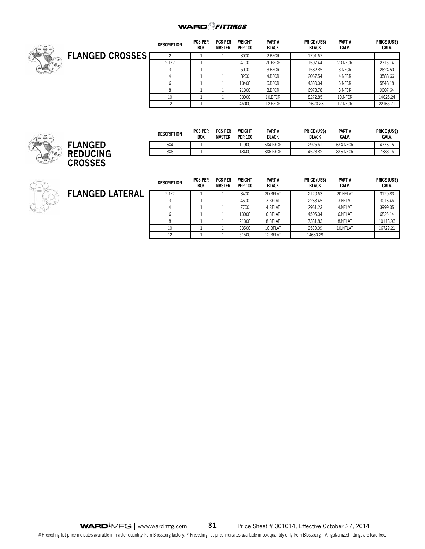

|                        | <b>DESCRIPTION</b> | <b>PCS PER</b><br><b>BOX</b> | <b>PCS PER</b><br><b>MASTER</b> | <b>WEIGHT</b><br><b>PER 100</b> | PART#<br><b>BLACK</b> | PRICE (US\$)<br><b>BLACK</b> | PART#<br>GALV. | PRICE (US\$)<br>GALV. |
|------------------------|--------------------|------------------------------|---------------------------------|---------------------------------|-----------------------|------------------------------|----------------|-----------------------|
| <b>FLANGED CROSSES</b> |                    |                              |                                 | 3000                            | 2.BFCR                | 1701.67                      |                |                       |
|                        | 2.1/2              |                              |                                 | 4100                            | 2D.BFCR               | 1507.44                      | 2D.NFCR        | 2715.14               |
|                        |                    |                              |                                 | 5000                            | 3.BFCR                | 1582.85                      | 3.NFCR         | 2624.50               |
|                        |                    |                              |                                 | 8200                            | 4.BFCR                | 2067.54                      | 4.NFCR         | 3588.66               |
|                        |                    |                              |                                 | 13400                           | 6.BFCR                | 4330.04                      | 6.NFCR         | 5848.18               |
|                        |                    |                              |                                 | 21300                           | 8.BFCR                | 6973.78                      | 8.NFCR         | 9007.64               |
|                        | 10                 |                              |                                 | 33000                           | 10.BFCR               | 8272.85                      | 10.NFCR        | 14625.24              |
|                        | 12                 |                              |                                 | 46000                           | 12.BFCR               | 12620.23                     | 12.NFCR        | 22165.71              |



| <b>DESCRIPTION</b> | <b>PCS PER</b><br><b>BOX</b> | <b>PCS PER</b><br><b>MASTER</b> | WEIGHT<br><b>PER 100</b> | PART#<br><b>BLACK</b> | PRICE (US\$)<br><b>BLACK</b> | PART#<br>GALV. | PRICE (US\$)<br><b>GALV.</b> |
|--------------------|------------------------------|---------------------------------|--------------------------|-----------------------|------------------------------|----------------|------------------------------|
| 6X4                |                              |                                 | 1900                     | 6X4.BFCR              | 2925.61                      | 6X4.NFCR       | 4776.15                      |
| 8X6                |                              |                                 | 18400                    | 8X6.BFCR              | 4523.82                      | 8X6.NFCR       | 7383.16                      |

| <b>FLANGED LATERAL</b> |  |
|------------------------|--|
|------------------------|--|

| <b>DESCRIPTION</b> | <b>PCS PER</b><br><b>BOX</b> | <b>PCS PER</b><br><b>MASTER</b> | <b>WEIGHT</b><br><b>PER 100</b> | PART#<br><b>BLACK</b> | <b>PRICE (US\$)</b><br><b>BLACK</b> | PART#<br>GALV. | PRICE (US\$)<br>GALV. |
|--------------------|------------------------------|---------------------------------|---------------------------------|-----------------------|-------------------------------------|----------------|-----------------------|
| 2.1/2              |                              |                                 | 3400                            | 2D.BFLAT              | 2120.63                             | 2D.NFLAT       | 3120.83               |
|                    |                              |                                 | 4500                            | 3.BFLAT               | 2268.45                             | 3.NFLAT        | 3016.46               |
|                    |                              |                                 | 7700                            | 4.BFLAT               | 2961.23                             | 4.NFLAT        | 3999.35               |
|                    |                              |                                 | 13000                           | 6.BFLAT               | 4505.04                             | 6.NFLAT        | 6826.14               |
|                    |                              |                                 | 21300                           | 8.BFLAT               | 7381.83                             | 8.NFLAT        | 10118.93              |
| 10                 |                              |                                 | 33500                           | 10.BFLAT              | 9530.09                             | 10.NFLAT       | 16729.21              |
| 12                 |                              |                                 | 51500                           | 12.BFLAT              | 14680.29                            |                |                       |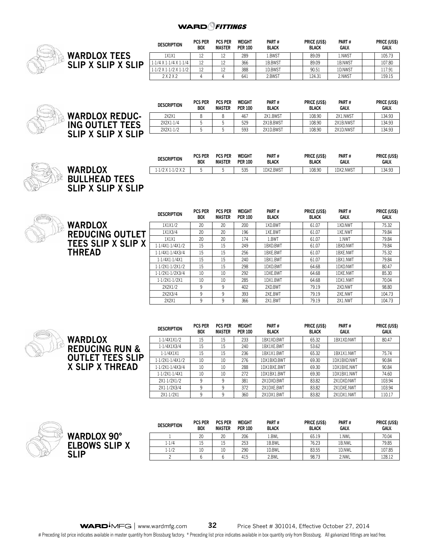

|                     | <b>DESCRIPTION</b>                | <b>PCS PER</b><br><b>BOX</b> | <b>PCS PER</b><br><b>MASTER</b> | WEIGHT<br><b>PER 100</b> | PART#<br><b>BLACK</b> | PRICE (US\$)<br><b>BLACK</b> | PART#<br><b>GALV.</b> | PRICE (US\$)<br><b>GALV.</b> |
|---------------------|-----------------------------------|------------------------------|---------------------------------|--------------------------|-----------------------|------------------------------|-----------------------|------------------------------|
| <b>WARDLOX TEES</b> | 1X1X1                             | 12                           |                                 | 289                      | r.BWST                | 89.09                        | l.NWST                | 105.73                       |
| SLIP X SLIP X SLIP  | $1.1/4$ X $1.1/4$ X $1.1/4$       | 12                           | $\sim$                          | 366                      | 1B.BWST               | 89.09                        | 1B.NWST               | 107.80                       |
|                     | $1.1/2 \times 1.1/2 \times 1.1/2$ | 12                           |                                 | 388                      | <b>ID.BWST</b>        | 90.51                        | 1D.NWST               | 117.91                       |
|                     | 2X2X2                             |                              |                                 | 641                      | 2.BWST                | 124.31                       | 2.NWST                | 159.15                       |

|                           | <b>DESCRIPTION</b> | <b>PCS PER</b><br><b>BOX</b> | <b>PCS PER</b><br>MASTER | WEIGHT<br><b>PER 100</b> | PART#<br><b>BLACK</b> | <b>PRICE (US\$)</b><br><b>BLACK</b> | PART#<br>GALV. | PRICE (US\$)<br>GALV. |
|---------------------------|--------------------|------------------------------|--------------------------|--------------------------|-----------------------|-------------------------------------|----------------|-----------------------|
| <b>WARDLOX REDUC-</b>     | 2X2X1              |                              |                          | 467                      | 2X1.BWST              | 108.90                              | 2X1.NWST       | 134.93                |
| <b>ING OUTLET TEES</b>    | 2X2X1-1/4          |                              |                          | 529                      | 2X1B.BWST             | 108.90                              | 2X1B.NWST      | 134.93                |
|                           | 2X2X1-1/2          |                              |                          | 593                      | 2X1D.BWST             | 108.90                              | 2X1D.NWST      | 134.93                |
| <b>SLIP X SLIP X SLIP</b> |                    |                              |                          |                          |                       |                                     |                |                       |



**SLI** 

|                                            | DESCRIPTION           | <b>PCS PER</b><br><b>BOX</b> | <b>PCS PER</b><br>MASTER | WEIGHT<br><b>PER 100</b> | PART#<br><b>BLACK</b> | <b>PRICE (US\$)</b><br><b>BLACK</b> | PART#<br><b>GALV</b> | <b>PRICE (USS)</b><br>GALV. |
|--------------------------------------------|-----------------------|------------------------------|--------------------------|--------------------------|-----------------------|-------------------------------------|----------------------|-----------------------------|
| <b>WARDLOX</b>                             | $1.1/2$ X $1.1/2$ X 2 | $\mathbf{r}$                 |                          | 535                      | 1DX2.BWST             | 108.90                              | 1DX2.NWST            | 134.93                      |
| <b>BULLHEAD TEES</b><br>CIID Y CIID Y CIID |                       |                              |                          |                          |                       |                                     |                      |                             |

المحددات



|                           | <b>DESCRIPTION</b> | <b>PCS PER</b><br><b>BOX</b> | <b>PCS PER</b><br><b>MASTER</b> | WEIGHT<br><b>PER 100</b> | PART#<br><b>BLACK</b> | <b>PRICE (USS)</b><br><b>BLACK</b> | PART#<br><b>GALV.</b> | <b>PRICE (USS)</b><br>GALV. |
|---------------------------|--------------------|------------------------------|---------------------------------|--------------------------|-----------------------|------------------------------------|-----------------------|-----------------------------|
| <b>WARDLOX</b>            | 1X1X1/2            | 20                           | 20                              | 200                      | 1XD.BWT               | 61.07                              | 1XD.NWT               | 75.32                       |
| <b>REDUCING OUTLET</b>    | 1X1X3/4            | 20                           | 20                              | 196                      | 1XE.BWT               | 61.07                              | 1XE.NWT               | 79.84                       |
|                           | 1X1X1              | 20                           | 20                              | 174                      | 1.BWT                 | 61.07                              | 1.NWT                 | 79.84                       |
| <b>TEES SLIP X SLIP X</b> | 1.1/4X1.1/4X1/2    | 15                           | 15                              | 249                      | 1BXD.BWT              | 61.07                              | 1BXD.NWT              | 79.84                       |
| <b>THREAD</b>             | 1.1/4X1.1/4X3/4    | 15                           | 15                              | 256                      | 1BXE.BWT              | 61.07                              | 1BXE.NWT              | 75.32                       |
|                           | 1-1/4X1-1/4X1      | 15                           | 15                              | 240                      | 1BX1.BWT              | 61.07                              | 1BX1.NWT              | 79.84                       |
|                           | 1.1/2X1.1/2X1/2    | 15                           | 15                              | 298                      | 1DXD.BWT              | 64.68                              | 1DXD.NWT              | 80.47                       |
|                           | 1.1/2X1.1/2X3/4    | 10                           | 10                              | 292                      | 1DXE.BWT              | 64.68                              | 1DXE.NWT              | 85.30                       |
|                           | 1-1/2X1-1/2X1      | 10                           | 10                              | 285                      | 1DX1.BWT              | 64.68                              | 1DX1.NWT              | 70.04                       |
|                           | 2X2X1/2            | 9                            | 9                               | 402                      | 2XD.BWT               | 79.19                              | 2XD.NWT               | 98.80                       |
|                           | 2X2X3/4            | 9                            | 9                               | 393                      | 2XE.BWT               | 79.19                              | 2XE.NWT               | 104.73                      |
|                           | 2X2X1              | 9                            | 9                               | 366                      | 2X1.BWT               | 79.19                              | 2X1.NWT               | 104.73                      |



| <b>WARDLOX 90°</b><br><b>ELBOWS SLIP X</b><br><b>SLIP</b> |  |
|-----------------------------------------------------------|--|
|                                                           |  |

| <b>DESCRIPTION</b> | <b>PCS PER</b><br><b>BOX</b> | <b>PCS PER</b><br><b>MASTER</b> | <b>WEIGHT</b><br><b>PER 100</b> | PART#<br><b>BLACK</b> | PRICE (US\$)<br><b>BLACK</b> | PART#<br><b>GALV.</b> | PRICE (US\$)<br><b>GALV.</b> |
|--------------------|------------------------------|---------------------------------|---------------------------------|-----------------------|------------------------------|-----------------------|------------------------------|
|                    | 20                           | 20                              | 206                             | 1.BWL                 | 65.19                        | l.NWL                 | 70.04                        |
| $1 - 1/4$          | 15                           | 15                              | 253                             | 1B.BWL                | 76.23                        | 1B.NWL                | 79.85                        |
| 1.1/2              | 10                           | 10                              | 290                             | 1D.BWL                | 83.55                        | 1D.NWL                | 107.85                       |
|                    |                              |                                 | 415                             | 2.BWL                 | 98.73                        | 2.NWL                 | 128.12                       |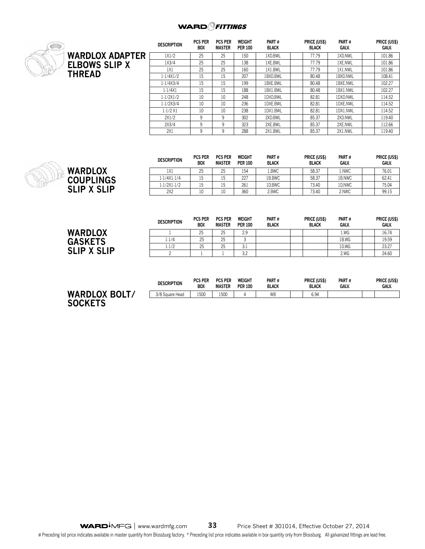## **WARD** *CHITINGS*



|                      | <b>DESCRIPTION</b> | <b>PCS PER</b><br><b>BOX</b> | <b>PCS PER</b><br><b>MASTER</b> | <b>WEIGHT</b><br><b>PER 100</b> | PART#<br><b>BLACK</b> | PRICE (US\$)<br><b>BLACK</b> | PART#<br><b>GALV.</b> | PRICE (US\$)<br>GALV. |
|----------------------|--------------------|------------------------------|---------------------------------|---------------------------------|-----------------------|------------------------------|-----------------------|-----------------------|
| WARDLOX ADAPTER      | 1X1/2              | 25                           | 25                              | 150                             | 1XD.BWL               | 77.79                        | 1XD.NWL               | 101.86                |
| <b>ELBOWS SLIP X</b> | 1X3/4              | 25                           | 25                              | 138                             | 1XE.BWL               | 77.79                        | 1XE.NWL               | 101.86                |
|                      | 1X1                | 25                           | 25                              | 160                             | 1X1.BWL               | 77.79                        | 1X1.NWL               | 101.86                |
| THREAD               | 1.1/4X1/2          | 15                           | 15                              | 207                             | 1BXD.BWL              | 80.48                        | 1BXD.NWL              | 108.41                |
|                      | 1.1/4X3/4          | 15                           | 15                              | 199                             | 1BXE.BWL              | 80.48                        | 1BXE.NWL              | 102.27                |
|                      | 1.1/4X1            | 15                           | 15                              | 188                             | 1BX1.BWL              | 80.48                        | 1BX1.NWL              | 102.27                |
|                      | 1.1/2X1/2          | 10                           | 10                              | 248                             | 1DXD.BWL              | 82.81                        | 1DXD.NWL              | 114.52                |
|                      | 1.1/2X3/4          | 10                           | 10                              | 236                             | 1DXE.BWL              | 82.81                        | 1DXE.NWL              | 114.52                |
|                      | 1.1/2X1            | 10                           | 10                              | 238                             | 1DX1.BWL              | 82.81                        | 1DX1.NWL              | 114.52                |
|                      | 2X1/2              | 9                            | 9                               | 302                             | 2XD.BWL               | 85.37                        | 2XD.NWL               | 119.40                |
|                      | 2X3/4              | 9                            | 9                               | 323                             | 2XE.BWL               | 85.37                        | 2XE.NWL               | 112.66                |
|                      | 2X1                | 9                            | 9                               | 288                             | 2X1.BWL               | 85.37                        | 2X1.NWL               | 119.40                |

|                    | <b>DESCRIPTION</b> | <b>PCS PER</b><br><b>BOX</b> | <b>PCS PER</b><br><b>MASTER</b> | WEIGHT<br><b>PER 100</b> | PART#<br><b>BLACK</b> | <b>PRICE (USS)</b><br><b>BLACK</b> | PART#<br><b>GALV.</b> | <b>PRICE (USS)</b><br>GALV. |
|--------------------|--------------------|------------------------------|---------------------------------|--------------------------|-----------------------|------------------------------------|-----------------------|-----------------------------|
| <b>WARDLOX</b>     | 1X1                | 25                           | 25                              | 154                      | L.BWC                 | 58.37                              | 1.NWC                 | 76.01                       |
| <b>COUPLINGS</b>   | 1.1/4X1.1/4        | 15                           | 15<br>⊥ ∪                       | 227                      | 1B.BWC                | 58.37                              | 1B.NWC                | 62.41                       |
|                    | 1.1/2X1.1/2        | 15                           | 15<br>⊥ ∪                       | 261                      | 1D.BWC                | 73.40                              | 1D.NWC                | 75.04                       |
| <b>SLIP X SLIP</b> | 2X2                | 10                           | 10                              | 360                      | 2.BWC                 | 73.40                              | 2.NWC                 | 99.15                       |
|                    |                    |                              |                                 |                          |                       |                                    |                       |                             |

 $\sim$   $\sim$ 

 $\frac{1}{2}$ 

 $\sim$   $\sim$ 

 $\frac{1}{2}$ 

 $\frac{1}{2}$ 

|                    | <b>DESCRIPTION</b> | PUS PER<br><b>BOX</b> | PCS PER<br><b>MASTER</b> | WEIGHI<br><b>PER 100</b> | PARI#<br><b>BLACK</b> | PRICE (USS)<br><b>BLACK</b> | PARI#<br><b>GALV.</b> | PRICE (USS)<br><b>GALV.</b> |
|--------------------|--------------------|-----------------------|--------------------------|--------------------------|-----------------------|-----------------------------|-----------------------|-----------------------------|
| WARDLOX            |                    | 25                    | つら<br>رے                 | 2.9                      |                       |                             | 1.WG                  | 16.74                       |
| <b>GASKETS</b>     | 1.1/4              | 25                    | つら<br>رے                 |                          |                       |                             | 1B.WG                 | 19.59                       |
| Y SI               | 1.1/2              | 25                    | つら<br>رے                 | $\sim$<br>◡.⊥            |                       |                             | 1D.WG                 | 23.27                       |
| <b>SLIP</b><br>∟IP |                    |                       |                          | 22<br>ے.د                |                       |                             | 2.WG                  | 24.60                       |

|                | <b>DESCRIPTION</b> | <b>PCS PER</b><br><b>BOX</b> | <b>PCS PER</b><br><b>MASTER</b> | WEIGHT<br><b>PER 100</b> | PART#<br><b>BLACK</b> | PRICE (US\$)<br><b>BLACK</b> | PART#<br>GALV. | PRICE (US\$)<br><b>GALV.</b> |
|----------------|--------------------|------------------------------|---------------------------------|--------------------------|-----------------------|------------------------------|----------------|------------------------------|
| WARDLOX BOLT/  | 3/8 Square Head    | 1500                         | 1500                            |                          | WB                    | 6.94                         |                |                              |
| <b>SOCKETS</b> |                    |                              |                                 |                          |                       |                              |                |                              |

**WARD**<sup> $\overline{)$ </sup>MFG | www.wardmfg.com **33** Price Sheet # 301014, Effective October 27, 2014 # Preceding list price indicates available in master quantity from Blossburg factory. \* Preceding list price indicates available in box quantity only from Blossburg. All galvanized fittings are lead free.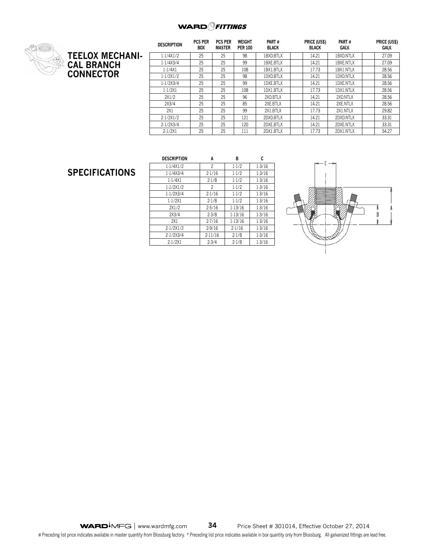

|                        | <b>DESCRIPTION</b> | <b>PCS PER</b><br><b>BOX</b> | <b>PCS PER</b><br>MASTER | <b>WEIGHT</b><br><b>PER 100</b> | PART#<br><b>BLACK</b> | PRICE (US\$)<br><b>BLACK</b> | PART#<br>GALV. | PRICE (US\$)<br>GALV. |
|------------------------|--------------------|------------------------------|--------------------------|---------------------------------|-----------------------|------------------------------|----------------|-----------------------|
| <b>TEELOX MECHANI-</b> | 1.1/4X1/2          | 25                           | 25                       | 98                              | 1BXD.BTLX             | 14.21                        | 1BXD.NTLX      | 27.09                 |
| <b>CAL BRANCH</b>      | 1.1/4X3/4          | 25                           | 25                       | 99                              | 1BXE.BTLX             | 14.21                        | 1BXE.NTLX      | 27.09                 |
|                        | 1.1/4X1            | 25                           | 25                       | 108                             | 1BX1.BTLX             | 17.73                        | 1BX1.NTLX      | 28.56                 |
| <b>CONNECTOR</b>       | 1.1/2X1/2          | 25                           | 25                       | 98                              | 1DXD.BTLX             | 14.21                        | 1DXD.NTLX      | 28.56                 |
|                        | 1.1/2X3/4          | 25                           | 25                       | 99                              | 1DXE.BTLX             | 14.21                        | 1DXE.NTLX      | 28.56                 |
|                        | 1.1/2X1            | 25                           | 25                       | 108                             | 1DX1.BTLX             | 17.73                        | 1DX1.NTLX      | 28.56                 |
|                        | 2X1/2              | 25                           | 25                       | 96                              | 2XD.BTLX              | 14.21                        | 2XD.NTLX       | 28.56                 |
|                        | 2X3/4              | 25                           | 25                       | 85                              | 2XE.BTLX              | 14.21                        | 2XE.NTLX       | 28.56                 |
|                        | 2X1                | 25                           | 25                       | 99                              | 2X1.BTLX              | 17.73                        | 2X1.NTLX       | 29.82                 |
|                        | 2.1/2X1/2          | 25                           | 25                       | 121                             | 2DXD.BTLX             | 14.21                        | 2DXD.NTLX      | 33.31                 |
|                        | 2.1/2X3/4          | 25                           | 25                       | 120                             | 2DXE.BTLX             | 14.21                        | 2DXE.NTLX      | 33.31                 |
|                        | 2.1/2X1            | 25                           | 25                       | 111                             | 2DX1.BTLX             | 17.73                        | 2DX1.NTLX      | 54.27                 |

## **SPECIFICATIONS**

| <b>DESCRIPTION</b> | A         | в       | C      |
|--------------------|-----------|---------|--------|
| 1.1/4X1/2          | 2         | 1.1/2   | 1.3/16 |
| 1.1/4X3/4          | 2.1/16    | 1.1/2   | 1.3/16 |
| 1.1/4X1            | $2 - 1/8$ | 1.1/2   | 1.3/16 |
| 1.1/2X1/2          | 2         | $1-1/2$ | 1.3/16 |
| 1.1/2X3/4          | 2.1/16    | 1.1/2   | 1.3/16 |
| 1.1/2X1            | 2.1/8     | 1.1/2   | 1.3/16 |
| 2X1/2              | 2.5/16    | 1.13/16 | 1.3/16 |
| 2X3/4              | $2 - 3/8$ | 1.13/16 | 1.3/16 |
| 2X1                | 2.7/16    | 1.13/16 | 1.3/16 |
| 2.1/2X1/2          | 2.9/16    | 2.1/16  | 1.3/16 |
| 2.1/2X3/4          | 2.11/16   | 2.1/8   | 1.3/16 |
| 2.1/2X1            | 2.3/4     | 2.1/8   | 1.3/16 |

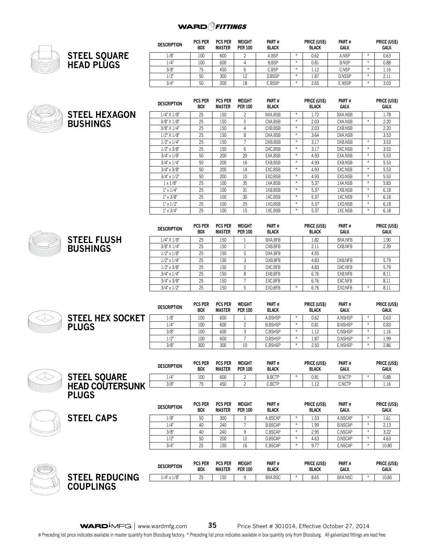

**STEEL FLUSH** 

**BUSHIN** 

|                     | <b>DESCRIPTION</b> | <b>PCS PER</b><br><b>BOX</b> | <b>PCS PER</b><br><b>MASTER</b> | <b>WEIGHT</b><br><b>PER 100</b> | PART#<br><b>BLACK</b> |            | PRICE (US\$)<br><b>BLACK</b> | PART#<br>GALV. |    | PRICE (US\$)<br>GALV. |
|---------------------|--------------------|------------------------------|---------------------------------|---------------------------------|-----------------------|------------|------------------------------|----------------|----|-----------------------|
| <b>STEEL SQUARE</b> | 1/8"               | 100                          | 600                             |                                 | A.BSP                 |            | 0.62                         | A.NSP          |    | 0.63                  |
| HEAD PLÙGS          | 1/4"               | 100                          | 600                             |                                 | <b>B.BSP</b>          |            | 0.81                         | <b>B.NSP</b>   |    | 0.88                  |
|                     | 3/8"               | 75<br>ر ،                    | 450                             |                                 | C.BSP                 | $\ddot{x}$ | 1.12                         | C.NSP          |    | 1.16                  |
|                     | 1/2"               | 50                           | 300                             |                                 | D.BSSP                | ÷          | 1.87                         | D.NSSP         |    | 2.11                  |
|                     | 3/4'               | 50                           | 200                             | 18                              | E.BSSP                | $\ast$     | 2.65                         | <b>E.NSSP</b>  | ¥. | 3.03                  |

|                      | <b>DESCRIPTION</b>  | <b>PCS PER</b><br><b>BOX</b> | <b>PCS PER</b><br><b>MASTER</b> | WEIGHT<br><b>PER 100</b> | PART #<br><b>BLACK</b> |        | <b>PRICE (US\$)</b><br><b>BLACK</b> | PART#<br>GALV. |        | PRICE (US\$)<br>GALV. |
|----------------------|---------------------|------------------------------|---------------------------------|--------------------------|------------------------|--------|-------------------------------------|----------------|--------|-----------------------|
| <b>STEEL HEXAGON</b> | $1/4$ " $X$ $1/8$ " | 25                           | 150                             | $\overline{c}$           | BXA.BSB                | $*$    | 1.72                                | BXA.NSB        |        | 1.78                  |
| <b>BUSHINGS</b>      | $3/8$ " X $1/8$ "   | 25                           | 150                             | 5                        | CXA.BSB                | $\ast$ | 2.03                                | CXA.NSB        | $*$    | 2.20                  |
|                      | $3/8$ " X $1/4$ "   | 25                           | 150                             | 4                        | CXB.BSB                | $\ast$ | 2.03                                | CXB.NSB        |        | 2.20                  |
|                      | $1/2$ " $X$ $1/8$ " | 25                           | 150                             | 8                        | DXA.BSB                | $\ast$ | 3.64                                | DXA.NSB        |        | 3.53                  |
|                      | $1/2$ " x $1/4$ "   | 25                           | 150                             | 7                        | DXB.BSB                | $*$    | 3.17                                | DXB.NSB        | $\ast$ | 3.53                  |
|                      | $1/2$ " x $3/8$ "   | 25                           | 150                             | 6                        | DXC.BSB                | $*$    | 3.17                                | DXC.NSB        | $*$    | 3.53                  |
|                      | $3/4$ " x $1/8$ "   | 50                           | 200                             | 20                       | EXA.BSB                | $\ast$ | 4.93                                | EXA.NSB        | $*$    | 5.53                  |
|                      | $3/4$ " x $1/4$ "   | 50                           | 200                             | 16                       | EXB.BSB                | $\ast$ | 4.93                                | EXB.NSB        | $*$    | 5.53                  |
|                      | $3/4$ " x $3/8$ "   | 50                           | 200                             | 14                       | EXC.BSB                | $\ast$ | 4.93                                | EXC.NSB        | $*$    | 5.53                  |
|                      | $3/4$ " x $1/2$ "   | 50                           | 200                             | 10                       | EXD.BSB                | $\ast$ | 4.93                                | EXD.NSB        | $*$    | 5.53                  |
|                      | $1 \times 1/8"$     | 25                           | 100                             | 35                       | 1XA.BSB                | $\ast$ | 5.37                                | 1XA.NSB        | $*$    | 5.83                  |
|                      | $1" \times 1/4"$    | 25                           | 100                             | 31                       | 1XB.BSB                | $\ast$ | 5.37                                | 1XB.NSB        | $*$    | 6.18                  |
|                      | $1" \times 3/8"$    | 25                           | 100                             | 30                       | 1XC.BSB                | $\ast$ | 5.37                                | 1XC.NSB        | $*$    | 6.18                  |
|                      | $1" \times 1/2"$    | 25                           | 100                             | 25                       | 1XD.BSB                | $\ast$ | 5.37                                | 1XD.NSB        | $*$    | 6.18                  |
|                      | $1" \times 3/4"$    | 25                           | 100                             | 15                       | 1XE.BSB                | $*$    | 5.37                                | 1XE.NSB        | $*$    | 6.18                  |

| <b>DESCRIPTION</b>  | <b>PCS PER</b><br><b>BOX</b> | <b>PCS PER</b><br><b>MASTER</b> | WEIGHT<br><b>PER 100</b> | PART#<br><b>BLACK</b> |        | PRICE (US\$)<br><b>BLACK</b> | PART#<br>GALV. |        | PRICE (US\$)<br>GALV. |
|---------------------|------------------------------|---------------------------------|--------------------------|-----------------------|--------|------------------------------|----------------|--------|-----------------------|
| $1/4$ " $X$ $1/8$ " | 25                           | 150                             |                          | BXA.BFB               |        | 1.82                         | BXA.NFB        |        | 1.90                  |
| $3/8$ " X $1/4$ "   | 25                           | 150                             |                          | CXB.BFB               |        | 2.11                         | CXB.NFB        |        | 2.39                  |
| $1/2$ " x $1/8$ "   | 25                           | 150                             | 5                        | DXA.BFB               |        | 4.55                         |                |        |                       |
| $1/2$ " x $1/4$ "   | 25                           | 150                             |                          | DXB.BFB               |        | 4.83                         | DXB.NFB        |        | 5.79                  |
| $1/2$ " x $3/8$ "   | 25                           | 150                             | C                        | DXC.BFB               |        | 4.83                         | DXC.NFB        |        | 5.79                  |
| $3/4$ " x $1/4$ "   | 25                           | 150                             | 8                        | EXB.BFB               |        | 6.76                         | EXB.NFB        |        | 8.11                  |
| $3/4$ " x $3/8$ "   | 25                           | 150                             |                          | EXC.BFB               |        | 6.76                         | EXC.NFB        |        | 8.11                  |
| $3/4$ " x $1/2$ "   | 25                           | 150                             | 5                        | EXD.BFB               | $\ast$ | 6.76                         | EXD.NFB        | $\ast$ | 8.11                  |

3/8" 300 300 10 E.BSHSP \* 2.50 E.NSHSP \* 2.86

|                         | $3/4$ $3/8$        | 25                           | 150                             |                          | EXC.BFB               | 6./6                  | <b>LXC.NFB</b>        |               | 8.11                  |
|-------------------------|--------------------|------------------------------|---------------------------------|--------------------------|-----------------------|-----------------------|-----------------------|---------------|-----------------------|
|                         | $3/4$ " x $1/2$ "  | 25                           | 150                             |                          | EXD.BFB               | 6.76                  | EXD.NFB               |               | 8.11                  |
|                         |                    |                              |                                 |                          |                       |                       |                       |               |                       |
|                         | <b>DESCRIPTION</b> | <b>PCS PER</b><br><b>BOX</b> | <b>PCS PER</b><br><b>MASTER</b> | WEIGHT<br><b>PER 100</b> | PART#<br><b>BLACK</b> | PRICE (US\$)<br>BLACK | PART#<br><b>GALV.</b> |               | PRICE (US\$)<br>GALV. |
| <b>STEEL HEX SOCKET</b> | 1/8"               | 100                          | 600                             |                          | A.BSHSP               | 0.62                  | A.NSHSP               |               | 0.63                  |
| <b>PLUGS</b>            | 1/4"               | 100                          | 600                             |                          | <b>B.BSHSP</b>        | 0.81                  | <b>B.NSHSP</b>        | $*$           | 0.83                  |
|                         | 3/8"               | 100                          | 600                             |                          | C.BSHSP               | 1.12                  | C.NSHSP               | $\frac{1}{2}$ | 1.16                  |
|                         | 1/2"               | 100                          | 600                             |                          | D.BSHSP               | 1.87                  | <b>D.NSHSP</b>        | $*$           | 1.99                  |

|                        | <b>DESCRIPTION</b> | <b>PCS PER</b><br><b>BOX</b> | <b>PCS PER</b><br><b>MASTER</b> | WEIGHT<br><b>PER 100</b> | PART#<br><b>BLACK</b> | PRICE (US\$)<br><b>BLACK</b> | PART #<br>GALV. | PRICE (US\$)<br><b>GALV.</b> |
|------------------------|--------------------|------------------------------|---------------------------------|--------------------------|-----------------------|------------------------------|-----------------|------------------------------|
| <b>STEEL SQUARE</b>    | 1/4"               | 100                          | 600                             |                          | <b>B.BCTP</b>         | 0.81                         | <b>B.NCTP</b>   | 0.88                         |
| <b>HEAD COUTERSUNK</b> | 3/8                |                              | 450                             |                          | C.BCTP                | 1.12                         | C.NCTP          | 1.16                         |
| <b>PLUGS</b>           |                    | nee nen                      | nee nen                         | <b>WEICUT</b>            | DADT 4                | DDICE (LICE)                 | DADT #          | DDICE /LICE\                 |

|                   | <b>DESCRIPTION</b> | <b>PCS PER</b><br><b>BOX</b> | <b>PCS PER</b><br><b>MASTER</b> | <b>WEIGHT</b><br><b>PER 100</b> | PART#<br><b>BLACK</b> |              | PRICE (US\$)<br><b>BLACK</b> | PART#<br><b>GALV.</b> | PRICE (US\$)<br><b>GALV.</b> |
|-------------------|--------------------|------------------------------|---------------------------------|---------------------------------|-----------------------|--------------|------------------------------|-----------------------|------------------------------|
| <b>STEEL CAPS</b> | 1/8"               | 50                           | 300                             |                                 | A.BSCAP               | $\ast$       | 1.53                         | A.NSCAP               | 1.61                         |
|                   | 1/4"               | 40                           | 240                             |                                 | <b>B.BSCAP</b>        | $\mathbf{r}$ | 1.99                         | <b>B.NSCAP</b>        | 2.13                         |
|                   | 3/8"               | 40                           | 240                             | ۵                               | C.BSCAP               | $\ast$       | 2.95                         | C.NSCAP               | 3.22                         |
|                   | 1/2"               | 50                           | 200                             | 12                              | D.BSCAP               | $\ast$       | 4.63                         | D.NSCAP               | 4.63                         |
|                   | 3/4"               | 25                           | 150                             | 16                              | E.BSCAP               | $\mathbf{r}$ | 9.77                         | E.NSCAP               | 10.80                        |
|                   |                    |                              |                                 |                                 |                       |              |                              |                       |                              |